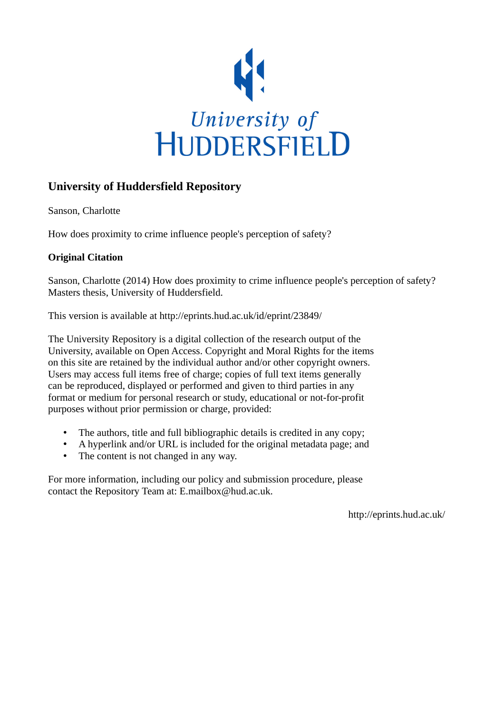

## **University of Huddersfield Repository**

Sanson, Charlotte

How does proximity to crime influence people's perception of safety?

### **Original Citation**

Sanson, Charlotte (2014) How does proximity to crime influence people's perception of safety? Masters thesis, University of Huddersfield.

This version is available at http://eprints.hud.ac.uk/id/eprint/23849/

The University Repository is a digital collection of the research output of the University, available on Open Access. Copyright and Moral Rights for the items on this site are retained by the individual author and/or other copyright owners. Users may access full items free of charge; copies of full text items generally can be reproduced, displayed or performed and given to third parties in any format or medium for personal research or study, educational or not-for-profit purposes without prior permission or charge, provided:

- The authors, title and full bibliographic details is credited in any copy;
- A hyperlink and/or URL is included for the original metadata page; and
- The content is not changed in any way.

For more information, including our policy and submission procedure, please contact the Repository Team at: E.mailbox@hud.ac.uk.

http://eprints.hud.ac.uk/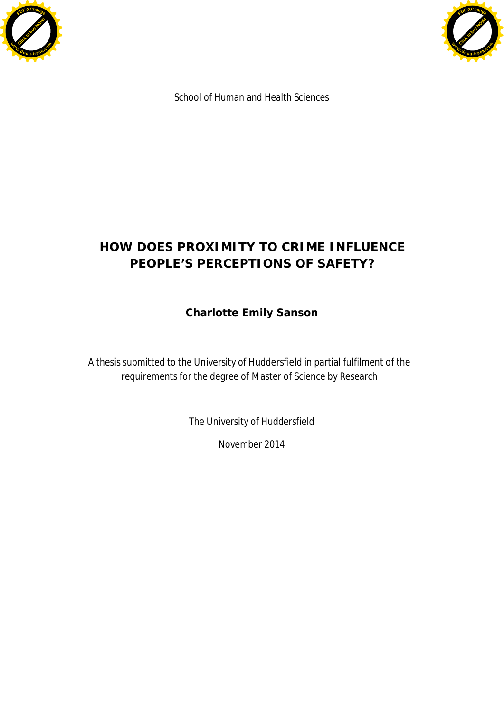



School of Human and Health Sciences

# **HOW DOES PROXIMITY TO CRIME INFLUENCE PEOPLE'S PERCEPTIONS OF SAFETY?**

**Charlotte Emily Sanson**

A thesis submitted to the University of Huddersfield in partial fulfilment of the requirements for the degree of Master of Science by Research

The University of Huddersfield

November 2014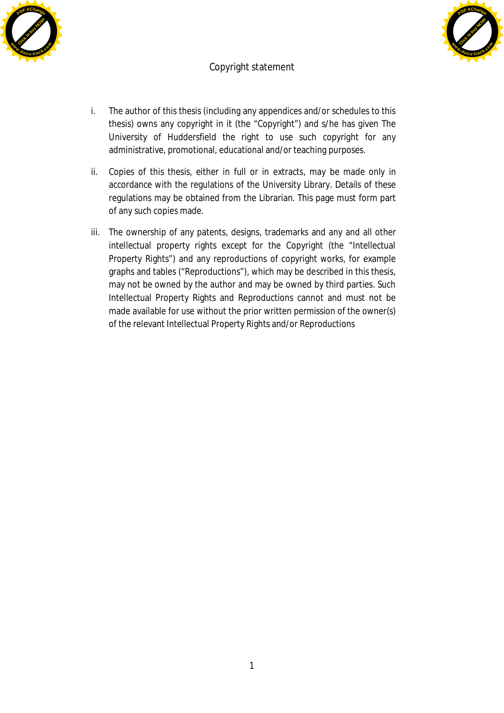



### Copyright statement

- i. The author of this thesis (including any appendices and/or schedules to this thesis) owns any copyright in it (the "Copyright") and s/he has given The University of Huddersfield the right to use such copyright for any administrative, promotional, educational and/or teaching purposes.
- ii. Copies of this thesis, either in full or in extracts, may be made only in accordance with the regulations of the University Library. Details of these regulations may be obtained from the Librarian. This page must form part of any such copies made.
- iii. The ownership of any patents, designs, trademarks and any and all other intellectual property rights except for the Copyright (the "Intellectual Property Rights") and any reproductions of copyright works, for example graphs and tables ("Reproductions"), which may be described in this thesis, may not be owned by the author and may be owned by third parties. Such Intellectual Property Rights and Reproductions cannot and must not be made available for use without the prior written permission of the owner(s) of the relevant Intellectual Property Rights and/or Reproductions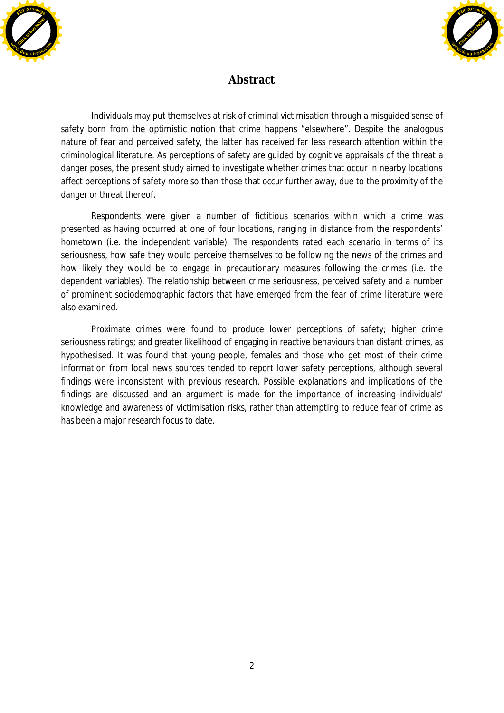



# Abstract

Individuals may put themselves at risk of criminal victimisation through a misguided sense of safety born from the optimistic notion that crime happens "elsewhere". Despite the analogous nature of fear and perceived safety, the latter has received far less research attention within the criminological literature. As perceptions of safety are guided by cognitive appraisals of the threat a danger poses, the present study aimed to investigate whether crimes that occur in nearby locations affect perceptions of safety more so than those that occur further away, due to the proximity of the danger or threat thereof.

Respondents were given a number of fictitious scenarios within which a crime was presented as having occurred at one of four locations, ranging in distance from the respondents' hometown (i.e. the independent variable). The respondents rated each scenario in terms of its seriousness, how safe they would perceive themselves to be following the news of the crimes and how likely they would be to engage in precautionary measures following the crimes (i.e. the dependent variables). The relationship between crime seriousness, perceived safety and a number of prominent sociodemographic factors that have emerged from the fear of crime literature were also examined.

Proximate crimes were found to produce lower perceptions of safety; higher crime seriousness ratings; and greater likelihood of engaging in reactive behaviours than distant crimes, as hypothesised. It was found that young people, females and those who get most of their crime information from local news sources tended to report lower safety perceptions, although several findings were inconsistent with previous research. Possible explanations and implications of the findings are discussed and an argument is made for the importance of increasing individuals' knowledge and awareness of victimisation risks, rather than attempting to reduce fear of crime as has been a major research focus to date.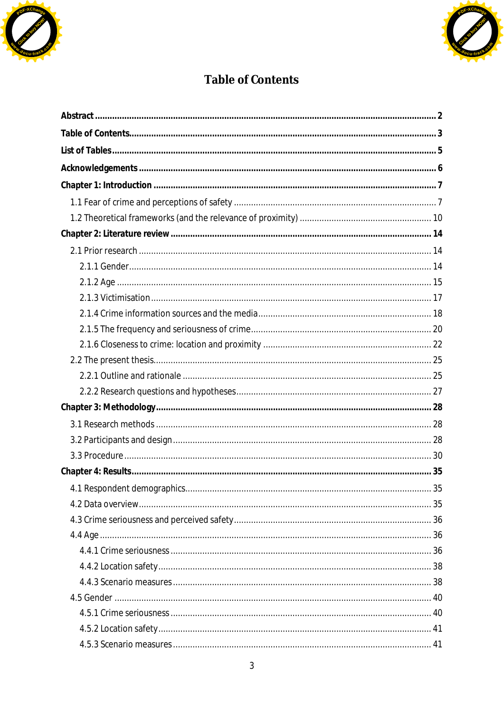



# Table of Contents

| 35 |
|----|
|    |
|    |
|    |
|    |
|    |
|    |
|    |
|    |
|    |
|    |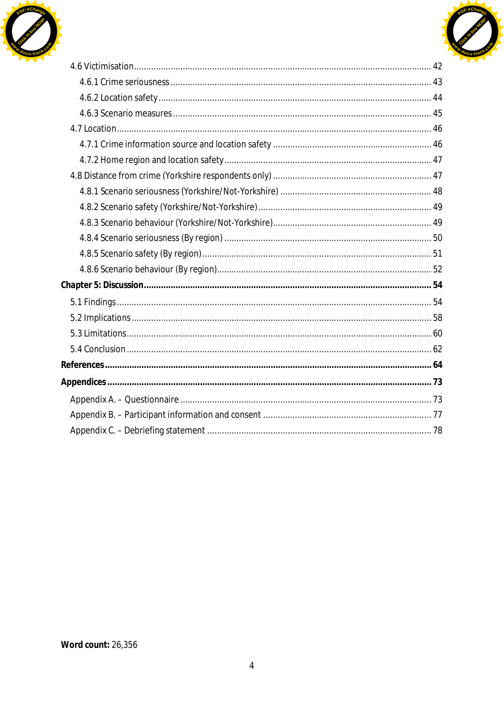

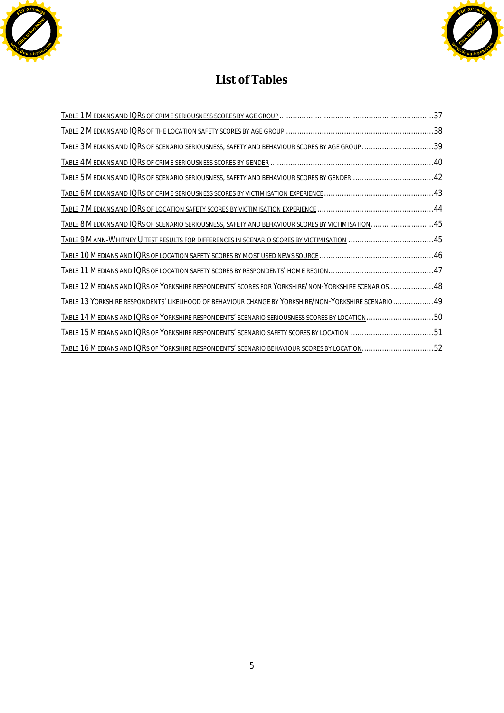



# List of Tables

| TABLE 3 MEDIANS AND IQRS OF SCENARIO SERIOUSNESS, SAFETY AND BEHAVIOUR SCORES BY AGE GROUP 39         |  |
|-------------------------------------------------------------------------------------------------------|--|
|                                                                                                       |  |
| TABLE 5 MEDIANS AND IQRS OF SCENARIO SERIOUSNESS, SAFETY AND BEHAVIOUR SCORES BY GENDER  42           |  |
|                                                                                                       |  |
|                                                                                                       |  |
| TABLE 8 MEDIANS AND IQRS OF SCENARIO SERIOUSNESS, SAFETY AND BEHAVIOUR SCORES BY VICTIMISATION45      |  |
| TABLE 9 MANN-WHITNEY U TEST RESULTS FOR DIFFERENCES IN SCENARIO SCORES BY VICTIMISATION  45           |  |
|                                                                                                       |  |
|                                                                                                       |  |
| TABLE 12 MEDIANS AND IQRS OF YORKSHIRE RESPONDENTS' SCORES FOR YORKSHIRE/NON-YORKSHIRE SCENARIOS 48   |  |
| TABLE 13 YORKSHIRE RESPONDENTS' LIKELIHOOD OF BEHAVIOUR CHANGE BY YORKSHIRE/NON-YORKSHIRE SCENARIO 49 |  |
| TABLE 14 MEDIANS AND IQRS OF YORKSHIRE RESPONDENTS' SCENARIO SERIOUSNESS SCORES BY LOCATION50         |  |
| TABLE 15 MEDIANS AND IQRS OF YORKSHIRE RESPONDENTS' SCENARIO SAFETY SCORES BY LOCATION 51             |  |
| TABLE 16 MEDIANS AND IQRS OF YORKSHIRE RESPONDENTS' SCENARIO BEHAVIOUR SCORES BY LOCATION52           |  |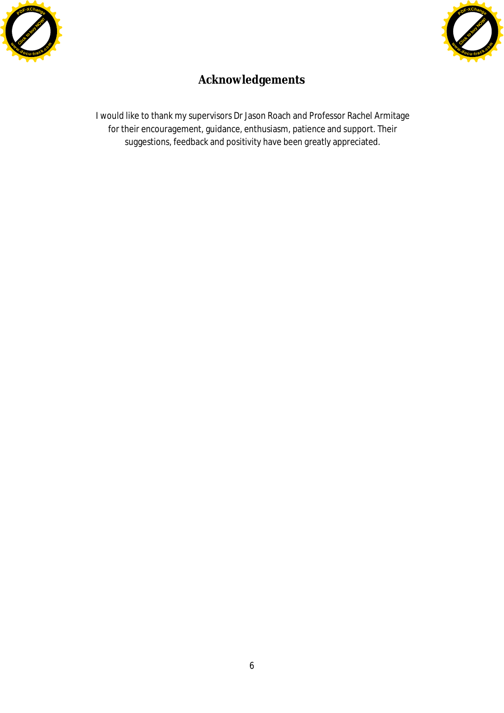



# **Acknowledgements**

I would like to thank my supervisors Dr Jason Roach and Professor Rachel Armitage for their encouragement, guidance, enthusiasm, patience and support. Their suggestions, feedback and positivity have been greatly appreciated.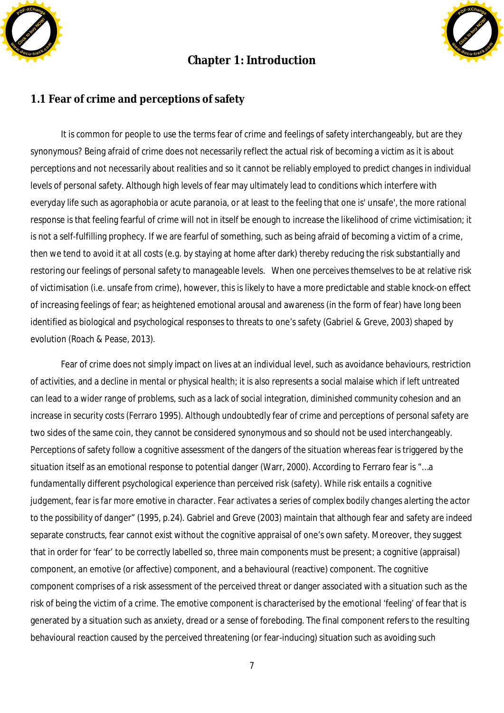

# **Chapter 1: Introduction**



### 1.1 Fear of crime and perceptions of safety

It is common for people to use the terms fear of crime and feelings of safety interchangeably, but are they synonymous? Being afraid of crime does not necessarily reflect the actual risk of becoming a victim as it is about perceptions and not necessarily about realities and so it cannot be reliably employed to predict changes in individual levels of personal safety. Although high levels of fear may ultimately lead to conditions which interfere with everyday life such as agoraphobia or acute paranoia, or at least to the feeling that one is' unsafe', the more rational response is that feeling fearful of crime will not in itself be enough to increase the likelihood of crime victimisation; it is not a self-fulfilling prophecy. If we are fearful of something, such as being afraid of becoming a victim of a crime, then we tend to avoid it at all costs (e.g. by staying at home after dark) thereby reducing the risk substantially and restoring our feelings of personal safety to manageable levels. When one perceives themselves to be at relative risk of victimisation (i.e. unsafe from crime), however, this is likely to have a more predictable and stable knock-on effect of increasing feelings of fear; as heightened emotional arousal and awareness (in the form of fear) have long been identified as biological and psychological responses to threats to one's safety (Gabriel & Greve, 2003) shaped by evolution (Roach & Pease, 2013).

Fear of crime does not simply impact on lives at an individual level, such as avoidance behaviours, restriction of activities, and a decline in mental or physical health; it is also represents a social malaise which if left untreated can lead to a wider range of problems, such as a lack of social integration, diminished community cohesion and an increase in security costs (Ferraro 1995). Although undoubtedly fear of crime and perceptions of personal safety are two sides of the same coin, they cannot be considered synonymous and so should not be used interchangeably. Perceptions of safety follow a cognitive assessment of the dangers *of the situation* whereas fear is triggered *by the situation* itself as an emotional response to potential danger (Warr, 2000). According to Ferraro fear is "…*a fundamentally different psychological experience than perceived risk (safety). While risk entails a cognitive judgement, fear is far more emotive in character. Fear activates a series of complex bodily changes alerting the actor to the possibility of danger*" (1995, p.24). Gabriel and Greve (2003) maintain that although fear and safety are indeed separate constructs, fear cannot exist without the cognitive appraisal of one's own safety. Moreover, they suggest that in order for 'fear' to be correctly labelled so, three main components must be present; a cognitive (appraisal) component, an emotive (or affective) component, and a behavioural (reactive) component. The cognitive component comprises of a risk assessment of the perceived threat or danger associated with a situation such as the risk of being the victim of a crime. The emotive component is characterised by the emotional 'feeling' of fear that is generated by a situation such as anxiety, dread or a sense of foreboding. The final component refers to the resulting behavioural reaction caused by the perceived threatening (or fear-inducing) situation such as avoiding such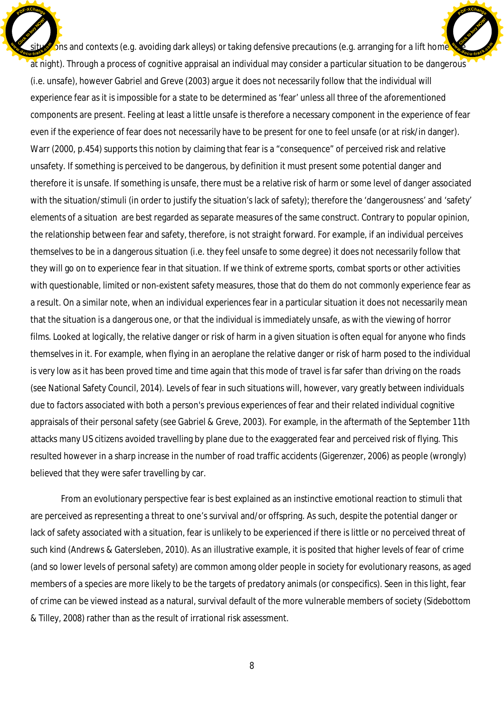ons and contexts (e.g. avoiding dark alleys) or taking defensive precautions (e.g. arranging for a lift home at night). Through a process of cognitive appraisal an individual may consider a particular situation to be dangerous (i.e. unsafe), however Gabriel and Greve (2003) argue it does not necessarily follow that the individual will experience fear as it is impossible for a state to be determined as 'fear' unless all three of the aforementioned components are present. Feeling at least a little unsafe is therefore a necessary component in the experience of fear even if the experience of fear does not necessarily have to be present for one to feel unsafe (or at risk/in danger). Warr (2000, p.454) supports this notion by claiming that fear is a "consequence" of perceived risk and relative unsafety. If something is perceived to be dangerous, by definition it must present some potential danger and therefore it is unsafe. If something is unsafe, there must be a relative risk of harm or some level of danger associated with the situation/stimuli (in order to justify the situation's lack of safety); therefore the 'dangerousness' and 'safety' elements of a situation are best regarded as separate measures of the same construct. Contrary to popular opinion, the relationship between fear and safety, therefore, is not straight forward. For example, if an individual perceives themselves to be in a dangerous situation (i.e. they feel unsafe to some degree) it does not necessarily follow that they will go on to experience fear in that situation. If we think of extreme sports, combat sports or other activities with questionable, limited or non-existent safety measures, those that do them do not commonly experience fear as a result. On a similar note, when an individual experiences fear in a particular situation it does not necessarily mean that the situation is a dangerous one, or that the individual is immediately unsafe, as with the viewing of horror films. Looked at logically, the relative danger or risk of harm in a given situation is often equal for anyone who finds themselves in it. For example, when flying in an aeroplane the relative danger or risk of harm posed to the individual is very low as it has been proved time and time again that this mode of travel is far safer than driving on the roads (see National Safety Council, 2014). Levels of fear in such situations will, however, vary greatly between individuals due to factors associated with both a person's previous experiences of fear and their related individual cognitive appraisals of their personal safety (see Gabriel & Greve, 2003). For example, in the aftermath of the September 11th attacks many US citizens avoided travelling by plane due to the exaggerated fear and perceived risk of flying. This resulted however in a sharp increase in the number of road traffic accidents (Gigerenzer, 2006) as people (wrongly) believed that they were safer travelling by car. Click to buy Now! **<sup>w</sup>ww.docu-track.co<sup>m</sup>** [Click to buy NOW!](http://www.docu-track.com/buy/) **<sup>w</sup>ww.docu-track.co<sup>m</sup>**

**<sup>P</sup>DF-XChang<sup>e</sup>**

**<sup>P</sup>DF-XChang<sup>e</sup>**

From an evolutionary perspective fear is best explained as an instinctive emotional reaction to stimuli that are perceived as representing a threat to one's survival and/or offspring. As such, despite the potential danger or lack of safety associated with a situation, fear is unlikely to be experienced if there is little or no perceived threat of such kind (Andrews & Gatersleben, 2010). As an illustrative example, it is posited that higher levels of fear of crime (and so lower levels of personal safety) are common among older people in society for evolutionary reasons, as aged members of a species are more likely to be the targets of predatory animals (or conspecifics). Seen in this light, fear of crime can be viewed instead as a natural, survival default of the more vulnerable members of society (Sidebottom & Tilley, 2008) rather than as the result of irrational risk assessment.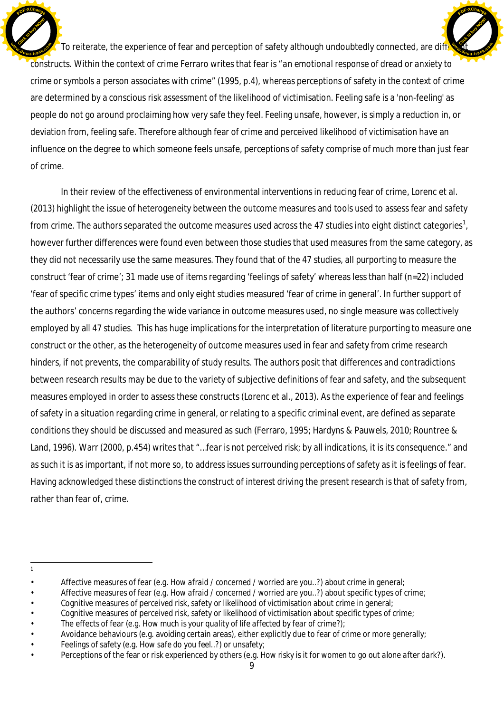To reiterate, the experience of fear and perception of safety although undoubtedly connected, are diff constructs. Within the context of crime Ferraro writes that fear is "*an emotional response of dread or anxiety to crime or symbols a person associates with crime*" (1995, p.4), whereas perceptions of safety in the context of crime are determined by a conscious risk assessment of the likelihood of victimisation. Feeling safe is a 'non-feeling' as people do not go around proclaiming how very safe they feel. Feeling unsafe, however, is simply a reduction in, or deviation from, feeling safe. Therefore although fear of crime and perceived likelihood of victimisation have an influence on the degree to which someone feels unsafe, perceptions of safety comprise of much more than just fear of crime. Click to buy Now! **<sup>w</sup>ww.docu-track.co<sup>m</sup>** [Click to buy NOW!](http://www.docu-track.com/buy/) **<sup>w</sup>ww.docu-track.co<sup>m</sup>**

**<sup>P</sup>DF-XChang<sup>e</sup>**

In their review of the effectiveness of environmental interventions in reducing fear of crime, Lorenc et al. (2013) highlight the issue of heterogeneity between the outcome measures and tools used to assess fear and safety from crime. The authors separated the outcome measures used across the 47 studies into eight distinct categories<sup>1</sup>, however further differences were found even between those studies that used measures from the same category, as they did not necessarily use the same measures. They found that of the 47 studies, all purporting to measure the construct 'fear of crime'; 31 made use of items regarding 'feelings of safety' whereas less than half (n=22) included 'fear of specific crime types' items and only eight studies measured 'fear of crime in general'. In further support of the authors' concerns regarding the wide variance in outcome measures used, no single measure was collectively employed by all 47 studies. This has huge implications for the interpretation of literature purporting to measure one construct or the other, as the heterogeneity of outcome measures used in fear and safety from crime research hinders, if not prevents, the comparability of study results. The authors posit that differences and contradictions between research results may be due to the variety of subjective definitions of fear and safety, and the subsequent measures employed in order to assess these constructs (Lorenc et al., 2013). As the experience of fear and feelings of safety in a situation regarding crime in general, or relating to a specific criminal event, are defined as separate conditions they should be discussed and measured as such (Ferraro, 1995; Hardyns & Pauwels, 2010; Rountree & Land, 1996). Warr (2000, p.454) writes that "…*fear is not perceived risk; by all indications, it is its consequence*." and as such it is as important, if not more so, to address issues surrounding perceptions of safety as it is feelings of fear. Having acknowledged these distinctions the construct of interest driving the present research is that of safety from, rather than fear of, crime.

**<sup>P</sup>DF-XChang<sup>e</sup>**

<sup>1</sup>

<sup>•</sup> Affective measures of fear (e.g. *How afraid / concerned / worried are you..?*) about crime in general;

<sup>•</sup> Affective measures of fear (e.g. *How afraid / concerned / worried are you..?*) about specific types of crime;

<sup>•</sup> Cognitive measures of perceived risk, safety or likelihood of victimisation about crime in general;

<sup>•</sup> Cognitive measures of perceived risk, safety or likelihood of victimisation about specific types of crime;

<sup>•</sup> The effects of fear (e.g. *How much is your quality of life affected by fear of crime?*);

<sup>•</sup> Avoidance behaviours (e.g. avoiding certain areas), either explicitly due to fear of crime or more generally;

<sup>•</sup> Feelings of safety (e.g. *How safe do you feel..?*) or unsafety;

<sup>•</sup> Perceptions of the fear or risk experienced by others (e.g. *How risky is it for women to go out alone after dark?*).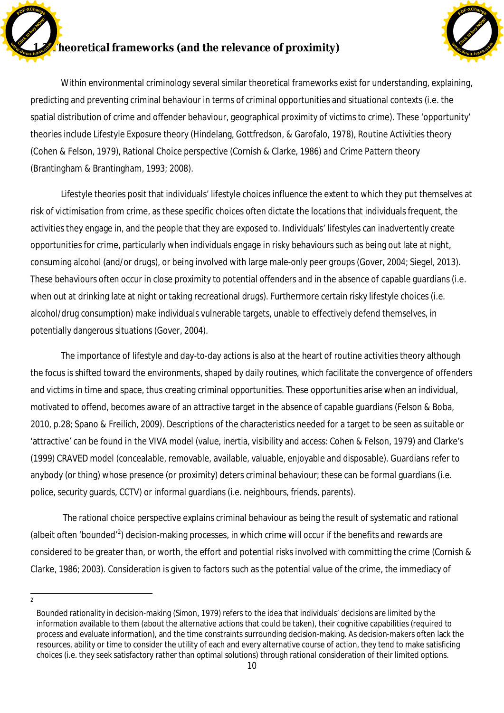

# **heoretical frameworks (and the relevance of proximity)**



Within environmental criminology several similar theoretical frameworks exist for understanding, explaining, predicting and preventing criminal behaviour in terms of criminal opportunities and situational contexts (i.e. the spatial distribution of crime and offender behaviour, geographical proximity of victims to crime). These 'opportunity' theories include Lifestyle Exposure theory (Hindelang, Gottfredson, & Garofalo, 1978), Routine Activities theory (Cohen & Felson, 1979), Rational Choice perspective (Cornish & Clarke, 1986) and Crime Pattern theory (Brantingham & Brantingham, 1993; 2008).

Lifestyle theories posit that individuals' lifestyle choices influence the extent to which they put themselves at risk of victimisation from crime, as these specific choices often dictate the locations that individuals frequent, the activities they engage in, and the people that they are exposed to. Individuals' lifestyles can inadvertently create opportunities for crime, particularly when individuals engage in risky behaviours such as being out late at night, consuming alcohol (and/or drugs), or being involved with large male-only peer groups (Gover, 2004; Siegel, 2013). These behaviours often occur in close proximity to potential offenders and in the absence of capable guardians (i.e. when out at drinking late at night or taking recreational drugs). Furthermore certain risky lifestyle choices (i.e. alcohol/drug consumption) make individuals vulnerable targets, unable to effectively defend themselves, in potentially dangerous situations (Gover, 2004).

The importance of lifestyle and day-to-day actions is also at the heart of routine activities theory although the focus is shifted toward the environments, shaped by daily routines, which facilitate the convergence of offenders and victims in time and space, thus creating criminal opportunities. These opportunities arise when an individual, motivated to offend, becomes aware of an attractive target in the absence of capable guardians (Felson & Boba, 2010, p.28; Spano & Freilich, 2009). Descriptions of the characteristics needed for a target to be seen as suitable or 'attractive' can be found in the VIVA model (value, inertia, visibility and access: Cohen & Felson, 1979) and Clarke's (1999) CRAVED model (concealable, removable, available, valuable, enjoyable and disposable). Guardians refer to anybody (or thing) whose presence (or proximity) deters criminal behaviour; these can be formal guardians (i.e. police, security guards, CCTV) or informal guardians (i.e. neighbours, friends, parents).

 The rational choice perspective explains criminal behaviour as being the result of systematic and rational (albeit often 'bounded'<sup>2</sup>) decision-making processes, in which crime will occur if the benefits and rewards are considered to be greater than, or worth, the effort and potential risks involved with committing the crime (Cornish & Clarke, 1986; 2003). Consideration is given to factors such as the potential value of the crime, the immediacy of

 $\overline{2}$ 

Bounded rationality in decision-making (Simon, 1979) refers to the idea that individuals' decisions are limited by the information available to them (about the alternative actions that could be taken), their cognitive capabilities (required to process and evaluate information), and the time constraints surrounding decision-making. As decision-makers often lack the resources, ability or time to consider the utility of each and every alternative course of action, they tend to make satisficing choices (i.e. they seek satisfactory rather than optimal solutions) through rational consideration of their limited options.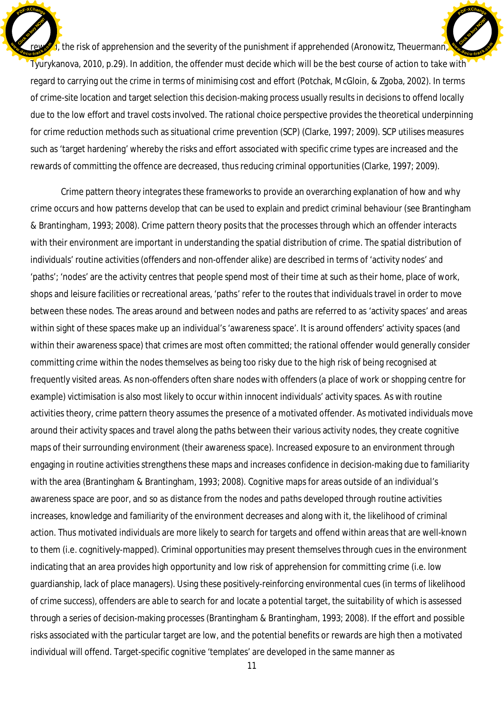$\mathbf{F}_1$ , the risk of apprehension and the severity of the punishment if apprehended (Aronowitz, Theuermann, Tyurykanova, 2010, p.29). In addition, the offender must decide which will be the best course of action to take with regard to carrying out the crime in terms of minimising cost and effort (Potchak, McGloin, & Zgoba, 2002). In terms of crime-site location and target selection this decision-making process usually results in decisions to offend locally due to the low effort and travel costs involved. The rational choice perspective provides the theoretical underpinning for crime reduction methods such as situational crime prevention (SCP) (Clarke, 1997; 2009). SCP utilises measures such as 'target hardening' whereby the risks and effort associated with specific crime types are increased and the rewards of committing the offence are decreased, thus reducing criminal opportunities (Clarke, 1997; 2009). Click to buy Now! **<sup>w</sup>ww.docu-track.co<sup>m</sup>** [Click to buy NOW!](http://www.docu-track.com/buy/) **<sup>w</sup>ww.docu-track.co<sup>m</sup>**

**<sup>P</sup>DF-XChang<sup>e</sup>**

**<sup>P</sup>DF-XChang<sup>e</sup>**

Crime pattern theory integrates these frameworks to provide an overarching explanation of how and why crime occurs and how patterns develop that can be used to explain and predict criminal behaviour (see Brantingham & Brantingham, 1993; 2008). Crime pattern theory posits that the processes through which an offender interacts with their environment are important in understanding the spatial distribution of crime. The spatial distribution of individuals' routine activities (offenders and non-offender alike) are described in terms of 'activity nodes' and 'paths'; 'nodes' are the activity centres that people spend most of their time at such as their home, place of work, shops and leisure facilities or recreational areas, 'paths' refer to the routes that individuals travel in order to move between these nodes. The areas around and between nodes and paths are referred to as 'activity spaces' and areas within sight of these spaces make up an individual's 'awareness space'. It is around offenders' activity spaces (and within their awareness space) that crimes are most often committed; the rational offender would generally consider committing crime within the nodes themselves as being too risky due to the high risk of being recognised at frequently visited areas. As non-offenders often share nodes with offenders (a place of work or shopping centre for example) victimisation is also most likely to occur within innocent individuals' activity spaces. As with routine activities theory, crime pattern theory assumes the presence of a motivated offender. As motivated individuals move around their activity spaces and travel along the paths between their various activity nodes, they create cognitive maps of their surrounding environment (their awareness space). Increased exposure to an environment through engaging in routine activities strengthens these maps and increases confidence in decision-making due to familiarity with the area (Brantingham & Brantingham, 1993; 2008). Cognitive maps for areas outside of an individual's awareness space are poor, and so as distance from the nodes and paths developed through routine activities increases, knowledge and familiarity of the environment decreases and along with it, the likelihood of criminal action. Thus motivated individuals are more likely to search for targets and offend within areas that are well-known to them (i.e. cognitively-mapped). Criminal opportunities may present themselves through cues in the environment indicating that an area provides high opportunity and low risk of apprehension for committing crime (i.e. low guardianship, lack of place managers). Using these positively-reinforcing environmental cues (in terms of likelihood of crime success), offenders are able to search for and locate a potential target, the suitability of which is assessed through a series of decision-making processes (Brantingham & Brantingham, 1993; 2008). If the effort and possible risks associated with the particular target are low, and the potential benefits or rewards are high then a motivated individual will offend. Target-specific cognitive 'templates' are developed in the same manner as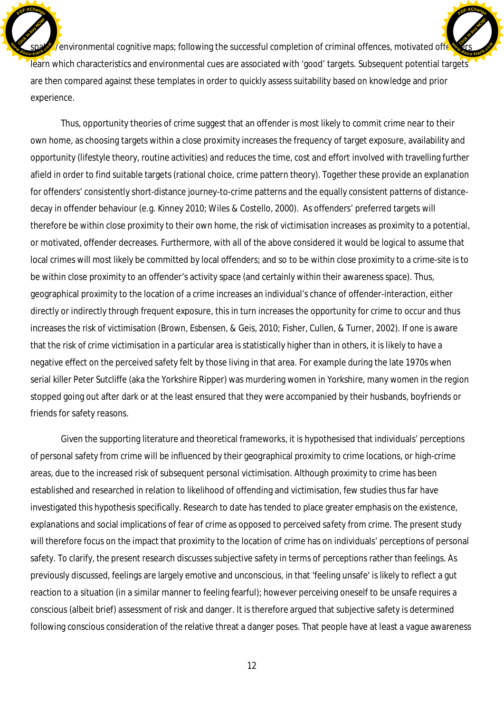$\gamma$ environmental cognitive maps; following the successful completion of criminal offences, motivated offention learn which characteristics and environmental cues are associated with 'good' targets. Subsequent potential targets' are then compared against these templates in order to quickly assess suitability based on knowledge and prior experience. Click to buy Now! **SD**. **cc***cccc<b><i>c* **[Click to buy NOW!](http://www.docu-track.com/buy/) Extra**<br> **COCU-track**<br>
COCU-track

**<sup>P</sup>DF-XChang<sup>e</sup>**

**<sup>P</sup>DF-XChang<sup>e</sup>**

Thus, opportunity theories of crime suggest that an offender is most likely to commit crime near to their own home, as choosing targets within a close proximity increases the frequency of target exposure, availability and opportunity (lifestyle theory, routine activities) and reduces the time, cost and effort involved with travelling further afield in order to find suitable targets (rational choice, crime pattern theory). Together these provide an explanation for offenders' consistently short-distance journey-to-crime patterns and the equally consistent patterns of distancedecay in offender behaviour (e.g. Kinney 2010; Wiles & Costello, 2000). As offenders' preferred targets will therefore be within close proximity to their own home, the risk of victimisation increases as proximity to a potential, or motivated, offender decreases. Furthermore, with all of the above considered it would be logical to assume that local crimes will most likely be committed by local offenders; and so to be within close proximity to a crime-site is to be within close proximity to an offender's activity space (and certainly within their awareness space). Thus, geographical proximity to the location of a crime increases an individual's chance of offender-interaction, either directly or indirectly through frequent exposure, this in turn increases the opportunity for crime to occur and thus increases the risk of victimisation (Brown, Esbensen, & Geis, 2010; Fisher, Cullen, & Turner, 2002). If one is aware that the risk of crime victimisation in a particular area is statistically higher than in others, it is likely to have a negative effect on the perceived safety felt by those living in that area. For example during the late 1970s when serial killer Peter Sutcliffe (aka the Yorkshire Ripper) was murdering women in Yorkshire, many women in the region stopped going out after dark or at the least ensured that they were accompanied by their husbands, boyfriends or friends for safety reasons.

Given the supporting literature and theoretical frameworks, it is hypothesised that individuals' perceptions of personal safety from crime will be influenced by their geographical proximity to crime locations, or high-crime areas, due to the increased risk of subsequent personal victimisation. Although proximity to crime has been established and researched in relation to likelihood of offending and victimisation, few studies thus far have investigated this hypothesis specifically. Research to date has tended to place greater emphasis on the existence, explanations and social implications of *fear of crime* as opposed to perceived *safety from crime*. The present study will therefore focus on the impact that proximity to the location of crime has on individuals' perceptions of personal safety. To clarify, the present research discusses subjective safety in terms of *perceptions* rather than *feelings*. As previously discussed, feelings are largely emotive and unconscious, in that 'feeling unsafe' is likely to reflect a gut reaction to a situation (in a similar manner to feeling fearful); however perceiving oneself to be unsafe requires a conscious (albeit brief) assessment of risk and danger. It is therefore argued that subjective safety is determined following conscious consideration of the relative threat a danger poses. That people have at least a vague awareness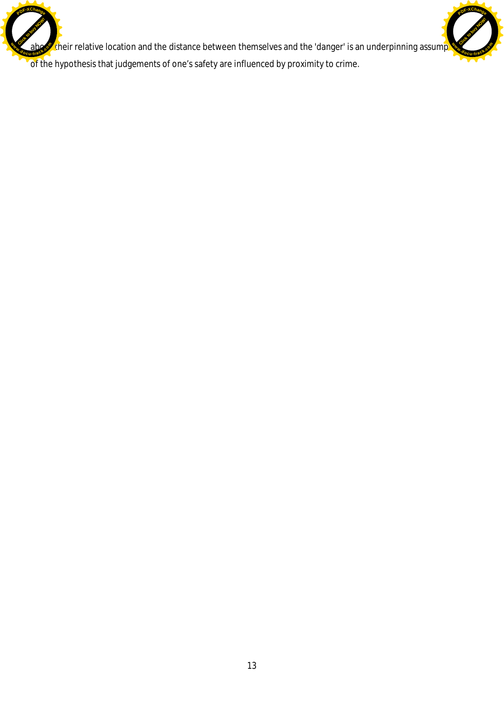their relative location and the distance between themselves and the 'danger' is an underpinning assump Click to buy Now! **<sup>w</sup>ww.docu-track.co<sup>m</sup>**

[Click to buy NOW!](http://www.docu-track.com/buy/)

**<sup>w</sup>ww.docu-track.co<sup>m</sup>**

**<sup>P</sup>DF-XChang<sup>e</sup>**

of the hypothesis that judgements of one's safety are influenced by proximity to crime.

**<sup>P</sup>DF-XChang<sup>e</sup>**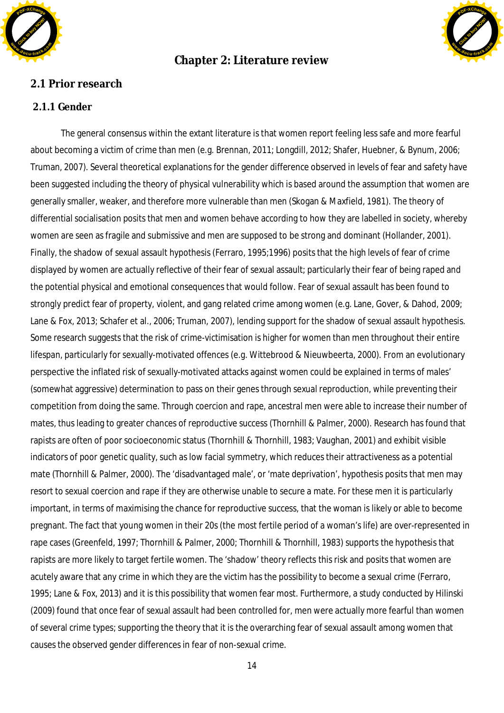

## **Chapter 2: Literature review**



2.1 Prior research

### **2.1.1 Gender**

The general consensus within the extant literature is that women report feeling less safe and more fearful about becoming a victim of crime than men (e.g. Brennan, 2011; Longdill, 2012; Shafer, Huebner, & Bynum, 2006; Truman, 2007). Several theoretical explanations for the gender difference observed in levels of fear and safety have been suggested including the theory of physical vulnerability which is based around the assumption that women are generally smaller, weaker, and therefore more vulnerable than men (Skogan & Maxfield, 1981). The theory of differential socialisation posits that men and women behave according to how they are labelled in society, whereby women are seen as fragile and submissive and men are supposed to be strong and dominant (Hollander, 2001). Finally, the shadow of sexual assault hypothesis (Ferraro, 1995;1996) posits that the high levels of fear of crime displayed by women are actually reflective of their fear of sexual assault; particularly their fear of being raped and the potential physical and emotional consequences that would follow. Fear of sexual assault has been found to strongly predict fear of property, violent, and gang related crime among women (e.g. Lane, Gover, & Dahod, 2009; Lane & Fox, 2013; Schafer et al., 2006; Truman, 2007), lending support for the shadow of sexual assault hypothesis. Some research suggests that the risk of crime-victimisation is higher for women than men throughout their entire lifespan, particularly for sexually-motivated offences (e.g. Wittebrood & Nieuwbeerta, 2000). From an evolutionary perspective the inflated risk of sexually-motivated attacks against women could be explained in terms of males' (somewhat aggressive) determination to pass on their genes through sexual reproduction, while preventing their competition from doing the same. Through coercion and rape, ancestral men were able to increase their number of mates, thus leading to greater chances of reproductive success (Thornhill & Palmer, 2000). Research has found that rapists are often of poor socioeconomic status (Thornhill & Thornhill, 1983; Vaughan, 2001) and exhibit visible indicators of poor genetic quality, such as low facial symmetry, which reduces their attractiveness as a potential mate (Thornhill & Palmer, 2000). The 'disadvantaged male', or 'mate deprivation', hypothesis posits that men may resort to sexual coercion and rape if they are otherwise unable to secure a mate. For these men it is particularly important, in terms of maximising the chance for reproductive success, that the woman is likely or able to become pregnant. The fact that young women in their 20s (the most fertile period of a woman's life) are over-represented in rape cases (Greenfeld, 1997; Thornhill & Palmer, 2000; Thornhill & Thornhill, 1983) supports the hypothesis that rapists are more likely to target fertile women. The 'shadow' theory reflects this risk and posits that women are acutely aware that any crime in which they are the victim has the possibility to become a sexual crime (Ferraro, 1995; Lane & Fox, 2013) and it is this possibility that women fear most. Furthermore, a study conducted by Hilinski (2009) found that once fear of sexual assault had been controlled for, men were actually more fearful than women of several crime types; supporting the theory that it is the overarching fear of sexual assault among women that causes the observed gender differences in fear of non-sexual crime.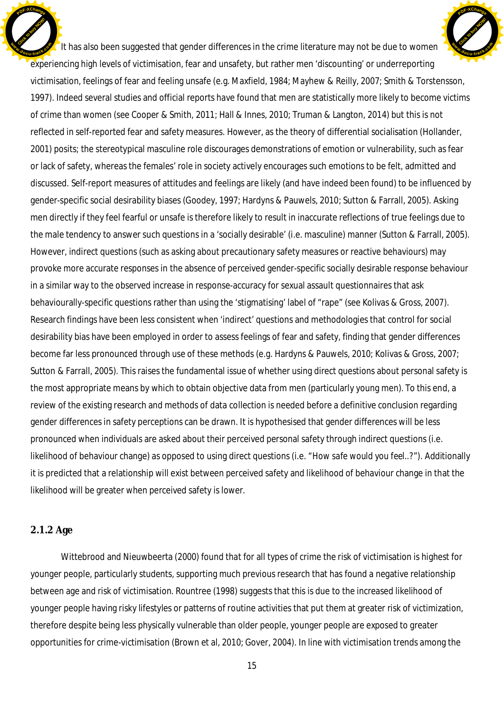It has also been suggested that gender differences in the crime literature may not be due to women experiencing high levels of victimisation, fear and unsafety, but rather men 'discounting' or underreporting victimisation, feelings of fear and feeling unsafe (e.g. Maxfield, 1984; Mayhew & Reilly, 2007; Smith & Torstensson, 1997). Indeed several studies and official reports have found that men are statistically more likely to become victims of crime than women (see Cooper & Smith, 2011; Hall & Innes, 2010; Truman & Langton, 2014) but this is not reflected in self-reported fear and safety measures. However, as the theory of differential socialisation (Hollander, 2001) posits; the stereotypical masculine role discourages demonstrations of emotion or vulnerability, such as fear or lack of safety, whereas the females' role in society actively encourages such emotions to be felt, admitted and discussed. Self-report measures of attitudes and feelings are likely (and have indeed been found) to be influenced by gender-specific social desirability biases (Goodey, 1997; Hardyns & Pauwels, 2010; Sutton & Farrall, 2005). Asking men directly if they feel fearful or unsafe is therefore likely to result in inaccurate reflections of true feelings due to the male tendency to answer such questions in a 'socially desirable' (i.e. masculine) manner (Sutton & Farrall, 2005). However, indirect questions (such as asking about precautionary safety measures or reactive behaviours) may provoke more accurate responses in the absence of perceived gender-specific socially desirable response behaviour in a similar way to the observed increase in response-accuracy for sexual assault questionnaires that ask behaviourally-specific questions rather than using the 'stigmatising' label of "rape" (see Kolivas & Gross, 2007). Research findings have been less consistent when 'indirect' questions and methodologies that control for social desirability bias have been employed in order to assess feelings of fear and safety, finding that gender differences become far less pronounced through use of these methods (e.g. Hardyns & Pauwels, 2010; Kolivas & Gross, 2007; Sutton & Farrall, 2005). This raises the fundamental issue of whether using direct questions about personal safety is the most appropriate means by which to obtain objective data from men (particularly young men). To this end, a review of the existing research and methods of data collection is needed before a definitive conclusion regarding gender differences in safety perceptions can be drawn. It is hypothesised that gender differences will be less pronounced when individuals are asked about their perceived personal safety through indirect questions (i.e. likelihood of behaviour change) as opposed to using direct questions (i.e. "*How safe would you feel..?*"). Additionally it is predicted that a relationship will exist between perceived safety and likelihood of behaviour change in that the likelihood will be greater when perceived safety is lower. Click to buy Now! **<sup>w</sup>ww.docu-track.co<sup>m</sup>** [Click to buy NOW!](http://www.docu-track.com/buy/) **<sup>w</sup>ww.docu-track.co<sup>m</sup>**

**<sup>P</sup>DF-XChang<sup>e</sup>**

#### **2.1.2 Age**

**<sup>P</sup>DF-XChang<sup>e</sup>**

Wittebrood and Nieuwbeerta (2000) found that for all types of crime the risk of victimisation is highest for younger people, particularly students, supporting much previous research that has found a negative relationship between age and risk of victimisation. Rountree (1998) suggests that this is due to the increased likelihood of younger people having risky lifestyles or patterns of routine activities that put them at greater risk of victimization, therefore despite being less physically vulnerable than older people, younger people are exposed to greater opportunities for crime-victimisation (Brown et al, 2010; Gover, 2004). In line with victimisation trends among the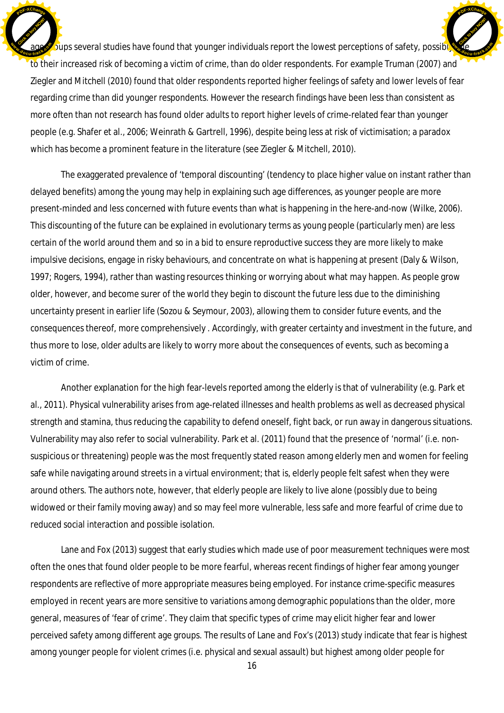oups several studies have found that younger individuals report the lowest perceptions of safety, possible to their increased risk of becoming a victim of crime, than do older respondents. For example Truman (2007) and Ziegler and Mitchell (2010) found that older respondents reported higher feelings of safety and lower levels of fear regarding crime than did younger respondents. However the research findings have been less than consistent as more often than not research has found older adults to report higher levels of crime-related fear than younger people (e.g. Shafer et al., 2006; Weinrath & Gartrell, 1996), despite being less at risk of victimisation; a paradox which has become a prominent feature in the literature (see Ziegler & Mitchell, 2010). Click to buy Now! **<sup>w</sup>ww.docu-track.co<sup>m</sup> [Click to buy NOW!](http://www.docu-track.com/buy/) <sup>w</sup>ww.docu-track.co<sup>m</sup>**

**<sup>P</sup>DF-XChang<sup>e</sup>**

**<sup>P</sup>DF-XChang<sup>e</sup>**

The exaggerated prevalence of 'temporal discounting' (tendency to place higher value on instant rather than delayed benefits) among the young may help in explaining such age differences, as younger people are more present-minded and less concerned with future events than what is happening in the here-and-now (Wilke, 2006). This discounting of the future can be explained in evolutionary terms as young people (particularly men) are less certain of the world around them and so in a bid to ensure reproductive success they are more likely to make impulsive decisions, engage in risky behaviours, and concentrate on what is happening at present (Daly & Wilson, 1997; Rogers, 1994), rather than wasting resources thinking or worrying about what *may* happen. As people grow older, however, and become surer of the world they begin to discount the future less due to the diminishing uncertainty present in earlier life (Sozou & Seymour, 2003), allowing them to consider future events, and the consequences thereof, more comprehensively . Accordingly, with greater certainty and investment in the future, and thus more to lose, older adults are likely to worry more about the consequences of events, such as becoming a victim of crime.

Another explanation for the high fear-levels reported among the elderly is that of vulnerability (e.g. Park et al., 2011). Physical vulnerability arises from age-related illnesses and health problems as well as decreased physical strength and stamina, thus reducing the capability to defend oneself, fight back, or run away in dangerous situations. Vulnerability may also refer to social vulnerability. Park et al. (2011) found that the presence of 'normal' (i.e. nonsuspicious or threatening) people was the most frequently stated reason among elderly men and women for feeling safe while navigating around streets in a virtual environment; that is, elderly people felt safest when they were around others. The authors note, however, that elderly people are likely to live alone (possibly due to being widowed or their family moving away) and so may feel more vulnerable, less safe and more fearful of crime due to reduced social interaction and possible isolation.

Lane and Fox (2013) suggest that early studies which made use of poor measurement techniques were most often the ones that found older people to be more fearful, whereas recent findings of higher fear among younger respondents are reflective of more appropriate measures being employed. For instance crime-specific measures employed in recent years are more sensitive to variations among demographic populations than the older, more general, measures of 'fear of crime'. They claim that specific types of crime may elicit higher fear and lower perceived safety among different age groups. The results of Lane and Fox's (2013) study indicate that fear is highest among younger people for violent crimes (i.e. physical and sexual assault) but highest among older people for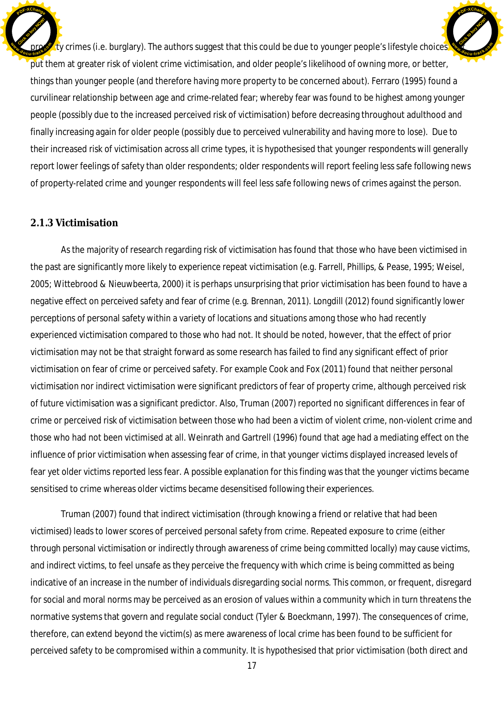$\zeta$ ty crimes (i.e. burglary). The authors suggest that this could be due to younger people's lifestyle choices put them at greater risk of violent crime victimisation, and older people's likelihood of owning more, or better, things than younger people (and therefore having more property to be concerned about). Ferraro (1995) found a curvilinear relationship between age and crime-related fear; whereby fear was found to be highest among younger people (possibly due to the increased perceived risk of victimisation) before decreasing throughout adulthood and finally increasing again for older people (possibly due to perceived vulnerability and having more to lose). Due to their increased risk of victimisation across all crime types, it is hypothesised that younger respondents will generally report lower feelings of safety than older respondents; older respondents will report feeling less safe following news of property-related crime and younger respondents will feel less safe following news of crimes against the person. Click to buy Now! **<sup>w</sup>ww.docu-track.co<sup>m</sup>** [Click to buy NOW!](http://www.docu-track.com/buy/) **<sup>w</sup>ww.docu-track.co<sup>m</sup>**

**<sup>P</sup>DF-XChang<sup>e</sup>**

#### **2.1.3 Victimisation**

**<sup>P</sup>DF-XChang<sup>e</sup>**

As the majority of research regarding risk of victimisation has found that those who have been victimised in the past are significantly more likely to experience repeat victimisation (e.g. Farrell, Phillips, & Pease, 1995; Weisel, 2005; Wittebrood & Nieuwbeerta, 2000) it is perhaps unsurprising that prior victimisation has been found to have a negative effect on perceived safety and fear of crime (e.g. Brennan, 2011). Longdill (2012) found significantly lower perceptions of personal safety within a variety of locations and situations among those who had recently experienced victimisation compared to those who had not. It should be noted, however, that the effect of prior victimisation may not be that straight forward as some research has failed to find any significant effect of prior victimisation on fear of crime or perceived safety. For example Cook and Fox (2011) found that neither personal victimisation nor indirect victimisation were significant predictors of fear of property crime, although perceived risk of future victimisation was a significant predictor. Also, Truman (2007) reported no significant differences in fear of crime or perceived risk of victimisation between those who had been a victim of violent crime, non-violent crime and those who had not been victimised at all. Weinrath and Gartrell (1996) found that age had a mediating effect on the influence of prior victimisation when assessing fear of crime, in that younger victims displayed increased levels of fear yet older victims reported less fear. A possible explanation for this finding was that the younger victims became sensitised to crime whereas older victims became desensitised following their experiences.

Truman (2007) found that indirect victimisation (through knowing a friend or relative that had been victimised) leads to lower scores of perceived personal safety from crime. Repeated exposure to crime (either through personal victimisation or indirectly through awareness of crime being committed locally) may cause victims, and indirect victims, to feel unsafe as they perceive the frequency with which crime is being committed as being indicative of an increase in the number of individuals disregarding social norms. This common, or frequent, disregard for social and moral norms may be perceived as an erosion of values within a community which in turn threatens the normative systems that govern and regulate social conduct (Tyler & Boeckmann, 1997). The consequences of crime, therefore, can extend beyond the victim(s) as mere awareness of local crime has been found to be sufficient for perceived safety to be compromised within a community. It is hypothesised that prior victimisation (both direct and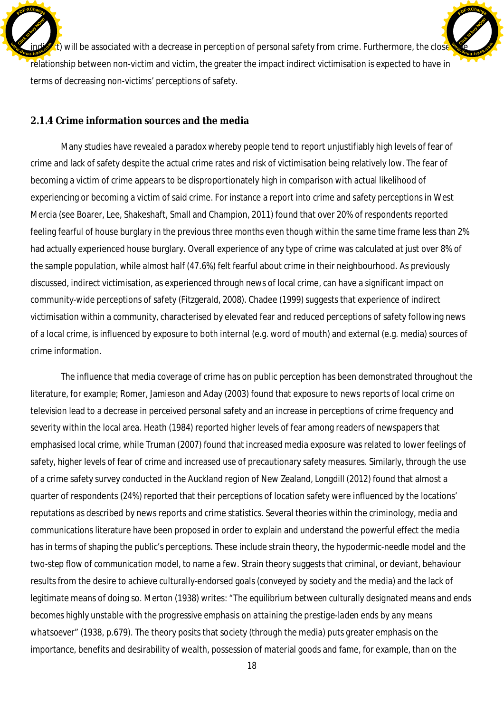$\cdot$ t) will be associated with a decrease in perception of personal safety from crime. Furthermore, the close relationship between non-victim and victim, the greater the impact indirect victimisation is expected to have in terms of decreasing non-victims' perceptions of safety. Click to buy Now! **E** [Click to buy NOW!](http://www.docu-track.com/buy/) **<sup>w</sup>ww.docu-track.co<sup>m</sup>**

**<sup>P</sup>DF-XChang<sup>e</sup>**

### **2.1.4 Crime information sources and the media**

**<sup>P</sup>DF-XChang<sup>e</sup>**

Many studies have revealed a paradox whereby people tend to report unjustifiably high levels of fear of crime and lack of safety despite the actual crime rates and risk of victimisation being relatively low. The fear of becoming a victim of crime appears to be disproportionately high in comparison with actual likelihood of experiencing or becoming a victim of said crime. For instance a report into crime and safety perceptions in West Mercia (see Boarer, Lee, Shakeshaft, Small and Champion, 2011) found that over 20% of respondents reported feeling fearful of house burglary in the previous three months even though within the same time frame less than 2% had actually experienced house burglary. Overall experience of any type of crime was calculated at just over 8% of the sample population, while almost half (47.6%) felt fearful about crime in their neighbourhood. As previously discussed, indirect victimisation, as experienced through news of local crime, can have a significant impact on community-wide perceptions of safety (Fitzgerald, 2008). Chadee (1999) suggests that experience of indirect victimisation within a community, characterised by elevated fear and reduced perceptions of safety following news of a local crime, is influenced by exposure to both internal (e.g. word of mouth) and external (e.g. media) sources of crime information.

The influence that media coverage of crime has on public perception has been demonstrated throughout the literature, for example; Romer, Jamieson and Aday (2003) found that exposure to news reports of local crime on television lead to a decrease in perceived personal safety and an increase in perceptions of crime frequency and severity within the local area. Heath (1984) reported higher levels of fear among readers of newspapers that emphasised local crime, while Truman (2007) found that increased media exposure was related to lower feelings of safety, higher levels of fear of crime and increased use of precautionary safety measures. Similarly, through the use of a crime safety survey conducted in the Auckland region of New Zealand, Longdill (2012) found that almost a quarter of respondents (24%) reported that their perceptions of location safety were influenced by the locations' reputations as described by news reports and crime statistics. Several theories within the criminology, media and communications literature have been proposed in order to explain and understand the powerful effect the media has in terms of shaping the public's perceptions. These include strain theory, the *hypodermic-needle model* and the *two-step flow of communication model*, to name a few. Strain theory suggests that criminal, or deviant, behaviour results from the desire to achieve culturally-endorsed goals (conveyed by society and the media) and the lack of legitimate means of doing so. Merton (1938) writes: "*The equilibrium between culturally designated means and ends becomes highly unstable with the progressive emphasis on attaining the prestige-laden ends by any means whatsoever*" (1938, p.679). The theory posits that society (through the media) puts greater emphasis on the importance, benefits and desirability of wealth, possession of material goods and fame, for example, than on the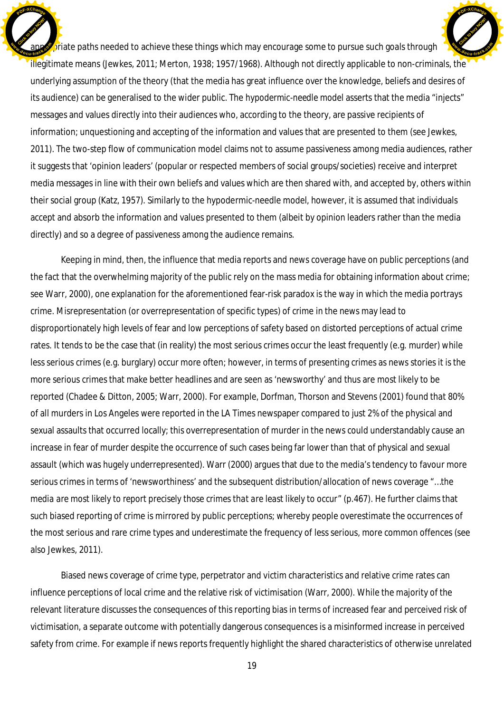$\Omega$  is at paths needed to achieve these things which may encourage some to pursue such goals through illegitimate means (Jewkes, 2011; Merton, 1938; 1957/1968). Although not directly applicable to non-criminals, the underlying assumption of the theory (that the media has great influence over the knowledge, beliefs and desires of its audience) can be generalised to the wider public. The *hypodermic-needle model* asserts that the media "injects" messages and values directly into their audiences who, according to the theory, are passive recipients of information; unquestioning and accepting of the information and values that are presented to them (see Jewkes, 2011). The two-step flow of communication model claims not to assume passiveness among media audiences, rather it suggests that 'opinion leaders' (popular or respected members of social groups/societies) receive and interpret media messages in line with their own beliefs and values which are then shared with, and accepted by, others within their social group (Katz, 1957). Similarly to the hypodermic-needle model, however, it is assumed that individuals accept and absorb the information and values presented to them (albeit by opinion leaders rather than the media directly) and so a degree of passiveness among the audience remains. Click to buy Now! **<sup>w</sup>ww.docu-track.co<sup>m</sup>** [Click to buy NOW!](http://www.docu-track.com/buy/) **<sup>w</sup>ww.docu-track.co<sup>m</sup>**

**<sup>P</sup>DF-XChang<sup>e</sup>**

**<sup>P</sup>DF-XChang<sup>e</sup>**

Keeping in mind, then, the influence that media reports and news coverage have on public perceptions (and the fact that the overwhelming majority of the public rely on the mass media for obtaining information about crime; see Warr, 2000), one explanation for the aforementioned fear-risk paradox is the way in which the media portrays crime. Misrepresentation (or overrepresentation of specific types) of crime in the news may lead to disproportionately high levels of fear and low perceptions of safety based on distorted perceptions of actual crime rates. It tends to be the case that (in reality) the most serious crimes occur the least frequently (e.g. murder) while less serious crimes (e.g. burglary) occur more often; however, in terms of presenting crimes as news stories it is the more serious crimes that make better headlines and are seen as 'newsworthy' and thus are most likely to be reported (Chadee & Ditton, 2005; Warr, 2000). For example, Dorfman, Thorson and Stevens (2001) found that 80% of all murders in Los Angeles were reported in the LA Times newspaper compared to just 2% of the physical and sexual assaults that occurred locally; this overrepresentation of murder in the news could understandably cause an increase in fear of murder despite the occurrence of such cases being far lower than that of physical and sexual assault (which was hugely underrepresented). Warr (2000) argues that due to the media's tendency to favour more serious crimes in terms of 'newsworthiness' and the subsequent distribution/allocation of news coverage "…*the media are most likely to report precisely those crimes that are least likely to occur*" (p.467). He further claims that such biased reporting of crime is mirrored by public perceptions; whereby people overestimate the occurrences of the most serious and rare crime types and underestimate the frequency of less serious, more common offences (see also Jewkes, 2011).

Biased news coverage of crime type, perpetrator and victim characteristics and relative crime rates can influence perceptions of local crime and the relative risk of victimisation (Warr, 2000). While the majority of the relevant literature discusses the consequences of this reporting bias in terms of increased fear and perceived risk of victimisation, a separate outcome with potentially dangerous consequences is a misinformed increase in perceived safety from crime. For example if news reports frequently highlight the shared characteristics of otherwise unrelated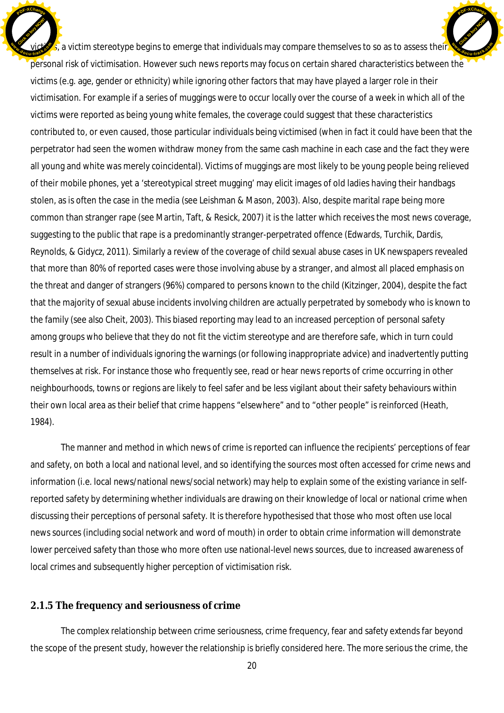$\zeta_i$  a victim stereotype begins to emerge that individuals may compare themselves to so as to assess their personal risk of victimisation. However such news reports may focus on certain shared characteristics between the victims (e.g. age, gender or ethnicity) while ignoring other factors that may have played a larger role in their victimisation. For example if a series of muggings were to occur locally over the course of a week in which all of the victims were reported as being young white females, the coverage could suggest that these characteristics contributed to, or even caused, those particular individuals being victimised (when in fact it could have been that the perpetrator had seen the women withdraw money from the same cash machine in each case and the fact they were all young and white was merely coincidental). Victims of muggings are most likely to be young people being relieved of their mobile phones, yet a 'stereotypical street mugging' may elicit images of old ladies having their handbags stolen, as is often the case in the media (see Leishman & Mason, 2003). Also, despite marital rape being more common than stranger rape (see Martin, Taft, & Resick, 2007) it is the latter which receives the most news coverage, suggesting to the public that rape is a predominantly stranger-perpetrated offence (Edwards, Turchik, Dardis, Reynolds, & Gidycz, 2011). Similarly a review of the coverage of child sexual abuse cases in UK newspapers revealed that more than 80% of reported cases were those involving abuse by a stranger, and almost all placed emphasis on the threat and danger of strangers (96%) compared to persons known to the child (Kitzinger, 2004), despite the fact that the majority of sexual abuse incidents involving children are actually perpetrated by somebody who is known to the family (see also Cheit, 2003). This biased reporting may lead to an increased perception of personal safety among groups who believe that they do not fit the victim stereotype and are therefore safe, which in turn could result in a number of individuals ignoring the warnings (or following inappropriate advice) and inadvertently putting themselves at risk. For instance those who frequently see, read or hear news reports of crime occurring in other neighbourhoods, towns or regions are likely to feel safer and be less vigilant about their safety behaviours within their own local area as their belief that crime happens "elsewhere" and to "other people" is reinforced (Heath, 1984). Click to buy Now! **<sup>w</sup>ww.docu-track.co<sup>m</sup>** [Click to buy NOW!](http://www.docu-track.com/buy/) **<sup>w</sup>ww.docu-track.co<sup>m</sup>**

**<sup>P</sup>DF-XChang<sup>e</sup>**

The manner and method in which news of crime is reported can influence the recipients' perceptions of fear and safety, on both a local and national level, and so identifying the sources most often accessed for crime news and information (i.e. local news/national news/social network) may help to explain some of the existing variance in selfreported safety by determining whether individuals are drawing on their knowledge of local or national crime when discussing their perceptions of personal safety. It is therefore hypothesised that those who most often use local news sources (including social network and word of mouth) in order to obtain crime information will demonstrate lower perceived safety than those who more often use national-level news sources, due to increased awareness of local crimes and subsequently higher perception of victimisation risk.

#### 2.1.5 The frequency and seriousness of crime

**<sup>P</sup>DF-XChang<sup>e</sup>**

The complex relationship between crime seriousness, crime frequency, fear and safety extends far beyond the scope of the present study, however the relationship is briefly considered here. The more serious the crime, the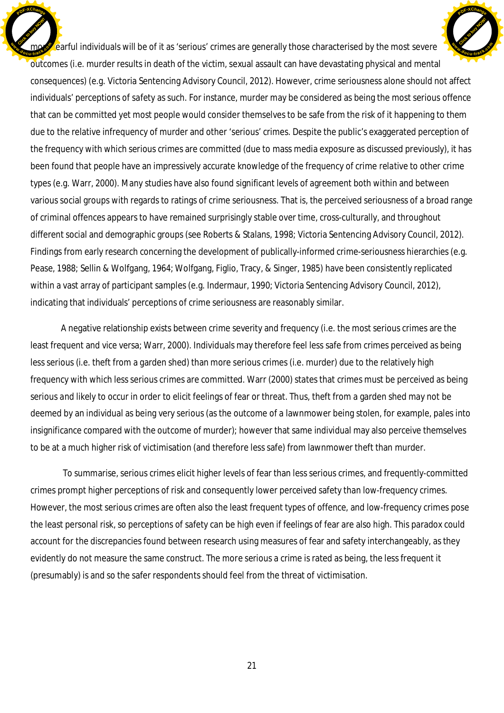earful individuals will be of it as 'serious' crimes are generally those characterised by the most severe outcomes (i.e. murder results in death of the victim, sexual assault can have devastating physical and mental consequences) (e.g. Victoria Sentencing Advisory Council, 2012). However, crime seriousness alone should not affect individuals' perceptions of *safety* as such. For instance, murder may be considered as being the most serious offence that can be committed yet most people would consider themselves to be safe from the risk of it happening to them due to the relative infrequency of murder and other 'serious' crimes. Despite the public's exaggerated perception of the frequency with which serious crimes are committed (due to mass media exposure as discussed previously), it has been found that people have an impressively accurate knowledge of the frequency of crime *relative* to other crime types (e.g. Warr, 2000). Many studies have also found significant levels of agreement both within and between various social groups with regards to ratings of crime seriousness. That is, the perceived seriousness of a broad range of criminal offences appears to have remained surprisingly stable over time, cross-culturally, and throughout different social and demographic groups (see Roberts & Stalans, 1998; Victoria Sentencing Advisory Council, 2012). Findings from early research concerning the development of publically-informed crime-seriousness hierarchies (e.g. Pease, 1988; Sellin & Wolfgang, 1964; Wolfgang, Figlio, Tracy, & Singer, 1985) have been consistently replicated within a vast array of participant samples (e.g. Indermaur, 1990; Victoria Sentencing Advisory Council, 2012), indicating that individuals' perceptions of crime seriousness are reasonably similar. Click to buy Now! **<sup>w</sup>ww.docu-track.co<sup>m</sup>** [Click to buy NOW!](http://www.docu-track.com/buy/) **<sup>w</sup>ww.docu-track.co<sup>m</sup>**

**<sup>P</sup>DF-XChang<sup>e</sup>**

**<sup>P</sup>DF-XChang<sup>e</sup>**

A negative relationship exists between crime severity and frequency (i.e. the most serious crimes are the least frequent and vice versa; Warr, 2000). Individuals may therefore feel less safe from crimes perceived as being less serious (i.e. theft from a garden shed) than more serious crimes (i.e. murder) due to the relatively high frequency with which less serious crimes are committed. Warr (2000) states that crimes must be perceived as being serious *and* likely to occur in order to elicit feelings of fear or threat. Thus, theft from a garden shed may not be deemed by an individual as being very serious (as the outcome of a lawnmower being stolen, for example, pales into insignificance compared with the outcome of murder); however that same individual may also perceive themselves to be at a much higher risk of victimisation (and therefore less safe) from lawnmower theft than murder.

 To summarise, serious crimes elicit higher levels of fear than less serious crimes, and frequently-committed crimes prompt higher perceptions of risk and consequently lower perceived safety than low-frequency crimes. However, the most serious crimes are often also the least frequent types of offence, and low-frequency crimes pose the least personal risk, so perceptions of safety can be high even if feelings of fear are also high. This paradox could account for the discrepancies found between research using measures of fear and safety interchangeably, as they evidently do not measure the same construct. The more serious a crime is rated as being, the less frequent it (presumably) is and so the safer respondents should feel from the threat of victimisation.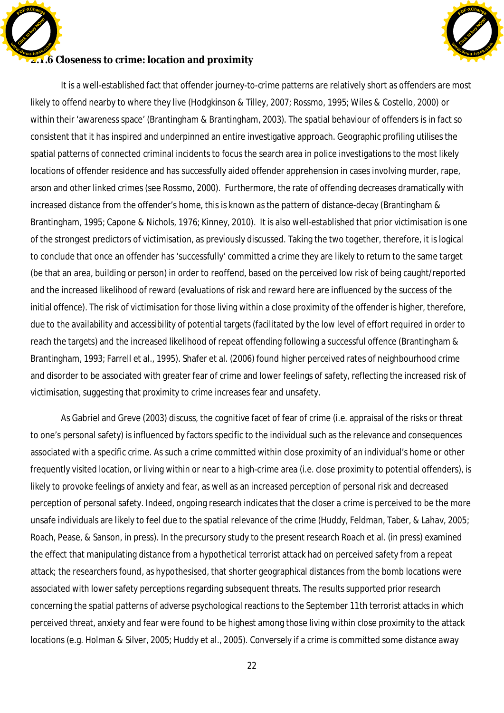

### **2.1.6** Closeness to crime: location and proximity **<sup>w</sup>ww.docu-track.co<sup>m</sup>**

Click to buy Now!

**<sup>P</sup>DF-XChang<sup>e</sup>**

It is a well-established fact that offender journey-to-crime patterns are relatively short as offenders are most likely to offend nearby to where they live (Hodgkinson & Tilley, 2007; Rossmo, 1995; Wiles & Costello, 2000) or within their 'awareness space' (Brantingham & Brantingham, 2003). The spatial behaviour of offenders is in fact so consistent that it has inspired and underpinned an entire investigative approach. Geographic profiling utilises the spatial patterns of connected criminal incidents to focus the search area in police investigations to the most likely locations of offender residence and has successfully aided offender apprehension in cases involving murder, rape, arson and other linked crimes (see Rossmo, 2000). Furthermore, the rate of offending decreases dramatically with increased distance from the offender's home, this is known as the pattern of distance-decay (Brantingham & Brantingham, 1995; Capone & Nichols, 1976; Kinney, 2010). It is also well-established that prior victimisation is one of the strongest predictors of victimisation, as previously discussed. Taking the two together, therefore, it is logical to conclude that once an offender has 'successfully' committed a crime they are likely to return to the same target (be that an area, building or person) in order to reoffend, based on the perceived low risk of being caught/reported and the increased likelihood of reward (evaluations of risk and reward here are influenced by the success of the initial offence). The risk of victimisation for those living within a close proximity of the offender is higher, therefore, due to the availability and accessibility of potential targets (facilitated by the low level of effort required in order to reach the targets) and the increased likelihood of repeat offending following a successful offence (Brantingham & Brantingham, 1993; Farrell et al., 1995). Shafer et al. (2006) found higher perceived rates of neighbourhood crime and disorder to be associated with greater fear of crime and lower feelings of safety, reflecting the increased risk of victimisation, suggesting that proximity to crime increases fear and unsafety.

As Gabriel and Greve (2003) discuss, the cognitive facet of fear of crime (i.e. appraisal of the risks or threat to one's personal safety) is influenced by factors specific to the individual such as the relevance and consequences associated with a specific crime. As such a crime committed within close proximity of an individual's home or other frequently visited location, or living within or near to a high-crime area (i.e. close proximity to potential offenders), is likely to provoke feelings of anxiety and fear, as well as an increased perception of personal risk and decreased perception of personal safety. Indeed, ongoing research indicates that the closer a crime is perceived to be the more unsafe individuals are likely to feel due to the spatial relevance of the crime (Huddy, Feldman, Taber, & Lahav, 2005; Roach, Pease, & Sanson, in press). In the precursory study to the present research Roach et al. (in press) examined the effect that manipulating distance from a hypothetical terrorist attack had on perceived safety from a repeat attack; the researchers found, as hypothesised, that shorter geographical distances from the bomb locations were associated with lower safety perceptions regarding subsequent threats. The results supported prior research concerning the spatial patterns of adverse psychological reactions to the September 11th terrorist attacks in which perceived threat, anxiety and fear were found to be highest among those living within close proximity to the attack locations (e.g. Holman & Silver, 2005; Huddy et al., 2005). Conversely if a crime is committed some distance away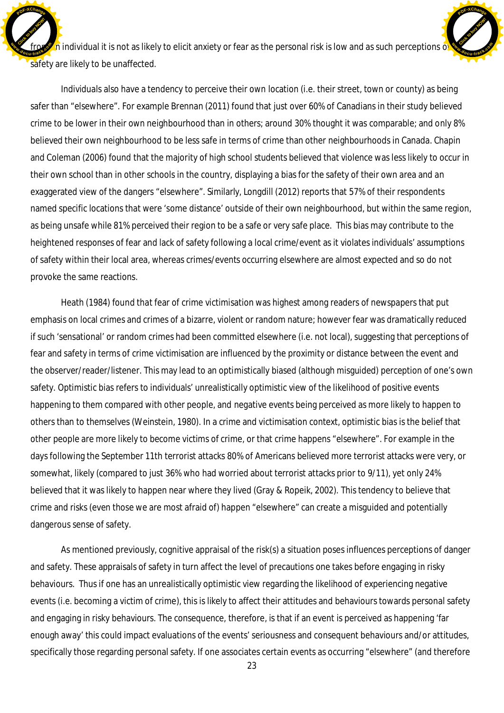$\Gamma$ n individual it is not as likely to elicit anxiety or fear as the personal risk is low and as such perceptions of safety are likely to be unaffected. Click to buy Now! **fra**<br> **d***<b>c* 

[Click to buy NOW!](http://www.docu-track.com/buy/)

**<sup>w</sup>ww.docu-track.co<sup>m</sup>**

**<sup>P</sup>DF-XChang<sup>e</sup>**

**<sup>P</sup>DF-XChang<sup>e</sup>**

Individuals also have a tendency to perceive their own location (i.e. their street, town or county) as being safer than "elsewhere". For example Brennan (2011) found that just over 60% of Canadians in their study believed crime to be lower in their own neighbourhood than in others; around 30% thought it was comparable; and only 8% believed their own neighbourhood to be less safe in terms of crime than other neighbourhoods in Canada. Chapin and Coleman (2006) found that the majority of high school students believed that violence was less likely to occur in their own school than in other schools in the country, displaying a bias for the safety of their own area and an exaggerated view of the dangers "elsewhere". Similarly, Longdill (2012) reports that 57% of their respondents named specific locations that were 'some distance' outside of their own neighbourhood, but within the same region, as being unsafe while 81% perceived their region to be a safe or very safe place. This bias may contribute to the heightened responses of fear and lack of safety following a local crime/event as it violates individuals' assumptions of safety within their local area, whereas crimes/events occurring elsewhere are almost expected and so do not provoke the same reactions.

Heath (1984) found that fear of crime victimisation was highest among readers of newspapers that put emphasis on local crimes and crimes of a bizarre, violent or random nature; however fear was dramatically reduced if such 'sensational' or random crimes had been committed elsewhere (i.e. not local), suggesting that perceptions of fear and safety in terms of crime victimisation are influenced by the proximity or distance between the event and the observer/reader/listener. This may lead to an optimistically biased (although misguided) perception of one's own safety. Optimistic bias refers to individuals' unrealistically optimistic view of the likelihood of positive events happening to them compared with other people, and negative events being perceived as more likely to happen to others than to themselves (Weinstein, 1980). In a crime and victimisation context, optimistic bias is the belief that other people are more likely to become victims of crime, or that crime happens "elsewhere". For example in the days following the September 11th terrorist attacks 80% of Americans believed more terrorist attacks were very, or somewhat, likely (compared to just 36% who had worried about terrorist attacks prior to 9/11), yet only 24% believed that it was likely to happen near where they lived (Gray & Ropeik, 2002). This tendency to believe that crime and risks (even those we are most afraid of) happen "elsewhere" can create a misguided and potentially dangerous sense of safety.

As mentioned previously, cognitive appraisal of the risk(s) a situation poses influences perceptions of danger and safety. These appraisals of safety in turn affect the level of precautions one takes before engaging in risky behaviours. Thus if one has an unrealistically optimistic view regarding the likelihood of experiencing negative events (i.e. becoming a victim of crime), this is likely to affect their attitudes and behaviours towards personal safety and engaging in risky behaviours. The consequence, therefore, is that if an event is perceived as happening 'far enough away' this could impact evaluations of the events' seriousness and consequent behaviours and/or attitudes, specifically those regarding personal safety. If one associates certain events as occurring "elsewhere" (and therefore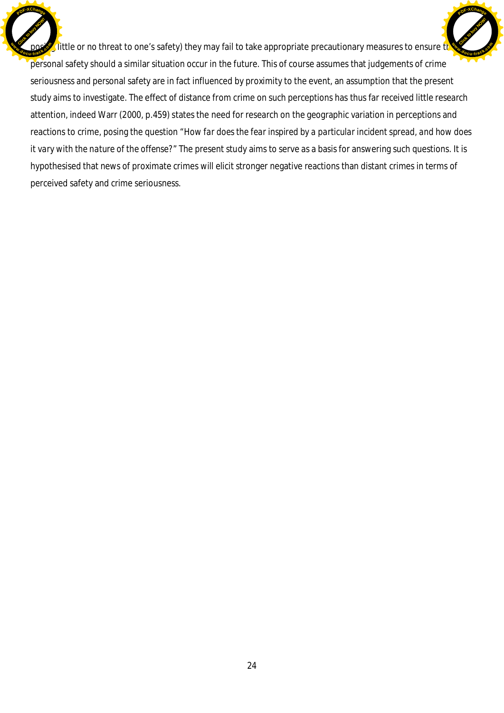I little or no threat to one's safety) they may fail to take appropriate precautionary measures to ensure the personal safety should a similar situation occur in the future. This of course assumes that judgements of crime seriousness and personal safety are in fact influenced by proximity to the event, an assumption that the present study aims to investigate. The effect of distance from crime on such perceptions has thus far received little research attention, indeed Warr (2000, p.459) states the need for research on the geographic variation in perceptions and reactions to crime, posing the question "*How far does the fear inspired by a particular incident spread, and how does it vary with the nature of the offense?*" The present study aims to serve as a basis for answering such questions. It is hypothesised that news of proximate crimes will elicit stronger negative reactions than distant crimes in terms of perceived safety and crime seriousness. Click to buy Now! **<sup>w</sup>ww.docu-track.co<sup>m</sup>** [Click to buy NOW!](http://www.docu-track.com/buy/) **<sup>w</sup>ww.docu-track.co<sup>m</sup>**

**<sup>P</sup>DF-XChang<sup>e</sup>**

**<sup>P</sup>DF-XChang<sup>e</sup>**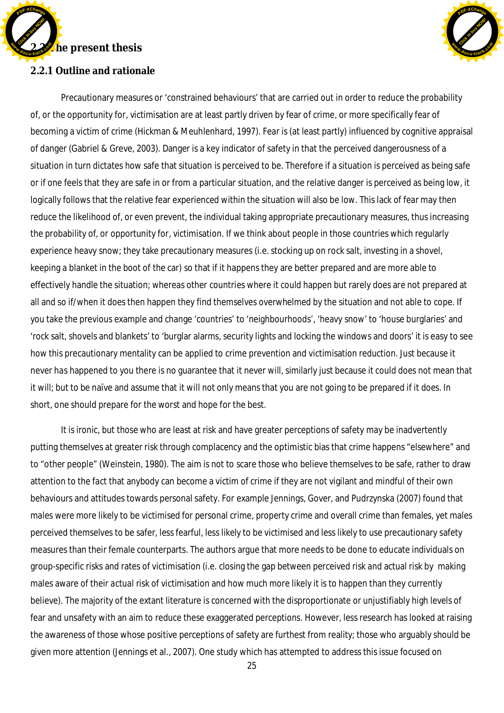



**2.2.1 Outline and rationale** 

Precautionary measures or 'constrained behaviours' that are carried out in order to reduce the probability of, or the opportunity for, victimisation are at least partly driven by fear of crime, or more specifically fear of becoming a victim of crime (Hickman & Meuhlenhard, 1997). Fear is (at least partly) influenced by cognitive appraisal of danger (Gabriel & Greve, 2003). Danger is a key indicator of safety in that the perceived dangerousness of a situation in turn dictates how safe that situation is perceived to be. Therefore if a situation is perceived as being safe or if one feels that they are safe in or from a particular situation, and the relative danger is perceived as being low, it logically follows that the relative fear experienced within the situation will also be low. This lack of fear may then reduce the likelihood of, or even prevent, the individual taking appropriate precautionary measures, thus increasing the probability of, or opportunity for, victimisation. If we think about people in those countries which regularly experience heavy snow; they take precautionary measures (i.e. stocking up on rock salt, investing in a shovel, keeping a blanket in the boot of the car) so that if it happens they are better prepared and are more able to effectively handle the situation; whereas other countries where it *could* happen but rarely does are not prepared at all and so if/when it does then happen they find themselves overwhelmed by the situation and not able to cope. If you take the previous example and change 'countries' to 'neighbourhoods', 'heavy snow' to 'house burglaries' and 'rock salt, shovels and blankets' to 'burglar alarms, security lights and locking the windows and doors' it is easy to see how this precautionary mentality can be applied to crime prevention and victimisation reduction. Just because it never *has* happened to you there is no guarantee that it never *will*, similarly just because it *could* does not mean that it *will*; but to be naïve and assume that it *will not* only means that you are not going to be prepared if it *does*. In short, one should prepare for the worst and hope for the best.

It is ironic, but those who are least at risk and have greater perceptions of safety may be inadvertently putting themselves at greater risk through complacency and the optimistic bias that crime happens "elsewhere" and to "other people" (Weinstein, 1980). The aim is not to scare those who believe themselves to be safe, rather to draw attention to the fact that anybody can become a victim of crime if they are not vigilant and mindful of their own behaviours and attitudes towards personal safety. For example Jennings, Gover, and Pudrzynska (2007) found that males were more likely to be victimised for personal crime, property crime and overall crime than females, yet males perceived themselves to be safer, less fearful, less likely to be victimised and less likely to use precautionary safety measures than their female counterparts. The authors argue that more needs to be done to educate individuals on group-specific risks and rates of victimisation (i.e. closing the gap between perceived risk and actual risk by making males aware of their *actual* risk of victimisation and how much more likely it is to happen than they currently believe). The majority of the extant literature is concerned with the disproportionate or unjustifiably high levels of fear and unsafety with an aim to reduce these exaggerated perceptions. However, less research has looked at raising the awareness of those whose positive perceptions of safety are furthest from reality; those who arguably should be given more attention (Jennings et al., 2007). One study which has attempted to address this issue focused on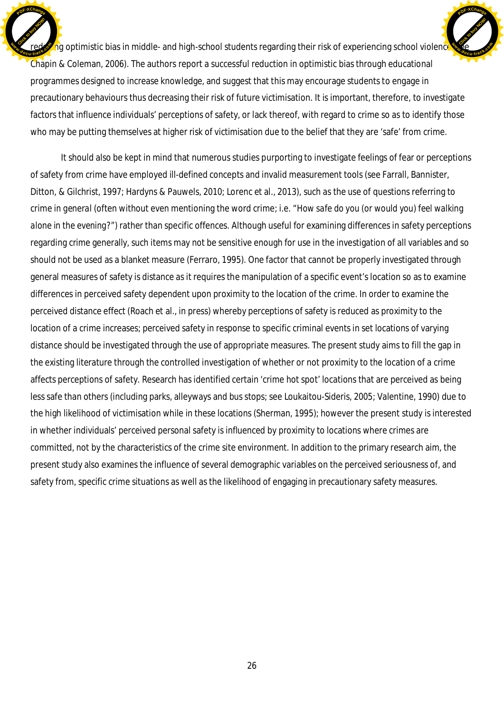$\log$  optimistic bias in middle- and high-school students regarding their risk of experiencing school violence Chapin & Coleman, 2006). The authors report a successful reduction in optimistic bias through educational programmes designed to increase knowledge, and suggest that this may encourage students to engage in precautionary behaviours thus decreasing their risk of future victimisation. It is important, therefore, to investigate factors that influence individuals' perceptions of safety, or lack thereof, with regard to crime so as to identify those who may be putting themselves at higher risk of victimisation due to the belief that they are 'safe' from crime. Click to buy Now! **<sup>w</sup>ww.docu-track.co<sup>m</sup> [Click to buy NOW!](http://www.docu-track.com/buy/) <sup>w</sup>ww.docu-track.co<sup>m</sup>**

**<sup>P</sup>DF-XChang<sup>e</sup>**

**<sup>P</sup>DF-XChang<sup>e</sup>**

It should also be kept in mind that numerous studies purporting to investigate feelings of fear or perceptions of safety from crime have employed ill-defined concepts and invalid measurement tools (see Farrall, Bannister, Ditton, & Gilchrist, 1997; Hardyns & Pauwels, 2010; Lorenc et al., 2013), such as the use of questions referring to crime *in general* (often without even mentioning the word crime; i.e. "*How safe do you (or would you) feel walking alone in the evening?*") rather than specific offences. Although useful for examining differences in safety perceptions regarding crime generally, such items may not be sensitive enough for use in the investigation of all variables and so should not be used as a blanket measure (Ferraro, 1995). One factor that cannot be properly investigated through general measures of safety is distance as it requires the manipulation of a specific event's location so as to examine differences in perceived safety dependent upon proximity to the location of the crime. In order to examine the perceived distance effect (Roach et al., in press) whereby perceptions of safety is reduced as proximity to the location of a crime increases; perceived safety in response to specific criminal events in set locations of varying distance should be investigated through the use of appropriate measures. The present study aims to fill the gap in the existing literature through the controlled investigation of whether or not proximity to the location of a crime affects perceptions of safety. Research has identified certain 'crime hot spot' locations that are perceived as being less safe than others (including parks, alleyways and bus stops; see Loukaitou-Sideris, 2005; Valentine, 1990) due to the high likelihood of victimisation while in these locations (Sherman, 1995); however the present study is interested in whether individuals' perceived personal safety is influenced by *proximity* to locations where crimes are committed, not by the characteristics of the crime site environment. In addition to the primary research aim, the present study also examines the influence of several demographic variables on the perceived seriousness of, and safety from, specific crime situations as well as the likelihood of engaging in precautionary safety measures.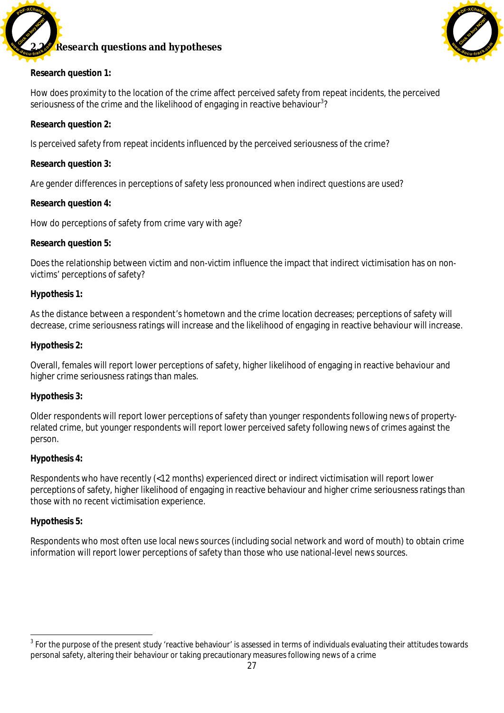

## **2.2.2 Research questions and hypotheses**



**Research question 1:**

How does proximity to the location of the crime affect perceived safety from repeat incidents, the perceived seriousness of the crime and the likelihood of engaging in reactive behaviour $3$ ?

**Research question 2:**

Is perceived safety from repeat incidents influenced by the perceived seriousness of the crime?

**Research question 3:**

Are gender differences in perceptions of safety less pronounced when indirect questions are used?

**Research question 4:**

How do perceptions of safety from crime vary with age?

**Research question 5:**

Does the relationship between victim and non-victim influence the impact that indirect victimisation has on nonvictims' perceptions of safety?

### **Hypothesis 1:**

As the distance between a respondent's hometown and the crime location decreases; perceptions of safety will decrease, crime seriousness ratings will increase and the likelihood of engaging in reactive behaviour will increase.

**Hypothesis 2:**

Overall, females will report lower perceptions of safety, higher likelihood of engaging in reactive behaviour and higher crime seriousness ratings than males.

#### **Hypothesis 3:**

Older respondents will report lower perceptions of safety than younger respondents following news of propertyrelated crime, but younger respondents will report lower perceived safety following news of crimes against the person.

### **Hypothesis 4:**

Respondents who have recently (<12 months) experienced direct or indirect victimisation will report lower perceptions of safety, higher likelihood of engaging in reactive behaviour and higher crime seriousness ratings than those with no recent victimisation experience.

### **Hypothesis 5:**

Respondents who most often use local news sources (including social network and word of mouth) to obtain crime information will report lower perceptions of safety than those who use national-level news sources.

 $^3$  For the purpose of the present study 'reactive behaviour' is assessed in terms of individuals evaluating their attitudes towards personal safety, altering their behaviour or taking precautionary measures following news of a crime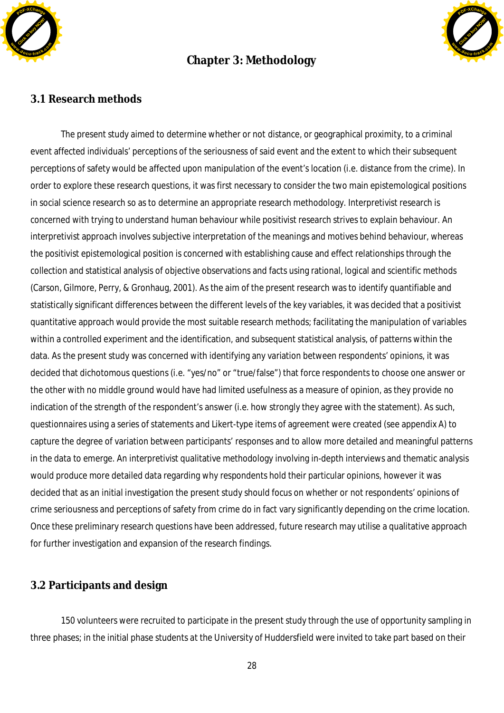

# **Chapter 3: Methodology**



### **3.1 Research methods**

The present study aimed to determine whether or not distance, or geographical proximity, to a criminal event affected individuals' perceptions of the seriousness of said event and the extent to which their subsequent perceptions of safety would be affected upon manipulation of the event's location (i.e. distance from the crime). In order to explore these research questions, it was first necessary to consider the two main epistemological positions in social science research so as to determine an appropriate research methodology. Interpretivist research is concerned with trying to *understand* human behaviour while positivist research strives to *explain* behaviour. An interpretivist approach involves subjective interpretation of the meanings and motives behind behaviour, whereas the positivist epistemological position is concerned with establishing cause and effect relationships through the collection and statistical analysis of objective observations and facts using rational, logical and scientific methods (Carson, Gilmore, Perry, & Gronhaug, 2001). As the aim of the present research was to identify quantifiable and statistically significant differences between the different levels of the key variables, it was decided that a positivist quantitative approach would provide the most suitable research methods; facilitating the manipulation of variables within a controlled experiment and the identification, and subsequent statistical analysis, of patterns within the data. As the present study was concerned with identifying any variation between respondents' opinions, it was decided that dichotomous questions (i.e. "yes/no" or "true/false") that force respondents to choose one answer or the other with no middle ground would have had limited usefulness as a measure of opinion, as they provide no indication of the strength of the respondent's answer (i.e. how strongly they agree with the statement). As such, questionnaires using a series of statements and Likert-type items of agreement were created (see appendix A) to capture the degree of variation between participants' responses and to allow more detailed and meaningful patterns in the data to emerge. An interpretivist qualitative methodology involving in-depth interviews and thematic analysis would produce more detailed data regarding *why* respondents hold their particular opinions, however it was decided that as an initial investigation the present study should focus on whether or not respondents' opinions of crime seriousness and perceptions of safety from crime do in fact vary significantly depending on the crime location. Once these preliminary research questions have been addressed, future research may utilise a qualitative approach for further investigation and expansion of the research findings.

### **3.2 Participants and design**

150 volunteers were recruited to participate in the present study through the use of opportunity sampling in three phases; in the initial phase students at the University of Huddersfield were invited to take part based on their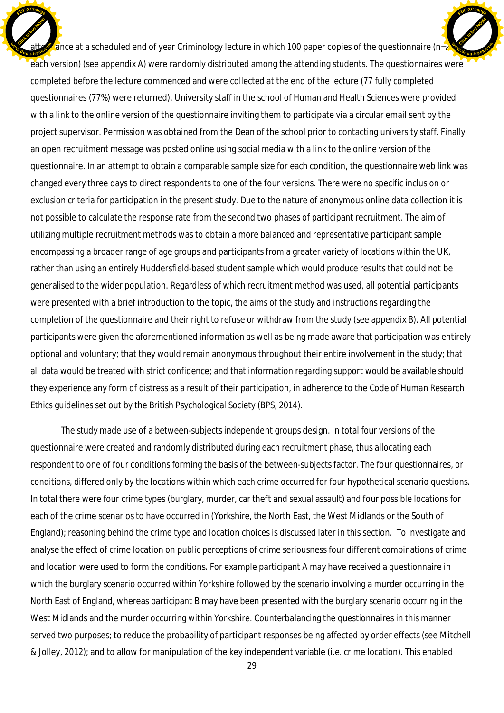ance at a scheduled end of year Criminology lecture in which 100 paper copies of the questionnaire (n= $\frac{2}{5}$ each version) (see appendix A) were randomly distributed among the attending students. The questionnaires were completed before the lecture commenced and were collected at the end of the lecture (77 fully completed questionnaires (77%) were returned). University staff in the school of Human and Health Sciences were provided with a link to the online version of the questionnaire inviting them to participate via a circular email sent by the project supervisor. Permission was obtained from the Dean of the school prior to contacting university staff. Finally an open recruitment message was posted online using social media with a link to the online version of the questionnaire. In an attempt to obtain a comparable sample size for each condition, the questionnaire web link was changed every three days to direct respondents to one of the four versions. There were no specific inclusion or exclusion criteria for participation in the present study. Due to the nature of anonymous online data collection it is not possible to calculate the response rate from the second two phases of participant recruitment. The aim of utilizing multiple recruitment methods was to obtain a more balanced and representative participant sample encompassing a broader range of age groups and participants from a greater variety of locations within the UK, rather than using an entirely Huddersfield-based student sample which would produce results that could not be generalised to the wider population. Regardless of which recruitment method was used, all potential participants were presented with a brief introduction to the topic, the aims of the study and instructions regarding the completion of the questionnaire and their right to refuse or withdraw from the study (see appendix B). All potential participants were given the aforementioned information as well as being made aware that participation was entirely optional and voluntary; that they would remain anonymous throughout their entire involvement in the study; that all data would be treated with strict confidence; and that information regarding support would be available should they experience any form of distress as a result of their participation, in adherence to the *Code of Human Research Ethics* guidelines set out by the British Psychological Society (BPS, 2014). Click to buy Now! **<sup>w</sup>ww.docu-track.co<sup>m</sup>** [Click to buy NOW!](http://www.docu-track.com/buy/) **<sup>w</sup>ww.docu-track.co<sup>m</sup>**

**<sup>P</sup>DF-XChang<sup>e</sup>**

**<sup>P</sup>DF-XChang<sup>e</sup>**

The study made use of a between-subjects independent groups design. In total four versions of the questionnaire were created and randomly distributed during each recruitment phase, thus allocating each respondent to one of four conditions forming the basis of the between-subjects factor. The four questionnaires, or conditions, differed only by the locations within which each crime occurred for four hypothetical scenario questions. In total there were four crime types (burglary, murder, car theft and sexual assault) and four possible locations for each of the crime scenarios to have occurred in (Yorkshire, the North East, the West Midlands or the South of England); reasoning behind the crime type and location choices is discussed later in this section. To investigate and analyse the effect of crime location on public perceptions of crime seriousness four different combinations of crime and location were used to form the conditions. For example participant A may have received a questionnaire in which the burglary scenario occurred within Yorkshire followed by the scenario involving a murder occurring in the North East of England, whereas participant B may have been presented with the burglary scenario occurring in the West Midlands and the murder occurring within Yorkshire. Counterbalancing the questionnaires in this manner served two purposes; to reduce the probability of participant responses being affected by order effects (see Mitchell & Jolley, 2012); and to allow for manipulation of the key independent variable (i.e. crime location). This enabled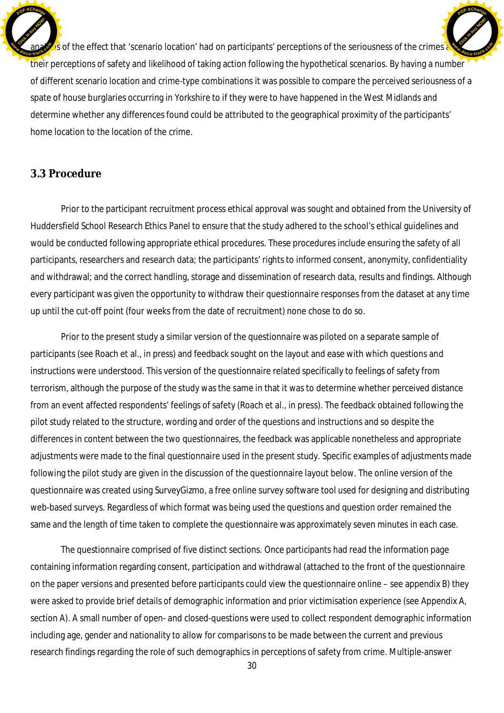is of the effect that 'scenario location' had on participants' perceptions of the seriousness of the crimes and their perceptions of safety and likelihood of taking action following the hypothetical scenarios. By having a number of different scenario location and crime-type combinations it was possible to compare the perceived seriousness of a spate of house burglaries occurring in Yorkshire to if they were to have happened in the West Midlands and determine whether any differences found could be attributed to the geographical proximity of the participants' home location to the location of the crime. Click to buy Now! **<sup>w</sup>ww.docu-track.co<sup>m</sup>** [Click to buy NOW!](http://www.docu-track.com/buy/) **<sup>w</sup>ww.docu-track.co<sup>m</sup>**

**<sup>P</sup>DF-XChang<sup>e</sup>**

### **3.3 Procedure**

**<sup>P</sup>DF-XChang<sup>e</sup>**

Prior to the participant recruitment process ethical approval was sought and obtained from the University of Huddersfield School Research Ethics Panel to ensure that the study adhered to the school's ethical guidelines and would be conducted following appropriate ethical procedures. These procedures include ensuring the safety of all participants, researchers and research data; the participants' rights to informed consent, anonymity, confidentiality and withdrawal; and the correct handling, storage and dissemination of research data, results and findings. Although every participant was given the opportunity to withdraw their questionnaire responses from the dataset at any time up until the cut-off point (four weeks from the date of recruitment) none chose to do so.

Prior to the present study a similar version of the questionnaire was piloted on a separate sample of participants (see Roach et al., in press) and feedback sought on the layout and ease with which questions and instructions were understood. This version of the questionnaire related specifically to feelings of safety from terrorism, although the purpose of the study was the same in that it was to determine whether perceived distance from an event affected respondents' feelings of safety (Roach et al., in press). The feedback obtained following the pilot study related to the structure, wording and order of the questions and instructions and so despite the differences in content between the two questionnaires, the feedback was applicable nonetheless and appropriate adjustments were made to the final questionnaire used in the present study. Specific examples of adjustments made following the pilot study are given in the discussion of the questionnaire layout below. The online version of the questionnaire was created using SurveyGizmo, a free online survey software tool used for designing and distributing web-based surveys. Regardless of which format was being used the questions and question order remained the same and the length of time taken to complete the questionnaire was approximately seven minutes in each case.

The questionnaire comprised of five distinct sections. Once participants had read the information page containing information regarding consent, participation and withdrawal (attached to the front of the questionnaire on the paper versions and presented before participants could view the questionnaire online – see appendix B) they were asked to provide brief details of demographic information and prior victimisation experience (see Appendix A, section A). A small number of open- and closed-questions were used to collect respondent demographic information including age, gender and nationality to allow for comparisons to be made between the current and previous research findings regarding the role of such demographics in perceptions of safety from crime. Multiple-answer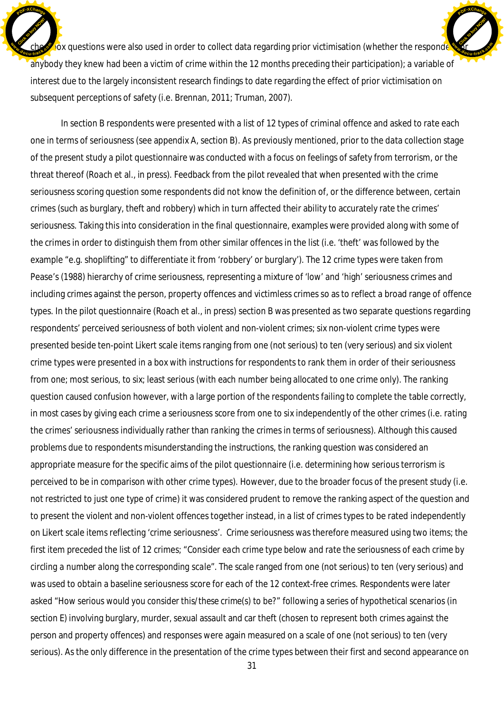$\sqrt{\omega}$  questions were also used in order to collect data regarding prior victimisation (whether the respondent or anybody they knew had been a victim of crime within the 12 months preceding their participation); a variable of interest due to the largely inconsistent research findings to date regarding the effect of prior victimisation on subsequent perceptions of safety (i.e. Brennan, 2011; Truman, 2007). Click to buy Now! **cdc***<b>d*. [Click to buy NOW!](http://www.docu-track.com/buy/) **<sup>w</sup>ww.docu-track.co<sup>m</sup>**

**<sup>P</sup>DF-XChang<sup>e</sup>**

**<sup>P</sup>DF-XChang<sup>e</sup>**

In section B respondents were presented with a list of 12 types of criminal offence and asked to rate each one in terms of seriousness (see appendix A, section B). As previously mentioned, prior to the data collection stage of the present study a pilot questionnaire was conducted with a focus on feelings of safety from terrorism, or the threat thereof (Roach et al., in press). Feedback from the pilot revealed that when presented with the crime seriousness scoring question some respondents did not know the definition of, or the difference between, certain crimes (such as burglary, theft and robbery) which in turn affected their ability to accurately rate the crimes' seriousness. Taking this into consideration in the final questionnaire, examples were provided along with some of the crimes in order to distinguish them from other similar offences in the list (i.e. 'theft' was followed by the example "e.g. shoplifting" to differentiate it from 'robbery' or burglary'). The 12 crime types were taken from Pease's (1988) hierarchy of crime seriousness, representing a mixture of 'low' and 'high' seriousness crimes and including crimes against the person, property offences and victimless crimes so as to reflect a broad range of offence types. In the pilot questionnaire (Roach et al., in press) section B was presented as two separate questions regarding respondents' perceived seriousness of both violent and non-violent crimes; six non-violent crime types were presented beside ten-point Likert scale items ranging from one (not serious) to ten (very serious) and six violent crime types were presented in a box with instructions for respondents to rank them in order of their seriousness from one; most serious, to six; least serious (with each number being allocated to one crime only). The ranking question caused confusion however, with a large portion of the respondents failing to complete the table correctly, in most cases by giving each crime a seriousness score from one to six independently of the other crimes (i.e. *rating* the crimes' seriousness individually rather than *ranking* the crimes in terms of seriousness). Although this caused problems due to respondents misunderstanding the instructions, the ranking question was considered an appropriate measure for the specific aims of the pilot questionnaire (i.e. determining how serious terrorism is perceived to be in comparison with other crime types). However, due to the broader focus of the present study (i.e. not restricted to just one type of crime) it was considered prudent to remove the ranking aspect of the question and to present the violent and non-violent offences together instead, in a list of crimes types to be rated independently on Likert scale items reflecting 'crime seriousness'. *Crime seriousness* was therefore measured using two items; the first item preceded the list of 12 crimes; "*Consider each crime type below and rate the seriousness of each crime by circling a number along the corresponding scale*". The scale ranged from one (not serious) to ten (very serious) and was used to obtain a baseline seriousness score for each of the 12 context-free crimes. Respondents were later asked "*How serious would you consider this/these crime(s) to be?"* following a series of hypothetical scenarios (in section E) involving burglary, murder, sexual assault and car theft (chosen to represent both crimes against the person and property offences) and responses were again measured on a scale of one (not serious) to ten (very serious). As the only difference in the presentation of the crime types between their first and second appearance on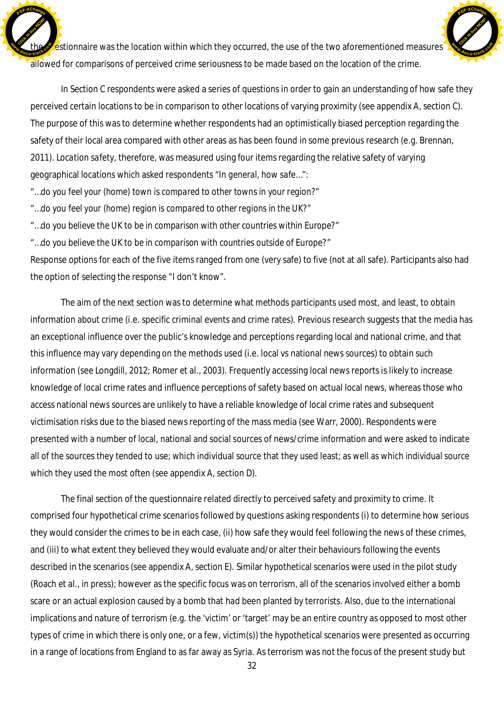estionnaire was the location within which they occurred, the use of the two aforementioned measures allowed for comparisons of perceived crime seriousness to be made based on the location of the crime. Click to buy Now! **dp**<br>**cu-track.co**<sup>t</sup>

In Section C respondents were asked a series of questions in order to gain an understanding of how safe they perceived certain locations to be in comparison to other locations of varying proximity (see appendix A, section C). The purpose of this was to determine whether respondents had an optimistically biased perception regarding the safety of their local area compared with other areas as has been found in some previous research (e.g. Brennan, 2011). *Location safety,* therefore*,* was measured using four items regarding the relative safety of varying geographical locations which asked respondents "*In general, how safe…*":

[Click to buy NOW!](http://www.docu-track.com/buy/)

**<sup>w</sup>ww.docu-track.co<sup>m</sup>**

**<sup>P</sup>DF-XChang<sup>e</sup>**

- *"…do you feel your (home) town is compared to other towns in your region?"*
- *"…do you feel your (home) region is compared to other regions in the UK?"*

**<sup>P</sup>DF-XChang<sup>e</sup>**

*"…do you believe the UK to be in comparison with other countries within Europe?"*

*"…do you believe the UK to be in comparison with countries outside of Europe?*"

Response options for each of the five items ranged from one (very safe) to five (not at all safe). Participants also had the option of selecting the response "I don't know".

The aim of the next section was to determine what methods participants used most, and least, to obtain information about crime (i.e. specific criminal events and crime rates). Previous research suggests that the media has an exceptional influence over the public's knowledge and perceptions regarding local and national crime, and that this influence may vary depending on the methods used (i.e. local vs national news sources) to obtain such information (see Longdill, 2012; Romer et al., 2003). Frequently accessing local news reports is likely to increase knowledge of local crime rates and influence perceptions of safety based on actual local news, whereas those who access national news sources are unlikely to have a reliable knowledge of local crime rates and subsequent victimisation risks due to the biased news reporting of the mass media (see Warr, 2000). Respondents were presented with a number of local, national and social sources of news/crime information and were asked to indicate all of the sources they tended to use; which individual source that they used least; as well as which individual source which they used the most often (see appendix A, section D).

The final section of the questionnaire related directly to perceived safety and proximity to crime. It comprised four hypothetical crime scenarios followed by questions asking respondents (i) to determine how serious they would consider the crimes to be in each case, (ii) how safe they would feel following the news of these crimes, and (iii) to what extent they believed they would evaluate and/or alter their behaviours following the events described in the scenarios (see appendix A, section E). Similar hypothetical scenarios were used in the pilot study (Roach et al., in press); however as the specific focus was on terrorism, all of the scenarios involved either a bomb scare or an actual explosion caused by a bomb that had been planted by terrorists. Also, due to the international implications and nature of terrorism (e.g. the 'victim' or 'target' may be an entire country as opposed to most other types of crime in which there is only one, or a few, victim(s)) the hypothetical scenarios were presented as occurring in a range of locations from England to as far away as Syria. As terrorism was not the focus of the present study but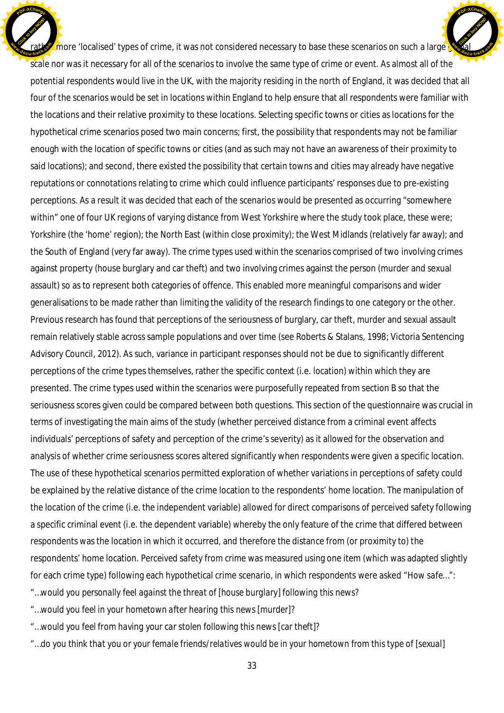$\Gamma$  more 'localised' types of crime, it was not considered necessary to base these scenarios on such a large  $\Gamma$ scale nor was it necessary for all of the scenarios to involve the same type of crime or event. As almost all of the potential respondents would live in the UK, with the majority residing in the north of England, it was decided that all four of the scenarios would be set in locations within England to help ensure that all respondents were familiar with the locations and their relative proximity to these locations. Selecting specific towns or cities as locations for the hypothetical crime scenarios posed two main concerns; first, the possibility that respondents may not be familiar enough with the location of specific towns or cities (and as such may not have an awareness of their proximity to said locations); and second, there existed the possibility that certain towns and cities may already have negative reputations or connotations relating to crime which could influence participants' responses due to pre-existing perceptions. As a result it was decided that each of the scenarios would be presented as occurring "somewhere within" one of four UK regions of varying distance from West Yorkshire where the study took place, these were; Yorkshire (the 'home' region); the North East (within close proximity); the West Midlands (relatively far away); and the South of England (very far away). The crime types used within the scenarios comprised of two involving crimes against property (house burglary and car theft) and two involving crimes against the person (murder and sexual assault) so as to represent both categories of offence. This enabled more meaningful comparisons and wider generalisations to be made rather than limiting the validity of the research findings to one category or the other. Previous research has found that perceptions of the seriousness of burglary, car theft, murder and sexual assault remain relatively stable across sample populations and over time (see Roberts & Stalans, 1998; Victoria Sentencing Advisory Council, 2012). As such, variance in participant responses should not be due to significantly different perceptions of the crime types themselves, rather the specific context (i.e. location) within which they are presented. The crime types used within the scenarios were purposefully repeated from section B so that the seriousness scores given could be compared between both questions. This section of the questionnaire was crucial in terms of investigating the main aims of the study (whether perceived distance from a criminal event affects individuals' perceptions of safety and perception of the crime's severity) as it allowed for the observation and analysis of whether crime seriousness scores altered significantly when respondents were given a specific location. The use of these hypothetical scenarios permitted exploration of whether variations in perceptions of safety could be explained by the relative distance of the crime location to the respondents' home location. The manipulation of the location of the crime (i.e. the independent variable) allowed for direct comparisons of perceived safety following a specific criminal event (i.e. the dependent variable) whereby the only feature of the crime that differed between respondents was the location in which it occurred, and therefore the distance from (or proximity to) the respondents' home location. *Perceived safety from crime* was measured using one item (which was adapted slightly for each crime type) following each hypothetical crime scenario, in which respondents were asked *"How safe…"*: Click to buy Now! **<sup>w</sup>ww.docu-track.co<sup>m</sup>** [Click to buy NOW!](http://www.docu-track.com/buy/) **<sup>w</sup>ww.docu-track.co<sup>m</sup>**

**<sup>P</sup>DF-XChang<sup>e</sup>**

"*…would you personally feel against the threat of [house burglary] following this news?*

*"…would you feel in your hometown after hearing this news [murder]?*

**<sup>P</sup>DF-XChang<sup>e</sup>**

*"…would you feel from having your car stolen following this news [car theft]?*

*"…do you think that you or your female friends/relatives would be in your hometown from this type of [sexual]*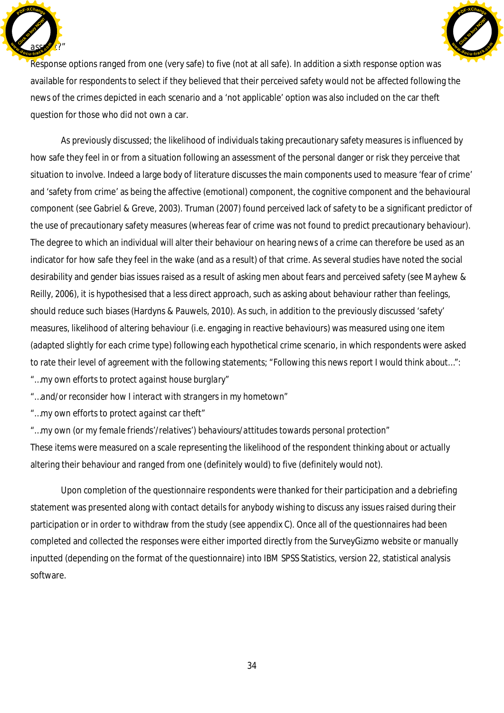



Response options ranged from one (very safe) to five (not at all safe). In addition a sixth response option was available for respondents to select if they believed that their perceived safety would not be affected following the news of the crimes depicted in each scenario and a 'not applicable' option was also included on the car theft question for those who did not own a car.

As previously discussed; the likelihood of individuals taking precautionary safety measures is influenced by how safe they feel in or from a situation following an assessment of the personal danger or risk they perceive that situation to involve. Indeed a large body of literature discusses the main components used to measure 'fear of crime' and 'safety from crime' as being the affective (emotional) component, the cognitive component and the behavioural component (see Gabriel & Greve, 2003). Truman (2007) found perceived lack of safety to be a significant predictor of the use of precautionary safety measures (whereas fear of crime was not found to predict precautionary behaviour). The degree to which an individual will alter their behaviour on hearing news of a crime can therefore be used as an indicator for how safe they feel in the wake (and as a result) of that crime. As several studies have noted the social desirability and gender bias issues raised as a result of asking men about fears and perceived safety (see Mayhew & Reilly, 2006), it is hypothesised that a less direct approach, such as asking about behaviour rather than feelings, should reduce such biases (Hardyns & Pauwels, 2010). As such, in addition to the previously discussed 'safety' measures, *likelihood of altering behaviour* (i.e. engaging in reactive behaviours) was measured using one item (adapted slightly for each crime type) following each hypothetical crime scenario, in which respondents were asked to rate their level of agreement with the following statements; "*Following this news report I would think about…":*

*"…my own efforts to protect against house burglary"*

*"…and/or reconsider how I interact with strangers in my hometown"*

*"…my own efforts to protect against car theft"*

*"…my own (or my female friends'/relatives') behaviours/attitudes towards personal protection"* These items were measured on a scale representing the likelihood of the respondent thinking about or actually altering their behaviour and ranged from one (definitely would) to five (definitely would not).

Upon completion of the questionnaire respondents were thanked for their participation and a debriefing statement was presented along with contact details for anybody wishing to discuss any issues raised during their participation or in order to withdraw from the study (see appendix C). Once all of the questionnaires had been completed and collected the responses were either imported directly from the SurveyGizmo website or manually inputted (depending on the format of the questionnaire) into IBM SPSS Statistics, version 22, statistical analysis software.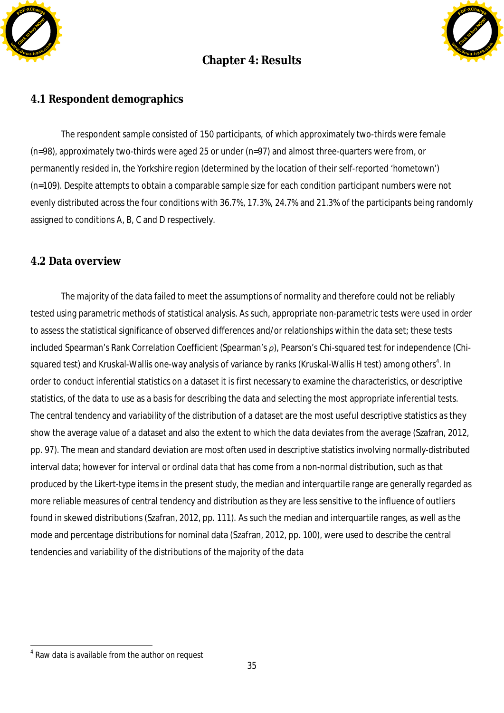

# **Chapter 4: Results**



## **4.1 Respondent demographics**

The respondent sample consisted of 150 participants, of which approximately two-thirds were female (n=98), approximately two-thirds were aged 25 or under (n=97) and almost three-quarters were from, or permanently resided in, the Yorkshire region (determined by the location of their self-reported 'hometown') (n=109). Despite attempts to obtain a comparable sample size for each condition participant numbers were not evenly distributed across the four conditions with 36.7%, 17.3%, 24.7% and 21.3% of the participants being randomly assigned to conditions A, B, C and D respectively.

## **4.2 Data overview**

The majority of the data failed to meet the assumptions of normality and therefore could not be reliably tested using parametric methods of statistical analysis. As such, appropriate non-parametric tests were used in order to assess the statistical significance of observed differences and/or relationships within the data set; these tests included Spearman's Rank Correlation Coefficient (Spearman's  $\rho$ ), Pearson's Chi-squared test for independence (Chisquared test) and Kruskal-Wallis one-way analysis of variance by ranks (Kruskal-Wallis H test) among others<sup>4</sup>. In order to conduct inferential statistics on a dataset it is first necessary to examine the characteristics, or descriptive statistics, of the data to use as a basis for describing the data and selecting the most appropriate inferential tests. The central tendency and variability of the distribution of a dataset are the most useful descriptive statistics as they show the average value of a dataset and also the extent to which the data deviates from the average (Szafran, 2012, pp. 97). The mean and standard deviation are most often used in descriptive statistics involving normally-distributed interval data; however for interval or ordinal data that has come from a non-normal distribution, such as that produced by the Likert-type items in the present study, the median and interquartile range are generally regarded as more reliable measures of central tendency and distribution as they are less sensitive to the influence of outliers found in skewed distributions (Szafran, 2012, pp. 111). As such the median and interquartile ranges, as well as the mode and percentage distributions for nominal data (Szafran, 2012, pp. 100), were used to describe the central tendencies and variability of the distributions of the majority of the data

<sup>&</sup>lt;sup>4</sup> Raw data is available from the author on request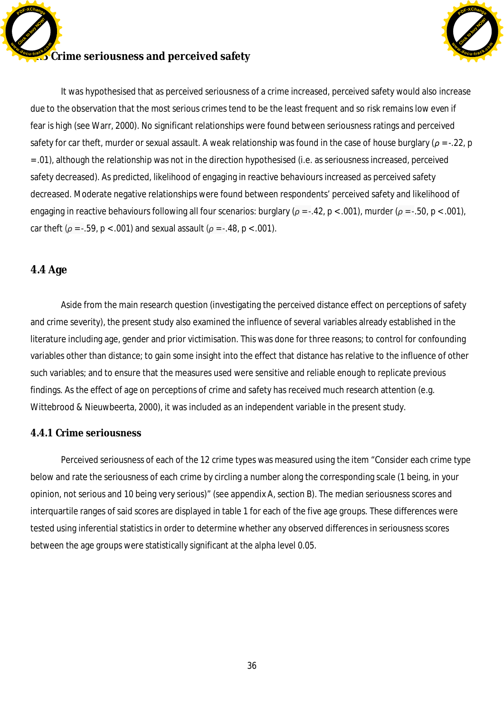**EXALCR** Crime seriousness and perceived safety Click to buy Now! **<sup>P</sup>DF-XChang<sup>e</sup> <sup>w</sup>ww.docu-track.co<sup>m</sup>**



It was hypothesised that as perceived seriousness of a crime increased, perceived safety would also increase due to the observation that the most serious crimes tend to be the least frequent and so risk remains low even if fear is high (see Warr, 2000). No significant relationships were found between seriousness ratings and perceived safety for car theft, murder or sexual assault. A weak relationship was found in the case of house burglary ( $\rho$  = -.22, p = .01), although the relationship was not in the direction hypothesised (i.e. as seriousness increased, perceived safety decreased). As predicted, likelihood of engaging in reactive behaviours increased as perceived safety decreased. Moderate negative relationships were found between respondents' perceived safety and likelihood of engaging in reactive behaviours following all four scenarios: burglary ( $\rho = -42$ ,  $p < .001$ ), murder ( $\rho = -50$ ,  $p < .001$ ), car theft ( $\rho = -0.59$ ,  $p < 0.001$ ) and sexual assault ( $\rho = -0.48$ ,  $p < 0.001$ ).

## **4.4 Age**

Aside from the main research question (investigating the perceived distance effect on perceptions of safety and crime severity), the present study also examined the influence of several variables already established in the literature including age, gender and prior victimisation. This was done for three reasons; to control for confounding variables other than distance; to gain some insight into the effect that distance has relative to the influence of other such variables; and to ensure that the measures used were sensitive and reliable enough to replicate previous findings. As the effect of age on perceptions of crime and safety has received much research attention (e.g. Wittebrood & Nieuwbeerta, 2000), it was included as an independent variable in the present study.

## **4.4.1 Crime seriousness**

Perceived seriousness of each of the 12 crime types was measured using the item "Consider each crime type below and rate the seriousness of each crime by circling a number along the corresponding scale (1 being, in your opinion, not serious and 10 being very serious)" (see appendix A, section B). The median seriousness scores and interquartile ranges of said scores are displayed in table 1 for each of the five age groups. These differences were tested using inferential statistics in order to determine whether any observed differences in seriousness scores between the age groups were statistically significant at the alpha level 0.05.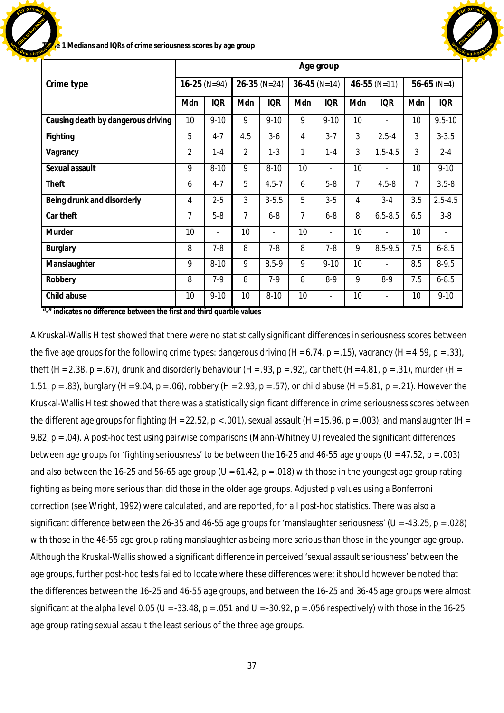

**Table 1 Medians and IQRs of crime seriousness scores by age group**

Click to buy Now!

**<sup>w</sup>ww.docu-track.co<sup>m</sup>**

**<sup>P</sup>DF-XChang<sup>e</sup>**

|                                    |                |            |                 |                          |                 | Age group                |     |                          |                |               |  |
|------------------------------------|----------------|------------|-----------------|--------------------------|-----------------|--------------------------|-----|--------------------------|----------------|---------------|--|
| Crime type                         | $16-25 (N=94)$ |            | $26-35(N=24)$   |                          |                 | $36-45$ (N=14)           |     | $46-55$ (N=11)           |                | $56-65$ (N=4) |  |
|                                    | Mdn            | <b>IQR</b> | Mdn             | <b>IQR</b>               | Mdn             | <b>IQR</b>               | Mdn | <b>IQR</b>               | Mdn            | <b>IQR</b>    |  |
| Causing death by dangerous driving | 10             | $9 - 10$   | 9               | $9 - 10$                 | 9               | $9 - 10$                 | 10  |                          | 10             | $9.5 - 10$    |  |
| Fighting                           | 5              | $4 - 7$    | 4.5             | $3-6$                    | 4               | $3 - 7$                  | 3   | $2.5 - 4$                | 3              | $3 - 3.5$     |  |
| Vagrancy                           | $\overline{2}$ | $1 - 4$    | $\overline{2}$  | $1 - 3$                  | $\mathbf{1}$    | $1 - 4$                  | 3   | $1.5 - 4.5$              | 3              | $2 - 4$       |  |
| Sexual assault                     | 9              | $8 - 10$   | 9               | $8 - 10$                 | 10 <sup>°</sup> | $\overline{\phantom{a}}$ | 10  | $\overline{\phantom{a}}$ | 10             | $9 - 10$      |  |
| Theft                              | 6              | $4 - 7$    | 5               | $4.5 - 7$                | 6               | $5-8$                    | 7   | $4.5 - 8$                | $\overline{7}$ | $3.5 - 8$     |  |
| Being drunk and disorderly         | $\overline{4}$ | $2 - 5$    | 3               | $3 - 5.5$                | 5               | $3-5$                    | 4   | $3 - 4$                  | 3.5            | $2.5 - 4.5$   |  |
| Car theft                          | 7              | $5-8$      | $\overline{7}$  | $6-8$                    | 7               | $6 - 8$                  | 8   | $6.5 - 8.5$              | 6.5            | $3-8$         |  |
| Murder                             | 10             |            | 10              | $\overline{\phantom{a}}$ | 10              | $\blacksquare$           | 10  |                          | 10             |               |  |
| <b>Burglary</b>                    | 8              | $7 - 8$    | 8               | $7 - 8$                  | 8               | $7-8$                    | 9   | 8.5-9.5                  | 7.5            | $6 - 8.5$     |  |
| Manslaughter                       | 9              | $8 - 10$   | 9               | $8.5 - 9$                | 9               | $9 - 10$                 | 10  | $\overline{\phantom{a}}$ | 8.5            | $8 - 9.5$     |  |
| Robbery                            | 8              | $7-9$      | 8               | $7-9$                    | 8               | $8-9$                    | 9   | $8-9$                    | 7.5            | $6 - 8.5$     |  |
| Child abuse                        | 10             | $9 - 10$   | 10 <sup>1</sup> | $8 - 10$                 | 10 <sup>1</sup> | $\overline{\phantom{a}}$ | 10  | $\overline{\phantom{a}}$ | 10             | $9 - 10$      |  |

**"-" indicates no difference between the first and third quartile values**

A Kruskal-Wallis H test showed that there were no statistically significant differences in seriousness scores between the five age groups for the following crime types: dangerous driving  $(H = 6.74, p = .15)$ , vagrancy  $(H = 4.59, p = .33)$ , theft (H = 2.38, p = .67), drunk and disorderly behaviour (H = .93, p = .92), car theft (H = 4.81, p = .31), murder (H = 1.51, p = .83), burglary (H = 9.04, p = .06), robbery (H = 2.93, p = .57), or child abuse (H = 5.81, p = .21). However the Kruskal-Wallis H test showed that there was a statistically significant difference in crime seriousness scores between the different age groups for fighting (H = 22.52, p < .001), sexual assault (H = 15.96, p = .003), and manslaughter (H = 9.82, p = .04). A post-hoc test using pairwise comparisons (Mann-Whitney U) revealed the significant differences between age groups for 'fighting seriousness' to be between the 16-25 and 46-55 age groups (U = 47.52, p = .003) and also between the 16-25 and 56-65 age group ( $U = 61.42$ ,  $p = .018$ ) with those in the youngest age group rating fighting as being more serious than did those in the older age groups. Adjusted p values using a Bonferroni correction (see Wright, 1992) were calculated, and are reported, for all post-hoc statistics. There was also a significant difference between the 26-35 and 46-55 age groups for 'manslaughter seriousness' (U = -43.25, p = .028) with those in the 46-55 age group rating manslaughter as being more serious than those in the younger age group. Although the Kruskal-Wallis showed a significant difference in perceived 'sexual assault seriousness' between the age groups, further post-hoc tests failed to locate where these differences were; it should however be noted that the differences between the 16-25 and 46-55 age groups, and between the 16-25 and 36-45 age groups were almost significant at the alpha level 0.05 (U = -33.48, p = .051 and U = -30.92, p = .056 respectively) with those in the 16-25 age group rating sexual assault the least serious of the three age groups.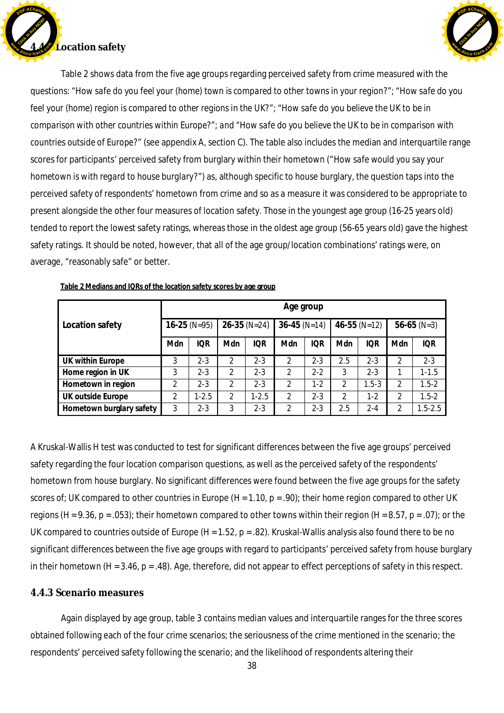



Table 2 shows data from the five age groups regarding perceived safety from crime measured with the questions: *"How safe do you feel your (home) town is compared to other towns in your region?"; "How safe do you feel your (home) region is compared to other regions in the UK?"; "How safe do you believe the UK to be in comparison with other countries within Europe?"; and "How safe do you believe the UK to be in comparison with countries outside of Europe?*" (see appendix A, section C). The table also includes the median and interquartile range scores for participants' perceived safety from burglary within their hometown ("*How safe would you say your hometown is with regard to house burglary*?") as, although specific to house burglary, the question taps into the perceived safety of respondents' hometown from crime and so as a measure it was considered to be appropriate to present alongside the other four measures of location safety. Those in the youngest age group (16-25 years old) tended to report the lowest safety ratings, whereas those in the oldest age group (56-65 years old) gave the highest safety ratings. It should be noted, however, that all of the age group/location combinations' ratings were, on average, "reasonably safe" or better.

|                          |                | Age group  |                |            |                |            |                  |            |                |             |  |  |  |
|--------------------------|----------------|------------|----------------|------------|----------------|------------|------------------|------------|----------------|-------------|--|--|--|
| Location safety          | $16-25$ (N=95) |            | $26-35$ (N=24) |            | $36-45$ (N=14) |            | $46 - 55$ (N=12) |            | $56-65$ (N=3)  |             |  |  |  |
|                          | Mdn            | <b>IQR</b> | Mdn            | <b>IQR</b> | Mdn            | <b>IQR</b> | Mdn              | <b>IQR</b> | Mdn            | <b>IQR</b>  |  |  |  |
| UK within Europe         | 3              | $2 - 3$    | $\mathfrak{D}$ | $2 - 3$    | $\mathfrak{p}$ | $2 - 3$    | 2.5              | $2 - 3$    | $\overline{2}$ | $2 - 3$     |  |  |  |
| Home region in UK        | 3              | $2 - 3$    | 2              | $2 - 3$    | $\mathfrak{D}$ | $2 - 2$    | 3                | $2 - 3$    |                | $1 - 1.5$   |  |  |  |
| Hometown in region       | 2              | $2 - 3$    | 2              | $2 - 3$    | 2              | $1-2$      | 2                | $1.5 - 3$  | $\overline{2}$ | $1.5 - 2$   |  |  |  |
| UK outside Europe        | $\mathfrak{D}$ | $1 - 2.5$  | 2              | $1 - 2.5$  | $\mathfrak{p}$ | $2 - 3$    | $\mathfrak{p}$   | $1-2$      | 2              | $1.5 - 2$   |  |  |  |
| Hometown burglary safety | 3              | $2 - 3$    | 3              | $2 - 3$    | 2              | 2-3        | 2.5              | 2-4        | 2              | $1.5 - 2.5$ |  |  |  |

**Table 2 Medians and IQRs of the location safety scores by age group**

A Kruskal-Wallis H test was conducted to test for significant differences between the five age groups' perceived safety regarding the four location comparison questions, as well as the perceived safety of the respondents' hometown from house burglary. No significant differences were found between the five age groups for the safety scores of; UK compared to other countries in Europe  $(H = 1.10, p = .90)$ ; their home region compared to other UK regions (H = 9.36, p = .053); their hometown compared to other towns within their region (H = 8.57, p = .07); or the UK compared to countries outside of Europe (H = 1.52,  $p = .82$ ). Kruskal-Wallis analysis also found there to be no significant differences between the five age groups with regard to participants' perceived safety from house burglary in their hometown (H = 3.46, p = .48). Age, therefore, did not appear to effect perceptions of safety in this respect.

### **4.4.3 Scenario measures**

Again displayed by age group, table 3 contains median values and interquartile ranges for the three scores obtained following each of the four crime scenarios; the seriousness of the crime mentioned in the scenario; the respondents' perceived safety following the scenario; and the likelihood of respondents altering their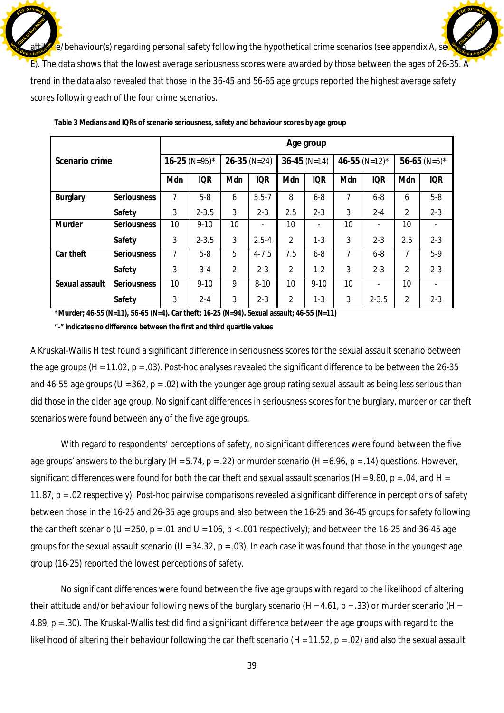$\sqrt{e}$ /behaviour(s) regarding personal safety following the hypothetical crime scenarios (see appendix A, se E). The data shows that the lowest average seriousness scores were awarded by those between the ages of 26-35. A trend in the data also revealed that those in the 36-45 and 56-65 age groups reported the highest average safety scores following each of the four crime scenarios. Click to buy Now! **<sup>w</sup>ww.docu-track.co<sup>m</sup> [Click to buy NOW!](http://www.docu-track.com/buy/) <sup>w</sup>ww.docu-track.co<sup>m</sup>**

**<sup>P</sup>DF-XChang<sup>e</sup>**

|                |                    |                 |            |                |            |                | Age group  |                 |            |                 |            |
|----------------|--------------------|-----------------|------------|----------------|------------|----------------|------------|-----------------|------------|-----------------|------------|
| Scenario crime |                    | $16-25$ (N=95)* |            | $26-35$ (N=24) |            | $36-45$ (N=14) |            | 46-55 (N=12)*   |            | 56-65 (N=5)*    |            |
|                |                    | Mdn             | <b>IQR</b> | Mdn            | <b>IQR</b> | Mdn            | <b>IQR</b> | Mdn             | <b>IQR</b> | Mdn             | <b>IQR</b> |
| Burglary       | Seriousness        | 7               | $5-8$      | 6              | $5.5 - 7$  | 8              | $6 - 8$    | 7               | $6 - 8$    | 6               | $5-8$      |
|                | Safety             | 3               | $2 - 3.5$  | 3              | $2 - 3$    | 2.5            | $2 - 3$    | 3               | $2 - 4$    | 2               | $2 - 3$    |
| Murder         | <b>Seriousness</b> | 10              | $9 - 10$   | 10             |            | 10             |            | 10              |            | 10              |            |
|                | Safety             | 3               | $2 - 3.5$  | 3              | $2.5 - 4$  | 2              | $1-3$      | 3               | $2 - 3$    | 2.5             | $2 - 3$    |
| Car theft      | Seriousness        | 7               | $5-8$      | 5              | $4 - 7.5$  | 7.5            | $6 - 8$    | 7               | $6 - 8$    | 7               | $5-9$      |
|                | Safety             | 3               | $3 - 4$    | 2              | $2 - 3$    | $\overline{2}$ | $1 - 2$    | 3               | $2 - 3$    | 2               | $2 - 3$    |
| Sexual assault | Seriousness        | 10              | $9 - 10$   | 9              | $8 - 10$   | 10             | $9 - 10$   | 10 <sup>1</sup> |            | 10 <sup>1</sup> |            |
|                | Safety             | 3               | $2 - 4$    | 3              | $2 - 3$    | 2              | $1 - 3$    | 3               | $2 - 3.5$  | 2               | $2 - 3$    |

**Table 3 Medians and IQRs of scenario seriousness, safety and behaviour scores by age group**

**<sup>P</sup>DF-XChang<sup>e</sup>**

**\*Murder; 46-55 (N=11), 56-65 (N=4). Car theft; 16-25 (N=94). Sexual assault; 46-55 (N=11)**

**"-" indicates no difference between the first and third quartile values**

A Kruskal-Wallis H test found a significant difference in seriousness scores for the sexual assault scenario between the age groups (*H* = 11.02, p = .03). Post-hoc analyses revealed the significant difference to be between the 26-35 and 46-55 age groups ( $U = 362$ ,  $p = .02$ ) with the younger age group rating sexual assault as being less serious than did those in the older age group. No significant differences in seriousness scores for the burglary, murder or car theft scenarios were found between any of the five age groups.

With regard to respondents' perceptions of safety, no significant differences were found between the five age groups' answers to the burglary (*H* = 5.74, p = .22) or murder scenario (*H* = 6.96, p = .14) questions. However, significant differences were found for both the car theft and sexual assault scenarios (*H* = 9.80, p = .04, and *H* = 11.87, p = .02 respectively). Post-hoc pairwise comparisons revealed a significant difference in perceptions of safety between those in the 16-25 and 26-35 age groups and also between the 16-25 and 36-45 groups for safety following the car theft scenario ( $U = 250$ ,  $p = .01$  and  $U = 106$ ,  $p < .001$  respectively); and between the 16-25 and 36-45 age groups for the sexual assault scenario ( $U = 34.32$ ,  $p = .03$ ). In each case it was found that those in the youngest age group (16-25) reported the lowest perceptions of safety.

No significant differences were found between the five age groups with regard to the likelihood of altering their attitude and/or behaviour following news of the burglary scenario (*H* = 4.61, p = .33) or murder scenario (*H* = 4.89, p = .30). The Kruskal-Wallis test did find a significant difference between the age groups with regard to the likelihood of altering their behaviour following the car theft scenario (*H* = 11.52, p = .02) and also the sexual assault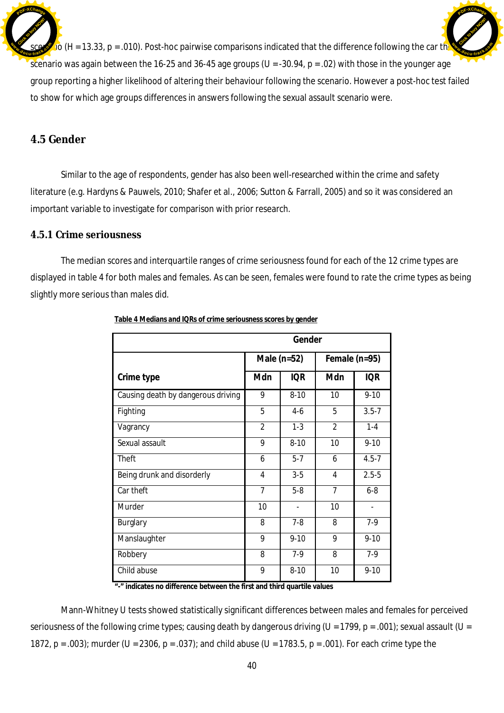$\sigma$  (*H* = 13.33, p = .010). Post-hoc pairwise comparisons indicated that the difference following the car the scenario was again between the 16-25 and 36-45 age groups (*U* = -30.94, p = .02) with those in the younger age group reporting a higher likelihood of altering their behaviour following the scenario. However a post-hoc test failed to show for which age groups differences in answers following the sexual assault scenario were. Click to buy Now! **<sup>P</sup>DF-XChang<sup>e</sup> <sup>w</sup>ww.docu-track.co<sup>m</sup>** [Click to buy NOW!](http://www.docu-track.com/buy/) **<sup>P</sup>DF-XChang<sup>e</sup> <sup>w</sup>ww.docu-track.co<sup>m</sup>**

## **4.5 Gender**

Similar to the age of respondents, gender has also been well-researched within the crime and safety literature (e.g. Hardyns & Pauwels, 2010; Shafer et al., 2006; Sutton & Farrall, 2005) and so it was considered an important variable to investigate for comparison with prior research.

## **4.5.1 Crime seriousness**

The median scores and interquartile ranges of crime seriousness found for each of the 12 crime types are displayed in table 4 for both males and females. As can be seen, females were found to rate the crime types as being slightly more serious than males did.

|                                    |                | Gender                   |                |                          |
|------------------------------------|----------------|--------------------------|----------------|--------------------------|
|                                    | Male $(n=52)$  |                          | Female (n=95)  |                          |
| Crime type                         | Mdn            | <b>IQR</b>               | Mdn            | <b>IQR</b>               |
| Causing death by dangerous driving | 9              | $8 - 10$                 | 10             | $9 - 10$                 |
| Fighting                           | 5              | $4-6$                    | 5              | $3.5 - 7$                |
| Vagrancy                           | $\overline{2}$ | $1 - 3$                  | $\overline{2}$ | $1 - 4$                  |
| Sexual assault                     | 9              | $8 - 10$                 | 10             | $9 - 10$                 |
| Theft                              | 6              | $5 - 7$                  | 6              | $4.5 - 7$                |
| Being drunk and disorderly         | 4              | $3-5$                    | 4              | $2.5 - 5$                |
| Car theft                          | $\overline{7}$ | $5-8$                    | $\overline{7}$ | $6-8$                    |
| Murder                             | 10             | $\overline{\phantom{0}}$ | 10             | $\overline{\phantom{0}}$ |
| Burglary                           | 8              | $7 - 8$                  | 8              | $7-9$                    |
| Manslaughter                       | 9              | $9 - 10$                 | 9              | $9 - 10$                 |
| Robbery                            | 8              | $7-9$                    | 8              | $7-9$                    |
| Child abuse                        | 9              | $8 - 10$                 | 10             | $9 - 10$                 |

**Table 4 Medians and IQRs of crime seriousness scores by gender**

**"-" indicates no difference between the first and third quartile values**

Mann-Whitney U tests showed statistically significant differences between males and females for perceived seriousness of the following crime types; causing death by dangerous driving ( $U = 1799$ ,  $p = .001$ ); sexual assault ( $U =$ 1872, p = .003); murder (U = 2306, p = .037); and child abuse (U = 1783.5, p = .001). For each crime type the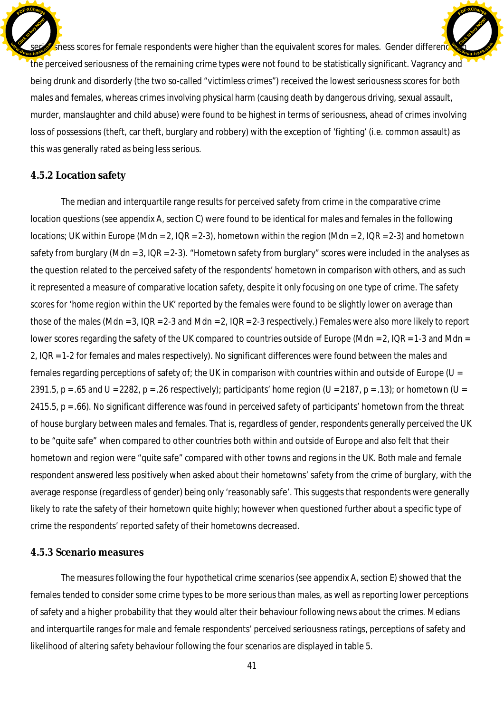shess scores for female respondents were higher than the equivalent scores for males. Gender differences the perceived seriousness of the remaining crime types were not found to be statistically significant. Vagrancy and being drunk and disorderly (the two so-called "victimless crimes") received the lowest seriousness scores for both males and females, whereas crimes involving physical harm (causing death by dangerous driving, sexual assault, murder, manslaughter and child abuse) were found to be highest in terms of seriousness, ahead of crimes involving loss of possessions (theft, car theft, burglary and robbery) with the exception of 'fighting' (i.e. common assault) as this was generally rated as being less serious. Click to buy Now! **<sup>w</sup>ww.docu-track.co<sup>m</sup> [Click to buy NOW!](http://www.docu-track.com/buy/) <sup>w</sup>ww.docu-track.co<sup>m</sup>**

**<sup>P</sup>DF-XChang<sup>e</sup>**

#### **4.5.2 Location safety**

**<sup>P</sup>DF-XChang<sup>e</sup>**

The median and interquartile range results for perceived safety from crime in the comparative crime location questions (see appendix A, section C) were found to be identical for males and females in the following locations; UK within Europe (Mdn = 2, IQR = 2-3), hometown within the region (Mdn = 2, IQR = 2-3) and hometown safety from burglary (Mdn = 3, IQR = 2-3). "Hometown safety from burglary" scores were included in the analyses as the question related to the perceived safety of the respondents' hometown in comparison with others, and as such it represented a measure of comparative location safety, despite it only focusing on one type of crime. The safety scores for 'home region within the UK' reported by the females were found to be slightly lower on average than those of the males (Mdn = 3, IQR = 2-3 and Mdn = 2, IQR = 2-3 respectively.) Females were also more likely to report lower scores regarding the safety of the UK compared to countries outside of Europe (Mdn = 2, IQR = 1-3 and Mdn = 2, IQR = 1-2 for females and males respectively). No significant differences were found between the males and females regarding perceptions of safety of; the UK in comparison with countries within and outside of Europe ( $U =$ 2391.5, p = .65 and U = 2282, p = .26 respectively); participants' home region (U = 2187, p = .13); or hometown (U = 2415.5, p = .66). No significant difference was found in perceived safety of participants' hometown from the threat of house burglary between males and females. That is, regardless of gender, respondents generally perceived the UK to be "quite safe" when compared to other countries both within and outside of Europe and also felt that their hometown and region were "quite safe" compared with other towns and regions in the UK. Both male and female respondent answered less positively when asked about their hometowns' safety from the crime of burglary, with the average response (regardless of gender) being only 'reasonably safe'. This suggests that respondents were generally likely to rate the safety of their hometown quite highly; however when questioned further about a specific type of crime the respondents' reported safety of their hometowns decreased.

#### **4.5.3 Scenario measures**

The measures following the four hypothetical crime scenarios (see appendix A, section E) showed that the females tended to consider some crime types to be more serious than males, as well as reporting lower perceptions of safety and a higher probability that they would alter their behaviour following news about the crimes. Medians and interquartile ranges for male and female respondents' perceived seriousness ratings, perceptions of safety and likelihood of altering safety behaviour following the four scenarios are displayed in table 5.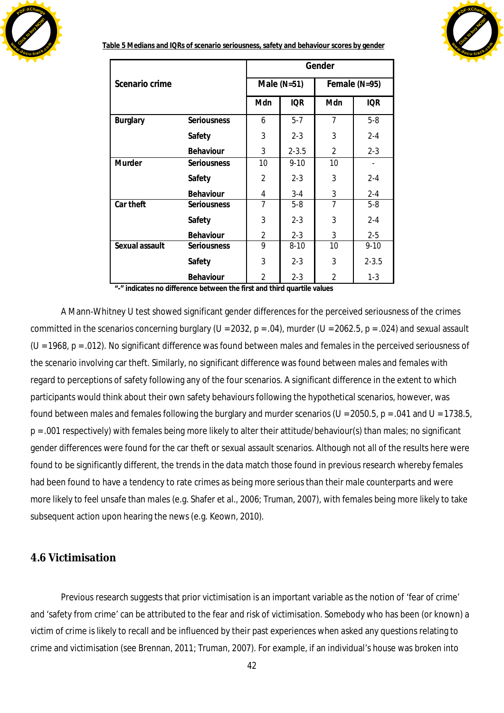



**Table 5 Medians and IQRs of scenario seriousness, safety and behaviour scores by gender**

|                 |             |                |               | Gender         |               |
|-----------------|-------------|----------------|---------------|----------------|---------------|
| Scenario crime  |             |                | Male $(N=51)$ |                | Female (N=95) |
|                 |             | Mdn            | <b>IQR</b>    | Mdn            | <b>IQR</b>    |
| <b>Burglary</b> | Seriousness | 6              | $5 - 7$       | 7              | $5-8$         |
|                 | Safety      | 3              | $2 - 3$       | 3              | $2 - 4$       |
|                 | Behaviour   | 3              | $2 - 3.5$     | $\mathfrak{D}$ | $2 - 3$       |
| Murder          | Seriousness | 10             | $9 - 10$      | 10             |               |
|                 | Safety      | 2              | $2 - 3$       | 3              | $2 - 4$       |
|                 | Behaviour   | 4              | $3 - 4$       | 3              | $2 - 4$       |
| Car theft       | Seriousness | $\overline{7}$ | $5-8$         | 7              | $5-8$         |
|                 | Safety      | 3              | $2 - 3$       | 3              | $2 - 4$       |
|                 | Behaviour   | 2              | $2 - 3$       | 3              | $2 - 5$       |
| Sexual assault  | Seriousness | 9              | $8 - 10$      | 10             | $9 - 10$      |
|                 | Safety      | 3              | $2 - 3$       | 3              | $2 - 3.5$     |
|                 | Behaviour   | 2              | $2 - 3$       | 2              | $1 - 3$       |

**"-" indicates no difference between the first and third quartile values**

A Mann-Whitney U test showed significant gender differences for the perceived seriousness of the crimes committed in the scenarios concerning burglary (U = 2032, p = .04), murder (U = 2062.5, p = .024) and sexual assault ( $U = 1968$ ,  $p = .012$ ). No significant difference was found between males and females in the perceived seriousness of the scenario involving car theft. Similarly, no significant difference was found between males and females with regard to perceptions of safety following any of the four scenarios. A significant difference in the extent to which participants would think about their own safety behaviours following the hypothetical scenarios, however, was found between males and females following the burglary and murder scenarios (U = 2050.5, p = .041 and U = 1738.5, p = .001 respectively) with females being more likely to alter their attitude/behaviour(s) than males; no significant gender differences were found for the car theft or sexual assault scenarios. Although not all of the results here were found to be significantly different, the trends in the data match those found in previous research whereby females had been found to have a tendency to rate crimes as being more serious than their male counterparts and were more likely to feel unsafe than males (e.g. Shafer et al., 2006; Truman, 2007), with females being more likely to take subsequent action upon hearing the news (e.g. Keown, 2010).

### **4.6 Victimisation**

Previous research suggests that prior victimisation is an important variable as the notion of 'fear of crime' and 'safety from crime' can be attributed to the fear and risk of victimisation. Somebody who has been (or known) a victim of crime is likely to recall and be influenced by their past experiences when asked any questions relating to crime and victimisation (see Brennan, 2011; Truman, 2007). For example, if an individual's house was broken into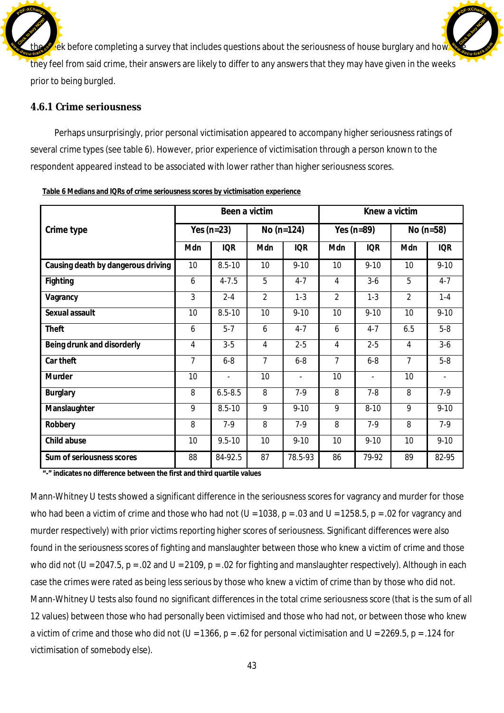$\epsilon$  ek before completing a survey that includes questions about the seriousness of house burglary and how they feel from said crime, their answers are likely to differ to any answers that they may have given in the weeks prior to being burgled. Click to buy Now! **dp**<br>**cu-track.co**<sup>t</sup> **[Click to buy NOW!](http://www.docu-track.com/buy/) <sup>w</sup>ww.docu-track.co<sup>m</sup>**

**<sup>P</sup>DF-XChang<sup>e</sup>**

### **4.6.1 Crime seriousness**

**<sup>P</sup>DF-XChang<sup>e</sup>**

Perhaps unsurprisingly, prior personal victimisation appeared to accompany higher seriousness ratings of several crime types (see table 6). However, prior experience of victimisation through a person known to the respondent appeared instead to be associated with lower rather than higher seriousness scores.

|                                    |                | Been a victim  |                |                          |                | Knew a victim  |                |                |
|------------------------------------|----------------|----------------|----------------|--------------------------|----------------|----------------|----------------|----------------|
| Crime type                         |                | Yes $(n=23)$   |                | No $(n=124)$             |                | Yes $(n=89)$   | No $(n=58)$    |                |
|                                    | Mdn            | <b>IQR</b>     | Mdn            | <b>IQR</b>               | Mdn            | <b>IQR</b>     | Mdn            | <b>IQR</b>     |
| Causing death by dangerous driving | 10             | $8.5 - 10$     | 10             | $9 - 10$                 | 10             | $9 - 10$       | 10             | $9 - 10$       |
| Fighting                           | 6              | $4 - 7.5$      | 5              | $4 - 7$                  | 4              | $3-6$          | 5              | $4 - 7$        |
| Vagrancy                           | 3              | $2 - 4$        | $\overline{2}$ | $1 - 3$                  | $\overline{2}$ | $1 - 3$        | $\overline{2}$ | $1 - 4$        |
| Sexual assault                     | 10             | $8.5 - 10$     | 10             | $9 - 10$                 | 10             | $9 - 10$       | 10             | $9 - 10$       |
| Theft                              | 6              | $5 - 7$        | 6              | $4 - 7$                  | 6              | $4 - 7$        | 6.5            | $5-8$          |
| Being drunk and disorderly         | 4              | $3-5$          | 4              | $2 - 5$                  | 4              | $2 - 5$        | 4              | $3-6$          |
| Car theft                          | $\overline{7}$ | $6 - 8$        | $\overline{7}$ | $6-8$                    | $\overline{7}$ | $6-8$          | $\overline{7}$ | $5-8$          |
| Murder                             | 10             | $\blacksquare$ | 10             | $\overline{\phantom{a}}$ | 10             | $\blacksquare$ | 10             | $\blacksquare$ |
| Burglary                           | 8              | $6.5 - 8.5$    | 8              | $7-9$                    | 8              | $7 - 8$        | 8              | $7-9$          |
| Manslaughter                       | 9              | $8.5 - 10$     | 9              | $9 - 10$                 | 9              | $8 - 10$       | 9              | $9 - 10$       |
| Robbery                            | 8              | $7-9$          | 8              | $7-9$                    | 8              | $7-9$          | 8              | $7-9$          |
| Child abuse                        | 10             | $9.5 - 10$     | 10             | $9 - 10$                 | 10             | $9 - 10$       | 10             | $9 - 10$       |
| Sum of seriousness scores          | 88             | 84-92.5        | 87             | 78.5-93                  | 86             | 79-92          | 89             | 82-95          |

**Table 6 Medians and IQRs of crime seriousness scores by victimisation experience**

**"-" indicates no difference between the first and third quartile values**

Mann-Whitney U tests showed a significant difference in the seriousness scores for vagrancy and murder for those who had been a victim of crime and those who had not ( $U = 1038$ ,  $p = .03$  and  $U = 1258.5$ ,  $p = .02$  for vagrancy and murder respectively) with prior victims reporting higher scores of seriousness. Significant differences were also found in the seriousness scores of fighting and manslaughter between those who knew a victim of crime and those who did not (U = 2047.5, p = .02 and U = 2109, p = .02 for fighting and manslaughter respectively). Although in each case the crimes were rated as being less serious by those who knew a victim of crime than by those who did not. Mann-Whitney U tests also found no significant differences in the total crime seriousness score (that is the sum of all 12 values) between those who had personally been victimised and those who had not, or between those who knew a victim of crime and those who did not (*U* = 1366, p = .62 for personal victimisation and *U* = 2269.5, p = .124 for victimisation of somebody else).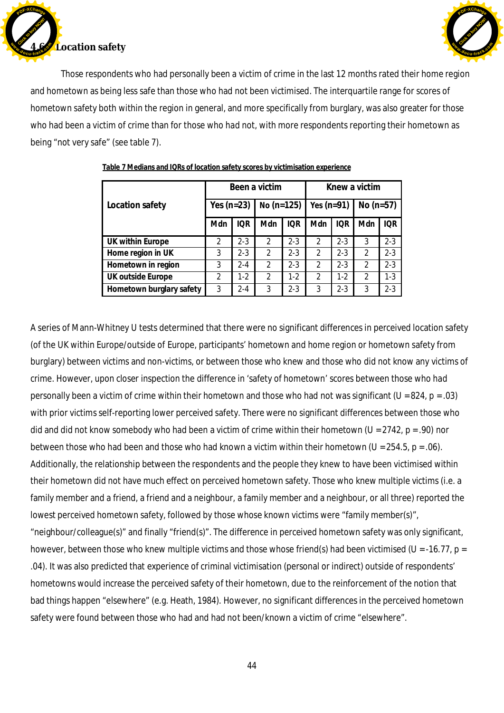

**L**ocation safety Click to buy Now! **<sup>w</sup>ww.docu-track.co<sup>m</sup>**

**<sup>P</sup>DF-XChang<sup>e</sup>**

Those respondents who had personally been a victim of crime in the last 12 months rated their home region and hometown as being less safe than those who had not been victimised. The interquartile range for scores of hometown safety both within the region in general, and more specifically from burglary, was also greater for those who had been a victim of crime than for those who had not, with more respondents reporting their hometown as being "not very safe" (see table 7).

|                          |               |            | Been a victim  | Knew a victim |                    |            |               |         |
|--------------------------|---------------|------------|----------------|---------------|--------------------|------------|---------------|---------|
| Location safety          | Yes $(n=23)$  |            | No $(n=125)$   |               | Yes (n=91) $\vert$ |            | $No (n=57)$   |         |
|                          | Mdn           | <b>IOR</b> | Mdn            | IOR           | Mdn                | <b>IOR</b> | Mdn           | IOR.    |
| UK within Europe         | $\mathcal{P}$ | $2 - 3$    | $\mathfrak{D}$ | $2 - 3$       | $\mathcal{P}$      | $2 - 3$    | 3             | $2 - 3$ |
| Home region in UK        | 3             | $2 - 3$    | $\mathfrak{D}$ | $2 - 3$       | $\mathcal{P}$      | $2 - 3$    | 2             | $2 - 3$ |
| Hometown in region       | 3             | $2 - 4$    | $\mathfrak{D}$ | $2 - 3$       | $\mathcal{P}$      | $2 - 3$    | $\mathcal{P}$ | $2 - 3$ |
| UK outside Europe        | 2             | $1-2$      | $\overline{2}$ | $1-2$         | 2                  | $1-2$      | 2             | $1-3$   |
| Hometown burglary safety | 3             | $2 - 4$    | 3              | $2 - 3$       | 3                  | $2 - 3$    | 3             | $2 - 3$ |

#### **Table 7 Medians and IQRs of location safety scores by victimisation experience**

A series of Mann-Whitney U tests determined that there were no significant differences in perceived location safety (of the UK within Europe/outside of Europe, participants' hometown and home region or hometown safety from burglary) between victims and non-victims, or between those who knew and those who did not know any victims of crime. However, upon closer inspection the difference in 'safety of hometown' scores between those who had personally been a victim of crime *within their hometown* and those who had not was significant (U = 824, p = .03) with prior victims self-reporting lower perceived safety. There were no significant differences between those who did and did not know somebody who had been a victim of crime within their hometown (U = 2742, p = .90) nor between those who had been and those who had known a victim within their hometown (U = 254.5, p = .06). Additionally, the relationship between the respondents and the people they knew to have been victimised within their hometown did not have much effect on perceived hometown safety. Those who knew multiple victims (i.e. a family member and a friend, a friend and a neighbour, a family member and a neighbour, or all three) reported the lowest perceived hometown safety, followed by those whose known victims were "family member(s)", "neighbour/colleague(s)" and finally "friend(s)". The difference in perceived hometown safety was only significant, however, between those who knew multiple victims and those whose friend(s) had been victimised (U = -16.77, p = .04). It was also predicted that experience of criminal victimisation (personal or indirect) outside of respondents' hometowns would increase the perceived safety of their hometown, due to the reinforcement of the notion that bad things happen "elsewhere" (e.g. Heath, 1984). However, no significant differences in the perceived hometown safety were found between those who had and had not been/known a victim of crime "elsewhere".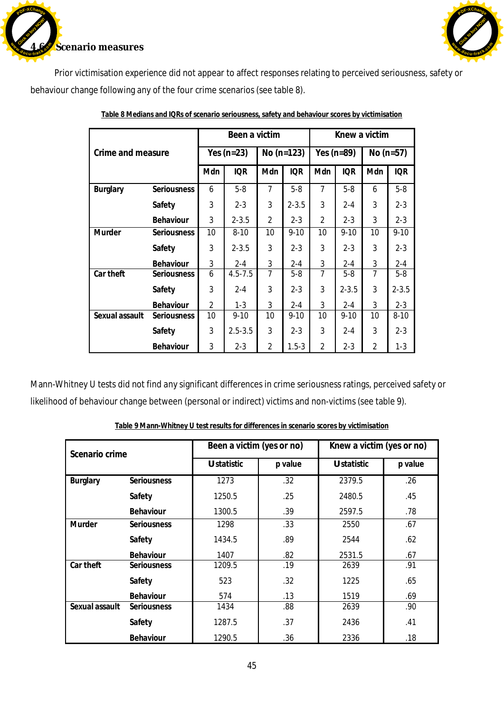



Prior victimisation experience did not appear to affect responses relating to perceived seriousness, safety or behaviour change following any of the four crime scenarios (see table 8).

|                   |                    |                | Been a victim |                |              |                | Knew a victim  |                |             |
|-------------------|--------------------|----------------|---------------|----------------|--------------|----------------|----------------|----------------|-------------|
|                   |                    |                |               |                |              |                |                |                |             |
| Crime and measure |                    |                | Yes $(n=23)$  |                | $No (n=123)$ |                | Yes ( $n=89$ ) |                | No $(n=57)$ |
|                   |                    |                |               |                |              |                |                |                |             |
|                   |                    | Mdn            | <b>IQR</b>    | Mdn            | <b>IQR</b>   | Mdn            | <b>IQR</b>     | Mdn            | <b>IQR</b>  |
| Burglary          | <b>Seriousness</b> | 6              | $5 - 8$       | $\overline{7}$ | $5-8$        | $\overline{7}$ | $5-8$          | 6              | $5-8$       |
|                   | Safety             | 3              | $2 - 3$       | 3              | $2 - 3.5$    | 3              | $2 - 4$        | 3              | $2 - 3$     |
|                   | Behaviour          | 3              | $2 - 3.5$     | $\overline{2}$ | $2 - 3$      | $\overline{2}$ | $2 - 3$        | 3              | $2 - 3$     |
| Murder            | <b>Seriousness</b> | 10             | $8 - 10$      | 10             | $9 - 10$     | 10             | $9 - 10$       | 10             | $9 - 10$    |
|                   | Safety             | 3              | $2 - 3.5$     | 3              | $2 - 3$      | 3              | $2 - 3$        | 3              | $2 - 3$     |
|                   | Behaviour          | 3              | $2 - 4$       | 3              | $2 - 4$      | 3              | $2 - 4$        | 3              | $2 - 4$     |
| Car theft         | <b>Seriousness</b> | 6              | $4.5 - 7.5$   | $\overline{7}$ | $5-8$        | 7              | $5 - 8$        | 7              | $5-8$       |
|                   | Safety             | 3              | $2 - 4$       | 3              | $2 - 3$      | 3              | $2 - 3.5$      | 3              | $2 - 3.5$   |
|                   | Behaviour          | $\overline{2}$ | $1 - 3$       | 3              | $2 - 4$      | 3              | $2 - 4$        | 3              | $2 - 3$     |
| Sexual assault    | <b>Seriousness</b> | 10             | $9 - 10$      | 10             | $9 - 10$     | 10             | $9 - 10$       | 10             | $8 - 10$    |
|                   | Safety             | 3              | $2.5 - 3.5$   | 3              | $2 - 3$      | 3              | $2 - 4$        | 3              | $2 - 3$     |
|                   | Behaviour          | 3              | $2 - 3$       | $\overline{2}$ | $1.5 - 3$    | $\overline{2}$ | $2 - 3$        | $\overline{2}$ | $1 - 3$     |

**Table 8 Medians and IQRs of scenario seriousness, safety and behaviour scores by victimisation**

Mann-Whitney U tests did not find any significant differences in crime seriousness ratings, perceived safety or likelihood of behaviour change between (personal or indirect) victims and non-victims (see table 9).

| Scenario crime |                    | Been a victim (yes or no) |         | Knew a victim (yes or no) |         |
|----------------|--------------------|---------------------------|---------|---------------------------|---------|
|                |                    | U statistic               | p value | U statistic               | p value |
| Burglary       | Seriousness        | 1273                      | .32     | 2379.5                    | .26     |
|                | Safety             | 1250.5                    | .25     | 2480.5                    | .45     |
|                | Behaviour          | 1300.5                    | .39     | 2597.5                    | .78     |
| Murder         | <b>Seriousness</b> | 1298                      | .33     | 2550                      | .67     |
|                | Safety             | 1434.5                    | .89     | 2544                      | .62     |
|                | Behaviour          | 1407                      | .82     | 2531.5                    | .67     |
| Car theft      | <b>Seriousness</b> | 1209.5                    | .19     | 2639                      | .91     |
|                | Safety             | 523                       | .32     | 1225                      | .65     |
|                | Behaviour          | 574                       | .13     | 1519                      | .69     |
| Sexual assault | <b>Seriousness</b> | 1434                      | .88     | 2639                      | .90     |
|                | Safety             | 1287.5                    | .37     | 2436                      | .41     |
|                | Behaviour          | 1290.5                    | .36     | 2336                      | .18     |

**Table 9 Mann-Whitney U test results for differences in scenario scores by victimisation**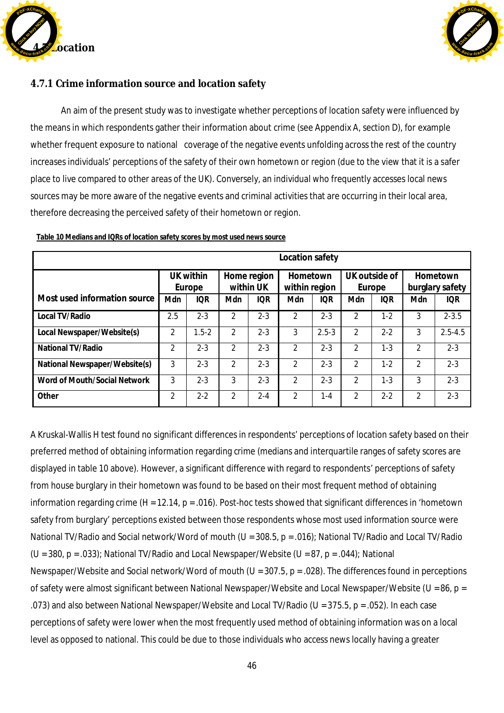



## **4.7.1 Crime information source and location safety**

An aim of the present study was to investigate whether perceptions of location safety were influenced by the means in which respondents gather their information about crime (see Appendix A, section D), for example whether frequent exposure to national coverage of the negative events unfolding across the rest of the country increases individuals' perceptions of the safety of their own hometown or region (due to the view that it is a safer place to live compared to other areas of the UK). Conversely, an individual who frequently accesses local news sources may be more aware of the negative events and criminal activities that are occurring in their local area, therefore decreasing the perceived safety of their hometown or region.

|                               | Location safety     |            |                          |            |                           |            |                         |            |                             |             |  |
|-------------------------------|---------------------|------------|--------------------------|------------|---------------------------|------------|-------------------------|------------|-----------------------------|-------------|--|
|                               | UK within<br>Europe |            | Home region<br>within UK |            | Hometown<br>within region |            | UK outside of<br>Europe |            | Hometown<br>burglary safety |             |  |
| Most used information source  | Mdn                 | <b>IQR</b> | Mdn                      | <b>IQR</b> | Mdn                       | <b>IQR</b> | Mdn                     | <b>IQR</b> | Mdn                         | <b>IQR</b>  |  |
| Local TV/Radio                | 2.5                 | $2 - 3$    | 2                        | $2 - 3$    | 2                         | $2 - 3$    | 2                       | $1 - 2$    | 3                           | $2 - 3.5$   |  |
| Local Newspaper/Website(s)    | 2                   | $1.5 - 2$  | $\mathcal{P}$            | $2 - 3$    | 3                         | $2.5 - 3$  | $\mathfrak{D}$          | $2 - 2$    | 3                           | $2.5 - 4.5$ |  |
| National TV/Radio             | 2                   | $2 - 3$    | $\mathfrak{D}$           | $2 - 3$    | $\mathcal{P}$             | $2 - 3$    | $\mathfrak{D}$          | $1 - 3$    | $\mathfrak{D}$              | $2 - 3$     |  |
| National Newspaper/Website(s) | 3                   | $2 - 3$    | 2                        | $2 - 3$    | $\mathfrak{D}$            | $2 - 3$    | $\mathfrak{D}$          | $1 - 2$    | $\mathfrak{D}$              | $2 - 3$     |  |
| Word of Mouth/Social Network  | 3                   | $2 - 3$    | 3                        | $2 - 3$    | $\mathfrak{D}$            | $2 - 3$    | $\mathfrak{D}$          | $1 - 3$    | 3                           | $2 - 3$     |  |
| Other                         | 2                   | $2 - 2$    | $\mathfrak{D}$           | $2 - 4$    | $\mathfrak{D}$            | 1-4        | $\mathfrak{D}$          | $2 - 2$    | $\mathcal{P}$               | $2 - 3$     |  |

**Table 10 Medians and IQRs of location safety scores by most used news source**

A Kruskal-Wallis H test found no significant differences in respondents' perceptions of location safety based on their preferred method of obtaining information regarding crime (medians and interquartile ranges of safety scores are displayed in table 10 above). However, a significant difference with regard to respondents' perceptions of safety from house burglary in their hometown was found to be based on their most frequent method of obtaining information regarding crime (*H* = 12.14, p = .016). Post-hoc tests showed that significant differences in 'hometown safety from burglary' perceptions existed between those respondents whose most used information source were National TV/Radio and Social network/Word of mouth (*U* = 308.5, p = .016); National TV/Radio and Local TV/Radio (*U* = 380, p = .033); National TV/Radio and Local Newspaper/Website (*U* = 87, p = .044); National Newspaper/Website and Social network/Word of mouth (*U* = 307.5, p = .028). The differences found in perceptions of safety were almost significant between National Newspaper/Website and Local Newspaper/Website (*U* = 86, p = .073) and also between National Newspaper/Website and Local TV/Radio (*U* = 375.5, p = .052). In each case perceptions of safety were lower when the most frequently used method of obtaining information was on a local level as opposed to national. This could be due to those individuals who access news locally having a greater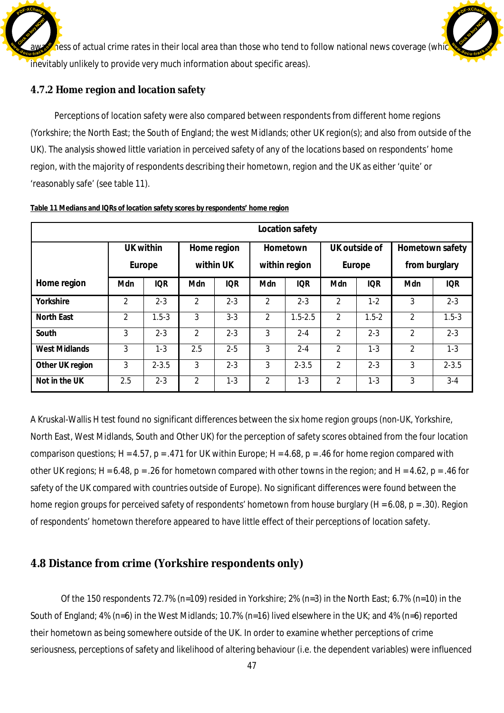$\Omega$  aess of actual crime rates in their local area than those who tend to follow national news coverage (which inevitably unlikely to provide very much information about specific areas). Click to buy Now! **<sup>w</sup>ww.docu-track.co<sup>m</sup>**

[Click to buy NOW!](http://www.docu-track.com/buy/)

**<sup>w</sup>ww.docu-track.co<sup>m</sup>**

**<sup>P</sup>DF-XChang<sup>e</sup>**

## **4.7.2 Home region and location safety**

**<sup>P</sup>DF-XChang<sup>e</sup>**

Perceptions of location safety were also compared between respondents from different home regions (Yorkshire; the North East; the South of England; the west Midlands; other UK region(s); and also from outside of the UK). The analysis showed little variation in perceived safety of any of the locations based on respondents' home region, with the majority of respondents describing their hometown, region and the UK as either 'quite' or 'reasonably safe' (see table 11).

|                      | Location safety |            |                |             |                |             |               |               |                 |            |  |  |
|----------------------|-----------------|------------|----------------|-------------|----------------|-------------|---------------|---------------|-----------------|------------|--|--|
|                      |                 | UK within  |                | Home region |                | Hometown    |               | UK outside of | Hometown safety |            |  |  |
|                      |                 | Europe     | within UK      |             | within region  |             | Europe        |               | from burglary   |            |  |  |
| Home region          | Mdn             | <b>IQR</b> | Mdn            | <b>IQR</b>  | Mdn            | <b>IQR</b>  | Mdn           | <b>IQR</b>    | Mdn             | <b>IQR</b> |  |  |
| Yorkshire            | 2               | $2 - 3$    | $\mathcal{P}$  | $2 - 3$     | $\mathfrak{D}$ | $2 - 3$     | $\mathcal{P}$ | $1 - 2$       | 3               | $2 - 3$    |  |  |
| North East           | 2               | $1.5 - 3$  | 3              | $3 - 3$     | $\overline{2}$ | $1.5 - 2.5$ | 2             | $1.5 - 2$     | 2               | $1.5 - 3$  |  |  |
| South                | 3               | $2 - 3$    | $\mathfrak{D}$ | $2 - 3$     | 3              | $2 - 4$     | 2             | $2 - 3$       | $\overline{2}$  | $2 - 3$    |  |  |
| <b>West Midlands</b> | 3               | $1 - 3$    | 2.5            | $2 - 5$     | 3              | $2 - 4$     | 2             | $1 - 3$       | $\overline{2}$  | $1 - 3$    |  |  |
| Other UK region      | 3               | $2 - 3.5$  | 3              | $2 - 3$     | 3              | $2 - 3.5$   | $\mathcal{P}$ | $2 - 3$       | 3               | $2 - 3.5$  |  |  |
| Not in the UK        | 2.5             | $2 - 3$    | 2              | $1 - 3$     | 2              | $1 - 3$     | 2             | $1 - 3$       | 3               | $3 - 4$    |  |  |

**Table 11 Medians and IQRs of location safety scores by respondents' home region**

A Kruskal-Wallis H test found no significant differences between the six home region groups (non-UK, Yorkshire, North East, West Midlands, South and Other UK) for the perception of safety scores obtained from the four location comparison questions; *H* = 4.57, p = .471 for UK within Europe; *H* = 4.68, p = .46 for home region compared with other UK regions; *H* = 6.48, p = .26 for hometown compared with other towns in the region; and *H* = 4.62, p = .46 for safety of the UK compared with countries outside of Europe). No significant differences were found between the home region groups for perceived safety of respondents' hometown from house burglary (*H* = 6.08, p = .30). Region of respondents' hometown therefore appeared to have little effect of their perceptions of location safety.

## **4.8 Distance from crime (Yorkshire respondents only)**

Of the 150 respondents 72.7% (n=109) resided in Yorkshire; 2% (n=3) in the North East; 6.7% (n=10) in the South of England; 4% (n=6) in the West Midlands; 10.7% (n=16) lived elsewhere in the UK; and 4% (n=6) reported their hometown as being somewhere outside of the UK. In order to examine whether perceptions of crime seriousness, perceptions of safety and likelihood of altering behaviour (i.e. the dependent variables) were influenced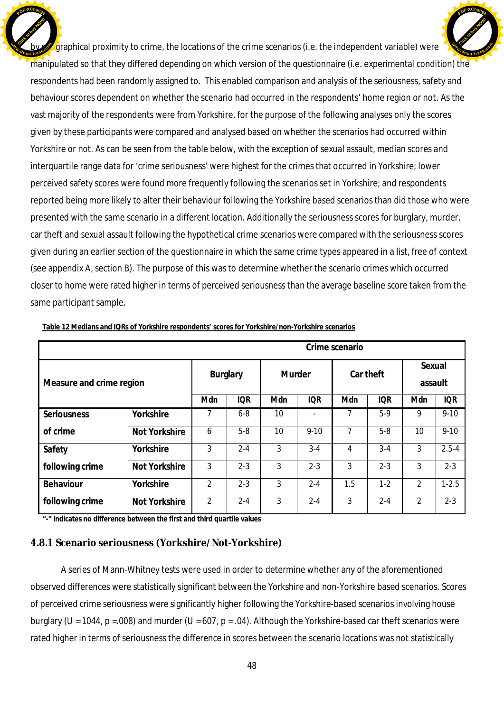$g$  graphical proximity to crime, the locations of the crime scenarios (i.e. the independent variable) were manipulated so that they differed depending on which version of the questionnaire (i.e. experimental condition) the respondents had been randomly assigned to. This enabled comparison and analysis of the seriousness, safety and behaviour scores dependent on whether the scenario had occurred in the respondents' home region or not. As the vast majority of the respondents were from Yorkshire, for the purpose of the following analyses only the scores given by these participants were compared and analysed based on whether the scenarios had occurred within Yorkshire or not. As can be seen from the table below, with the exception of sexual assault, median scores and interquartile range data for 'crime seriousness' were highest for the crimes that occurred in Yorkshire; lower perceived safety scores were found more frequently following the scenarios set in Yorkshire; and respondents reported being more likely to alter their behaviour following the Yorkshire based scenarios than did those who were presented with the same scenario in a different location. Additionally the seriousness scores for burglary, murder, car theft and sexual assault following the hypothetical crime scenarios were compared with the seriousness scores given during an earlier section of the questionnaire in which the same crime types appeared in a list, free of context (see appendix A, section B). The purpose of this was to determine whether the scenario crimes which occurred closer to home were rated higher in terms of perceived seriousness than the average baseline score taken from the same participant sample. Click to buy Now! **<sup>w</sup>ww.docu-track.co<sup>m</sup>** [Click to buy NOW!](http://www.docu-track.com/buy/) **<sup>w</sup>ww.docu-track.co<sup>m</sup>**

**<sup>P</sup>DF-XChang<sup>e</sup>**

|                          |               | Crime scenario     |            |           |                |                   |            |                |            |  |  |  |  |
|--------------------------|---------------|--------------------|------------|-----------|----------------|-------------------|------------|----------------|------------|--|--|--|--|
| Measure and crime region |               | Murder<br>Burglary |            | Car theft |                | Sexual<br>assault |            |                |            |  |  |  |  |
|                          |               | Mdn                | <b>IQR</b> | Mdn       | <b>IQR</b>     | Mdn               | <b>IQR</b> | Mdn            | <b>IQR</b> |  |  |  |  |
| Seriousness              | Yorkshire     | 7                  | $6 - 8$    | 10        | $\blacksquare$ |                   | $5-9$      | 9              | $9 - 10$   |  |  |  |  |
| of crime                 | Not Yorkshire | 6                  | $5-8$      | 10        | $9 - 10$       | 7                 | $5-8$      | 10             | $9 - 10$   |  |  |  |  |
| Safety                   | Yorkshire     | 3                  | $2 - 4$    | 3         | $3 - 4$        | 4                 | $3 - 4$    | 3              | $2.5 - 4$  |  |  |  |  |
| following crime          | Not Yorkshire | 3                  | $2 - 3$    | 3         | $2 - 3$        | 3                 | $2 - 3$    | 3              | $2 - 3$    |  |  |  |  |
| Behaviour                | Yorkshire     | $\mathfrak{p}$     | $2 - 3$    | 3         | $2 - 4$        | 1.5               | $1 - 2$    | $\mathfrak{D}$ | $1-2.5$    |  |  |  |  |
| following crime          | Not Yorkshire | 2                  | $2 - 4$    | 3         | $2 - 4$        | 3                 | $2 - 4$    | $\overline{2}$ | $2 - 3$    |  |  |  |  |

**Table 12 Medians and IQRs of Yorkshire respondents' scores for Yorkshire/non-Yorkshire scenarios**

**"-" indicates no difference between the first and third quartile values**

**<sup>P</sup>DF-XChang<sup>e</sup>**

#### **4.8.1 Scenario seriousness (Yorkshire/Not-Yorkshire)**

A series of Mann-Whitney tests were used in order to determine whether any of the aforementioned observed differences were statistically significant between the Yorkshire and non-Yorkshire based scenarios. Scores of perceived crime seriousness were significantly higher following the Yorkshire-based scenarios involving house burglary ( $U = 1044$ ,  $p = .008$ ) and murder ( $U = 607$ ,  $p = .04$ ). Although the Yorkshire-based car theft scenarios were rated higher in terms of seriousness the difference in scores between the scenario locations was not statistically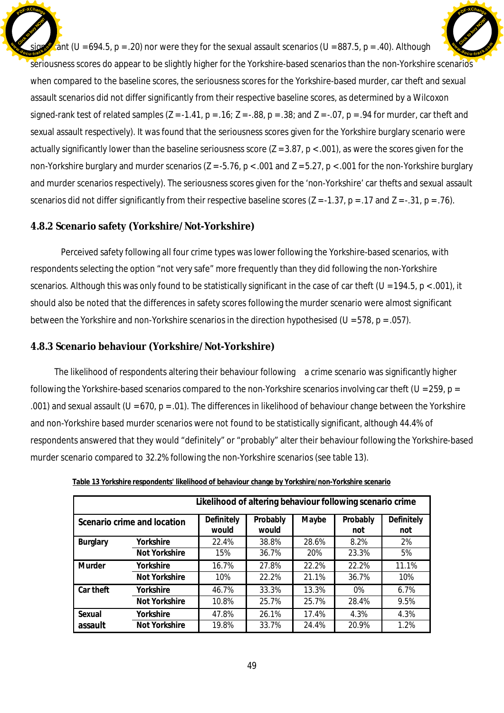$\sin$  (*U* = 694.5, p = .20) nor were they for the sexual assault scenarios (*U* = 887.5, p = .40). Although seriousness scores do appear to be slightly higher for the Yorkshire-based scenarios than the non-Yorkshire scenarios when compared to the baseline scores, the seriousness scores for the Yorkshire-based murder, car theft and sexual assault scenarios did not differ significantly from their respective baseline scores, as determined by a Wilcoxon signed-rank test of related samples (*Z* = -1.41, p = .16; *Z* = -.88, p = .38; and *Z* = -.07, p = .94 for murder, car theft and sexual assault respectively). It was found that the seriousness scores given for the Yorkshire burglary scenario were actually significantly lower than the baseline seriousness score (*Z* = 3.87, p < .001), as were the scores given for the non-Yorkshire burglary and murder scenarios (*Z* = -5.76, p < .001 and *Z* = 5.27, p < .001 for the non-Yorkshire burglary and murder scenarios respectively). The seriousness scores given for the 'non-Yorkshire' car thefts and sexual assault scenarios did not differ significantly from their respective baseline scores (*Z* = -1.37, p = .17 and *Z* = -.31, p = .76). Click to buy Now! **<sup>w</sup>ww.docu-track.co<sup>m</sup>** [Click to buy NOW!](http://www.docu-track.com/buy/) **<sup>w</sup>ww.docu-track.co<sup>m</sup>**

**<sup>P</sup>DF-XChang<sup>e</sup>**

## **4.8.2 Scenario safety (Yorkshire/Not-Yorkshire)**

**<sup>P</sup>DF-XChang<sup>e</sup>**

Perceived safety following all four crime types was lower following the Yorkshire-based scenarios, with respondents selecting the option "not very safe" more frequently than they did following the non-Yorkshire scenarios. Although this was only found to be statistically significant in the case of car theft (*U* = 194.5, p < .001), it should also be noted that the differences in safety scores following the murder scenario were almost significant between the Yorkshire and non-Yorkshire scenarios in the direction hypothesised (*U* = 578, p = .057).

## **4.8.3 Scenario behaviour (Yorkshire/Not-Yorkshire)**

The likelihood of respondents altering their behaviour following a crime scenario was significantly higher following the Yorkshire-based scenarios compared to the non-Yorkshire scenarios involving car theft (*U* = 259, p = .001) and sexual assault ( $U = 670$ ,  $p = .01$ ). The differences in likelihood of behaviour change between the Yorkshire and non-Yorkshire based murder scenarios were not found to be statistically significant, although 44.4% of respondents answered that they would "definitely" or "probably" alter their behaviour following the Yorkshire-based murder scenario compared to 32.2% following the non-Yorkshire scenarios (see table 13).

| Likelihood of altering behaviour following scenario crime |               |                     |                   |       |                 |                   |  |  |
|-----------------------------------------------------------|---------------|---------------------|-------------------|-------|-----------------|-------------------|--|--|
| Scenario crime and location                               |               | Definitely<br>would | Probably<br>would | Maybe | Probably<br>not | Definitely<br>not |  |  |
| Burglary                                                  | Yorkshire     | 22.4%               | 38.8%             | 28.6% | 8.2%            | 2%                |  |  |
|                                                           | Not Yorkshire | 15%                 | 36.7%             | 20%   | 23.3%           | 5%                |  |  |
| Murder                                                    | Yorkshire     | 16.7%               | 27.8%             | 22.2% | 22.2%           | 11.1%             |  |  |
|                                                           | Not Yorkshire | 10%                 | 22.2%             | 21.1% | 36.7%           | 10%               |  |  |
| Car theft                                                 | Yorkshire     | 46.7%               | 33.3%             | 13.3% | $0\%$           | 6.7%              |  |  |
|                                                           | Not Yorkshire | 10.8%               | 25.7%             | 25.7% | 28.4%           | 9.5%              |  |  |
| Sexual                                                    | Yorkshire     | 47.8%               | 26.1%             | 17.4% | 4.3%            | 4.3%              |  |  |
| assault                                                   | Not Yorkshire | 19.8%               | 33.7%             | 24.4% | 20.9%           | 1.2%              |  |  |

**Table 13 Yorkshire respondents' likelihood of behaviour change by Yorkshire/non-Yorkshire scenario**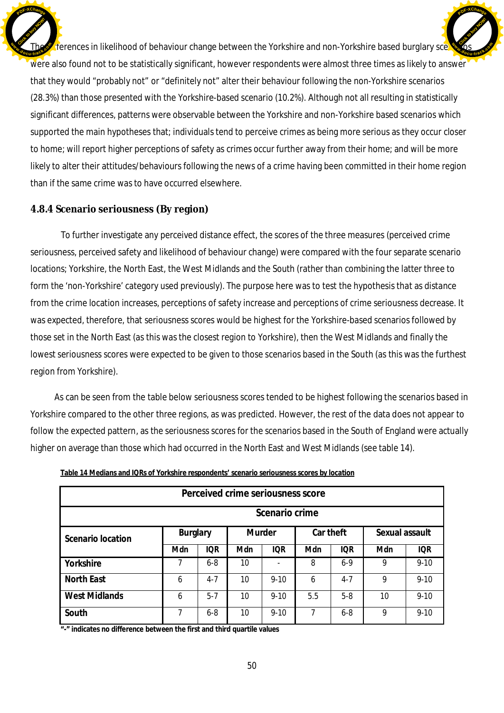The differences in likelihood of behaviour change between the Yorkshire and non-Yorkshire based burglary sce were also found not to be statistically significant, however respondents were almost three times as likely to answer that they would "probably not" or "definitely not" alter their behaviour following the non-Yorkshire scenarios (28.3%) than those presented with the Yorkshire-based scenario (10.2%). Although not all resulting in statistically significant differences, patterns were observable between the Yorkshire and non-Yorkshire based scenarios which supported the main hypotheses that; individuals tend to perceive crimes as being more serious as they occur closer to home; will report higher perceptions of safety as crimes occur further away from their home; and will be more likely to alter their attitudes/behaviours following the news of a crime having been committed in their home region than if the same crime was to have occurred elsewhere. Click to buy Now! **<sup>w</sup>ww.docu-track.co<sup>m</sup> [Click to buy NOW!](http://www.docu-track.com/buy/) <sup>w</sup>ww.docu-track.co<sup>m</sup>**

**<sup>P</sup>DF-XChang<sup>e</sup>**

### **4.8.4 Scenario seriousness (By region)**

**<sup>P</sup>DF-XChang<sup>e</sup>**

To further investigate any perceived distance effect, the scores of the three measures (perceived crime seriousness, perceived safety and likelihood of behaviour change) were compared with the four separate scenario locations; Yorkshire, the North East, the West Midlands and the South (rather than combining the latter three to form the 'non-Yorkshire' category used previously). The purpose here was to test the hypothesis that as distance from the crime location increases, perceptions of safety increase and perceptions of crime seriousness decrease. It was expected, therefore, that seriousness scores would be highest for the Yorkshire-based scenarios followed by those set in the North East (as this was the closest region to Yorkshire), then the West Midlands and finally the lowest seriousness scores were expected to be given to those scenarios based in the South (as this was the furthest region from Yorkshire).

As can be seen from the table below seriousness scores tended to be highest following the scenarios based in Yorkshire compared to the other three regions, as was predicted. However, the rest of the data does not appear to follow the expected pattern, as the seriousness scores for the scenarios based in the South of England were actually higher on average than those which had occurred in the North East and West Midlands (see table 14).

| Perceived crime seriousness score |                 |            |        |            |           |            |                |            |  |  |
|-----------------------------------|-----------------|------------|--------|------------|-----------|------------|----------------|------------|--|--|
| Scenario crime                    |                 |            |        |            |           |            |                |            |  |  |
| Scenario location                 | <b>Burglary</b> |            | Murder |            | Car theft |            | Sexual assault |            |  |  |
|                                   | Mdn             | <b>IQR</b> | Mdn    | <b>IOR</b> | Mdn       | <b>IOR</b> | Mdn            | <b>IQR</b> |  |  |
| Yorkshire                         |                 | $6 - 8$    | 10     |            | 8         | $6-9$      | 9              | $9 - 10$   |  |  |
| North East                        | 6               | $4 - 7$    | 10     | $9 - 10$   | 6         | $4 - 7$    | 9              | $9 - 10$   |  |  |
| <b>West Midlands</b>              | 6               | $5 - 7$    | 10     | $9 - 10$   | 5.5       | $5-8$      | 10             | $9 - 10$   |  |  |
| South                             | 7               | $6 - 8$    | 10     | $9 - 10$   | 7         | $6 - 8$    | 9              | $9 - 10$   |  |  |

**Table 14 Medians and IQRs of Yorkshire respondents' scenario seriousness scores by location**

**"-" indicates no difference between the first and third quartile values**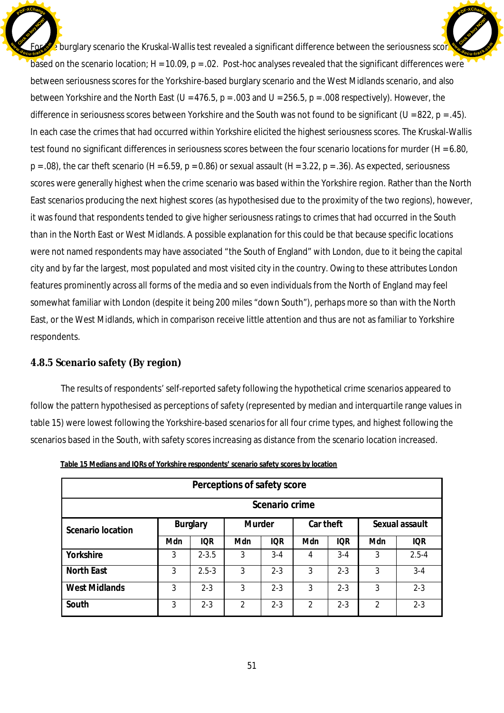$\cdot$  burglary scenario the Kruskal-Wallis test revealed a significant difference between the seriousness score based on the scenario location;  $H = 10.09$ ,  $p = 0.02$ . Post-hoc analyses revealed that the significant differences were between seriousness scores for the Yorkshire-based burglary scenario and the West Midlands scenario, and also between Yorkshire and the North East (*U* = 476.5, p = .003 and *U* = 256.5, p = .008 respectively). However, the difference in seriousness scores between Yorkshire and the South was not found to be significant (*U* = 822, p = .45). In each case the crimes that had occurred within Yorkshire elicited the highest seriousness scores. The Kruskal-Wallis test found no significant differences in seriousness scores between the four scenario locations for murder (*H* = 6.80,  $p = .08$ ), the car theft scenario ( $H = 6.59$ ,  $p = 0.86$ ) or sexual assault ( $H = 3.22$ ,  $p = .36$ ). As expected, seriousness scores were generally highest when the crime scenario was based within the Yorkshire region. Rather than the North East scenarios producing the next highest scores (as hypothesised due to the proximity of the two regions), however, it was found that respondents tended to give higher seriousness ratings to crimes that had occurred in the South than in the North East or West Midlands. A possible explanation for this could be that because specific locations were not named respondents may have associated "the South of England" with London, due to it being the capital city and by far the largest, most populated and most visited city in the country. Owing to these attributes London features prominently across all forms of the media and so even individuals from the North of England may feel somewhat familiar with London (despite it being 200 miles "down South"), perhaps more so than with the North East, or the West Midlands, which in comparison receive little attention and thus are not as familiar to Yorkshire respondents. Click to buy Now! **E** [Click to buy NOW!](http://www.docu-track.com/buy/) **<sup>w</sup>ww.docu-track.co<sup>m</sup>**

**<sup>P</sup>DF-XChang<sup>e</sup>**

## **4.8.5 Scenario safety (By region)**

**<sup>P</sup>DF-XChang<sup>e</sup>**

The results of respondents' self-reported safety following the hypothetical crime scenarios appeared to follow the pattern hypothesised as perceptions of safety (represented by median and interquartile range values in table 15) were lowest following the Yorkshire-based scenarios for all four crime types, and highest following the scenarios based in the South, with safety scores increasing as distance from the scenario location increased.

| Perceptions of safety score |          |            |                |            |               |            |                |            |  |  |
|-----------------------------|----------|------------|----------------|------------|---------------|------------|----------------|------------|--|--|
| Scenario crime              |          |            |                |            |               |            |                |            |  |  |
| Scenario location           | Burglary |            | Murder         |            | Car theft     |            | Sexual assault |            |  |  |
|                             | Mdn      | <b>IQR</b> | Mdn            | <b>IOR</b> | Mdn           | <b>IQR</b> | Mdn            | <b>IOR</b> |  |  |
| Yorkshire                   | 3        | $2 - 3.5$  | 3              | $3-4$      | 4             | $3 - 4$    | 3              | $2.5 - 4$  |  |  |
| North East                  | 3        | $2.5 - 3$  | 3              | $2 - 3$    | 3             | $2 - 3$    | 3              | $3 - 4$    |  |  |
| <b>West Midlands</b>        | 3        | $2 - 3$    | 3              | $2 - 3$    | 3             | $2 - 3$    | 3              | $2 - 3$    |  |  |
| South                       | 3        | $2 - 3$    | $\mathfrak{D}$ | $2 - 3$    | $\mathcal{P}$ | $2 - 3$    | $\mathcal{P}$  | $2 - 3$    |  |  |

**Table 15 Medians and IQRs of Yorkshire respondents' scenario safety scores by location**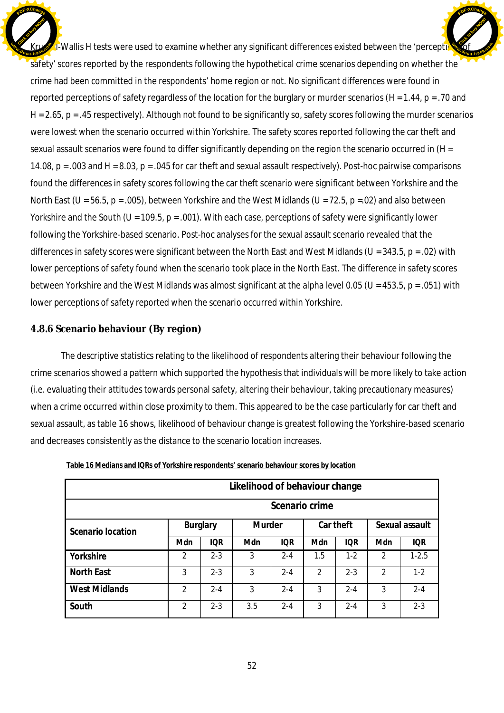$\mu$ -Wallis H tests were used to examine whether any significant differences existed between the 'perception safety' scores reported by the respondents following the hypothetical crime scenarios depending on whether the crime had been committed in the respondents' home region or not. No significant differences were found in reported perceptions of safety regardless of the location for the burglary or murder scenarios (*H* = 1.44, p = .70 and *H* = 2.65, p = .45 respectively). Although not found to be significantly so, safety scores following the murder scenarios were lowest when the scenario occurred within Yorkshire. The safety scores reported following the car theft and sexual assault scenarios were found to differ significantly depending on the region the scenario occurred in (*H* = 14.08, p = .003 and *H* = 8.03, p = .045 for car theft and sexual assault respectively). Post-hoc pairwise comparisons found the differences in safety scores following the car theft scenario were significant between Yorkshire and the North East (*U* = 56.5, p = .005), between Yorkshire and the West Midlands (*U* = 72.5, p =.02) and also between Yorkshire and the South (*U* = 109.5, p = .001). With each case, perceptions of safety were significantly lower following the Yorkshire-based scenario. Post-hoc analyses for the sexual assault scenario revealed that the differences in safety scores were significant between the North East and West Midlands (*U* = 343.5, p = .02) with lower perceptions of safety found when the scenario took place in the North East. The difference in safety scores between Yorkshire and the West Midlands was almost significant at the alpha level 0.05 (*U* = 453.5, p = .051) with lower perceptions of safety reported when the scenario occurred within Yorkshire. Click to buy Now! **E [Click to buy NOW!](http://www.docu-track.com/buy/) <sup>w</sup>ww.docu-track.co<sup>m</sup>**

**<sup>P</sup>DF-XChang<sup>e</sup>**

## **4.8.6 Scenario behaviour (By region)**

**<sup>P</sup>DF-XChang<sup>e</sup>**

The descriptive statistics relating to the likelihood of respondents altering their behaviour following the crime scenarios showed a pattern which supported the hypothesis that individuals will be more likely to take action (i.e. evaluating their attitudes towards personal safety, altering their behaviour, taking precautionary measures) when a crime occurred within close proximity to them. This appeared to be the case particularly for car theft and sexual assault, as table 16 shows, likelihood of behaviour change is greatest following the Yorkshire-based scenario and decreases consistently as the distance to the scenario location increases.

| Likelihood of behaviour change |                |            |        |            |                |            |                |            |  |
|--------------------------------|----------------|------------|--------|------------|----------------|------------|----------------|------------|--|
|                                | Scenario crime |            |        |            |                |            |                |            |  |
| Scenario location              | Burglary       |            | Murder |            | Car theft      |            | Sexual assault |            |  |
|                                | Mdn            | <b>IQR</b> | Mdn    | <b>IQR</b> | Mdn            | <b>IQR</b> | Mdn            | <b>IQR</b> |  |
| Yorkshire                      | $\mathcal{P}$  | $2 - 3$    | 3      | $2 - 4$    | 1.5            | $1 - 2$    | $\mathcal{P}$  | $1 - 2.5$  |  |
| <b>North East</b>              | 3              | $2 - 3$    | 3      | $2 - 4$    | $\mathfrak{D}$ | $2 - 3$    | $\overline{2}$ | $1-2$      |  |
| <b>West Midlands</b>           | $\mathcal{P}$  | $2 - 4$    | 3      | $2 - 4$    | 3              | $2 - 4$    | 3              | $2 - 4$    |  |
| South                          | 2              | $2 - 3$    | 3.5    | $2 - 4$    | 3              | $2 - 4$    | 3              | $2 - 3$    |  |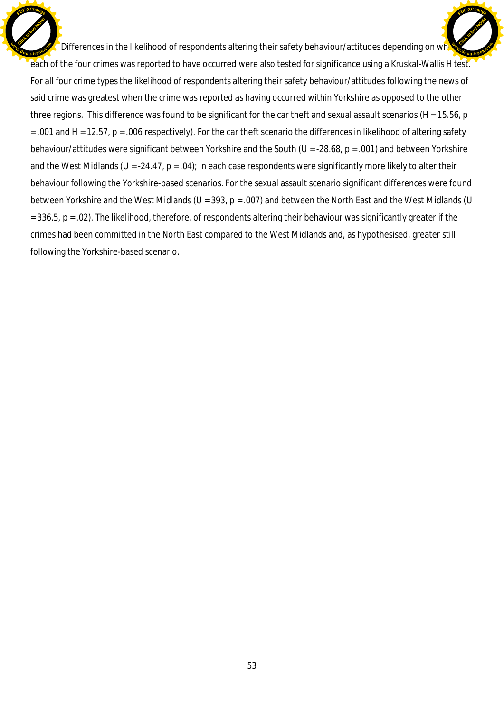Differences in the likelihood of respondents altering their safety behaviour/attitudes depending on wh each of the four crimes was reported to have occurred were also tested for significance using a Kruskal-Wallis H test. For all four crime types the likelihood of respondents altering their safety behaviour/attitudes following the news of said crime was greatest when the crime was reported as having occurred within Yorkshire as opposed to the other three regions. This difference was found to be significant for the car theft and sexual assault scenarios (*H* = 15.56, p  $=$  .001 and  $H = 12.57$ ,  $p = .006$  respectively). For the car theft scenario the differences in likelihood of altering safety behaviour/attitudes were significant between Yorkshire and the South (*U* = -28.68, p = .001) and between Yorkshire and the West Midlands ( $U = -24.47$ ,  $p = .04$ ); in each case respondents were significantly more likely to alter their behaviour following the Yorkshire-based scenarios. For the sexual assault scenario significant differences were found between Yorkshire and the West Midlands (*U* = 393, p = .007) and between the North East and the West Midlands (*U* = 336.5, p = .02). The likelihood, therefore, of respondents altering their behaviour was significantly greater if the crimes had been committed in the North East compared to the West Midlands and, as hypothesised, greater still following the Yorkshire-based scenario. Click to buy Now! **<sup>w</sup>ww.docu-track.co<sup>m</sup>** [Click to buy NOW!](http://www.docu-track.com/buy/) **<sup>w</sup>ww.docu-track.co<sup>m</sup>**

**<sup>P</sup>DF-XChang<sup>e</sup>**

**<sup>P</sup>DF-XChang<sup>e</sup>**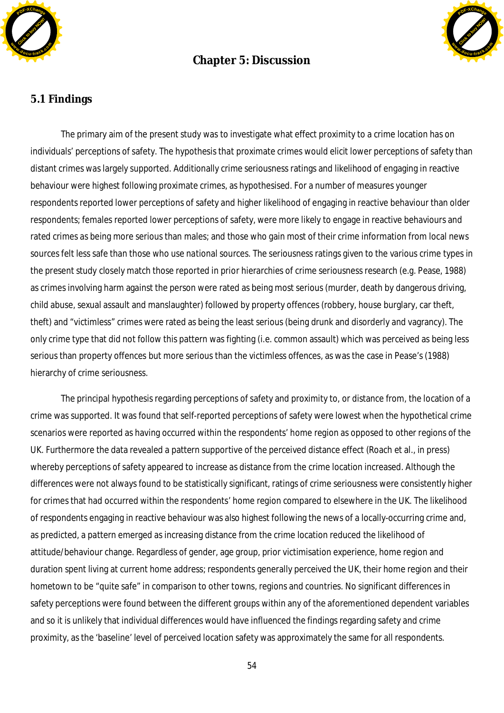

## **Chapter 5: Discussion**



## **5.1 Findings**

The primary aim of the present study was to investigate what effect proximity to a crime location has on individuals' perceptions of safety. The hypothesis that proximate crimes would elicit lower perceptions of safety than distant crimes was largely supported. Additionally crime seriousness ratings and likelihood of engaging in reactive behaviour were highest following proximate crimes, as hypothesised. For a number of measures younger respondents reported lower perceptions of safety and higher likelihood of engaging in reactive behaviour than older respondents; females reported lower perceptions of safety, were more likely to engage in reactive behaviours and rated crimes as being more serious than males; and those who gain most of their crime information from local news sources felt less safe than those who use national sources. The seriousness ratings given to the various crime types in the present study closely match those reported in prior hierarchies of crime seriousness research (e.g. Pease, 1988) as crimes involving harm against the person were rated as being most serious (murder, death by dangerous driving, child abuse, sexual assault and manslaughter) followed by property offences (robbery, house burglary, car theft, theft) and "victimless" crimes were rated as being the least serious (being drunk and disorderly and vagrancy). The only crime type that did not follow this pattern was fighting (i.e. common assault) which was perceived as being less serious than property offences but more serious than the victimless offences, as was the case in Pease's (1988) hierarchy of crime seriousness.

The principal hypothesis regarding perceptions of safety and proximity to, or distance from, the location of a crime was supported. It was found that self-reported perceptions of safety were lowest when the hypothetical crime scenarios were reported as having occurred within the respondents' home region as opposed to other regions of the UK. Furthermore the data revealed a pattern supportive of the perceived distance effect (Roach et al., in press) whereby perceptions of safety appeared to increase as distance from the crime location increased. Although the differences were not always found to be statistically significant, ratings of crime seriousness were consistently higher for crimes that had occurred within the respondents' home region compared to elsewhere in the UK. The likelihood of respondents engaging in reactive behaviour was also highest following the news of a locally-occurring crime and, as predicted, a pattern emerged as increasing distance from the crime location reduced the likelihood of attitude/behaviour change. Regardless of gender, age group, prior victimisation experience, home region and duration spent living at current home address; respondents generally perceived the UK, their home region and their hometown to be "quite safe" in comparison to other towns, regions and countries. No significant differences in safety perceptions were found between the different groups within any of the aforementioned dependent variables and so it is unlikely that individual differences would have influenced the findings regarding safety and crime proximity, as the 'baseline' level of perceived location safety was approximately the same for all respondents.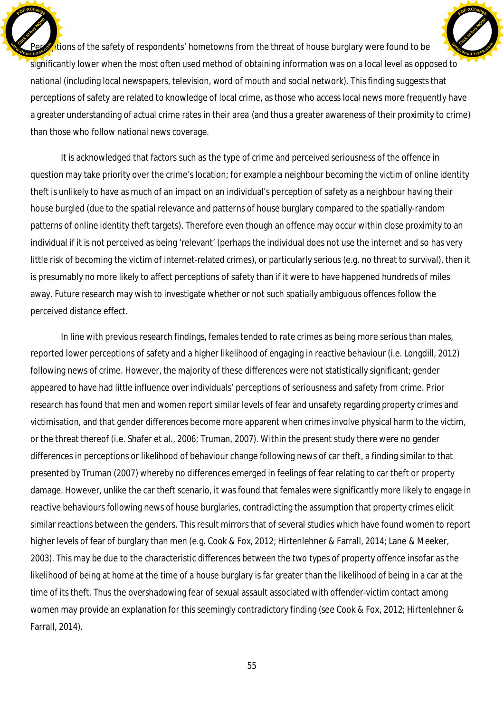$\sum$  tions of the safety of respondents' hometowns from the threat of house burglary were found to be significantly lower when the most often used method of obtaining information was on a local level as opposed to national (including local newspapers, television, word of mouth and social network). This finding suggests that perceptions of safety are related to knowledge of local crime, as those who access local news more frequently have a greater understanding of actual crime rates *in their area* (and thus a greater awareness of their proximity to crime) than those who follow national news coverage. Click to buy Now! **E** [Click to buy NOW!](http://www.docu-track.com/buy/) **<sup>w</sup>ww.docu-track.co<sup>m</sup>**

**<sup>P</sup>DF-XChang<sup>e</sup>**

**<sup>P</sup>DF-XChang<sup>e</sup>**

It is acknowledged that factors such as the type of crime and perceived seriousness of the offence in question may take priority over the crime's location; for example a neighbour becoming the victim of online identity theft is unlikely to have as much of an impact on an individual's perception of safety as a neighbour having their house burgled (due to the spatial relevance and patterns of house burglary compared to the spatially-random patterns of online identity theft targets). Therefore even though an offence may occur within close proximity to an individual if it is not perceived as being 'relevant' (perhaps the individual does not use the internet and so has very little risk of becoming the victim of internet-related crimes), or particularly serious (e.g. no threat to survival), then it is presumably no more likely to affect perceptions of safety than if it were to have happened hundreds of miles away. Future research may wish to investigate whether or not such spatially ambiguous offences follow the perceived distance effect.

In line with previous research findings, females tended to rate crimes as being more serious than males, reported lower perceptions of safety and a higher likelihood of engaging in reactive behaviour (i.e. Longdill, 2012) following news of crime. However, the majority of these differences were not statistically significant; gender appeared to have had little influence over individuals' perceptions of seriousness and safety from crime. Prior research has found that men and women report similar levels of fear and unsafety regarding property crimes and victimisation, and that gender differences become more apparent when crimes involve physical harm to the victim, or the threat thereof (i.e. Shafer et al., 2006; Truman, 2007). Within the present study there were no gender differences in perceptions or likelihood of behaviour change following news of car theft, a finding similar to that presented by Truman (2007) whereby no differences emerged in feelings of fear relating to car theft or property damage. However, unlike the car theft scenario, it was found that females were significantly more likely to engage in reactive behaviours following news of house burglaries, contradicting the assumption that property crimes elicit similar reactions between the genders. This result mirrors that of several studies which have found women to report higher levels of fear of burglary than men (e.g. Cook & Fox, 2012; Hirtenlehner & Farrall, 2014; Lane & Meeker, 2003). This may be due to the characteristic differences between the two types of property offence insofar as the likelihood of being at home at the time of a house burglary is far greater than the likelihood of being in a car at the time of its theft. Thus the overshadowing fear of sexual assault associated with offender-victim contact among women may provide an explanation for this seemingly contradictory finding (see Cook & Fox, 2012; Hirtenlehner & Farrall, 2014).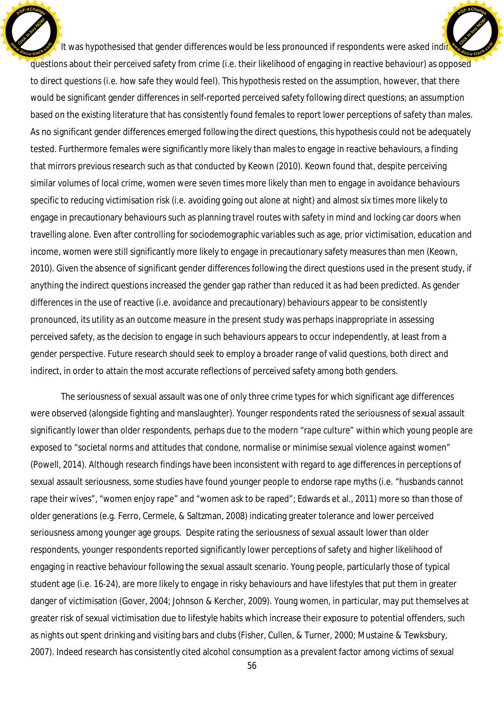It was hypothesised that gender differences would be less pronounced if respondents were asked indir questions about their perceived safety from crime (i.e. their likelihood of engaging in reactive behaviour) as opposed to direct questions (i.e. how safe they would feel). This hypothesis rested on the assumption, however, that there would be significant gender differences in self-reported perceived safety following direct questions; an assumption based on the existing literature that has consistently found females to report lower perceptions of safety than males. As no significant gender differences emerged following the direct questions, this hypothesis could not be adequately tested. Furthermore females were significantly more likely than males to engage in reactive behaviours, a finding that mirrors previous research such as that conducted by Keown (2010). Keown found that, despite perceiving similar volumes of local crime, women were seven times more likely than men to engage in avoidance behaviours specific to reducing victimisation risk (i.e. avoiding going out alone at night) and almost six times more likely to engage in precautionary behaviours such as planning travel routes with safety in mind and locking car doors when travelling alone. Even after controlling for sociodemographic variables such as age, prior victimisation, education and income, women were still significantly more likely to engage in precautionary safety measures than men (Keown, 2010). Given the absence of significant gender differences following the direct questions used in the present study, if anything the indirect questions increased the gender gap rather than reduced it as had been predicted. As gender differences in the use of reactive (i.e. avoidance and precautionary) behaviours appear to be consistently pronounced, its utility as an outcome measure in the present study was perhaps inappropriate in assessing perceived safety, as the decision to engage in such behaviours appears to occur independently, at least from a gender perspective. Future research should seek to employ a broader range of valid questions, both direct and indirect, in order to attain the most accurate reflections of perceived safety among both genders. Click to buy Now! **<sup>w</sup>ww.docu-track.co<sup>m</sup>** [Click to buy NOW!](http://www.docu-track.com/buy/) **<sup>w</sup>ww.docu-track.co<sup>m</sup>**

**<sup>P</sup>DF-XChang<sup>e</sup>**

**<sup>P</sup>DF-XChang<sup>e</sup>**

The seriousness of sexual assault was one of only three crime types for which significant age differences were observed (alongside fighting and manslaughter). Younger respondents rated the seriousness of sexual assault significantly lower than older respondents, perhaps due to the modern "rape culture" within which young people are exposed to "societal norms and attitudes that condone, normalise or minimise sexual violence against women" (Powell, 2014). Although research findings have been inconsistent with regard to age differences in perceptions of sexual assault seriousness, some studies have found younger people to endorse rape myths (i.e. "husbands cannot rape their wives", "women enjoy rape" and "women ask to be raped"; Edwards et al., 2011) more so than those of older generations (e.g. Ferro, Cermele, & Saltzman, 2008) indicating greater tolerance and lower perceived seriousness among younger age groups. Despite rating the seriousness of sexual assault lower than older respondents, younger respondents reported significantly lower perceptions of safety and higher likelihood of engaging in reactive behaviour following the sexual assault scenario. Young people, particularly those of typical student age (i.e. 16-24), are more likely to engage in risky behaviours and have lifestyles that put them in greater danger of victimisation (Gover, 2004; Johnson & Kercher, 2009). Young women, in particular, may put themselves at greater risk of sexual victimisation due to lifestyle habits which increase their exposure to potential offenders, such as nights out spent drinking and visiting bars and clubs (Fisher, Cullen, & Turner, 2000; Mustaine & Tewksbury, 2007). Indeed research has consistently cited alcohol consumption as a prevalent factor among victims of sexual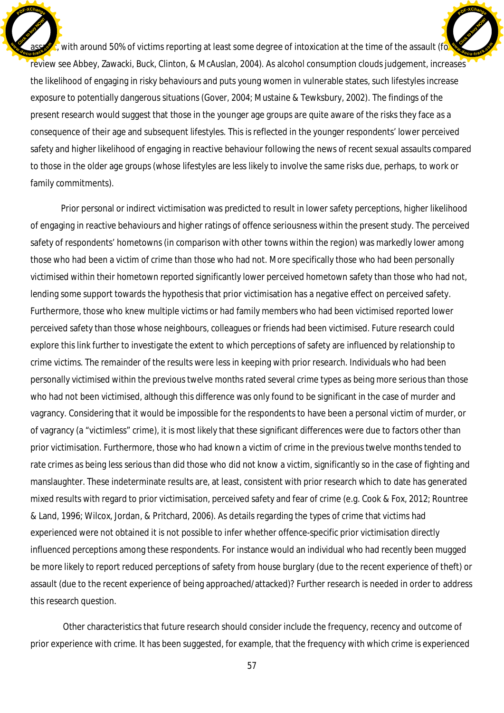$\zeta$  with around 50% of victims reporting at least some degree of intoxication at the time of the assault (for review see Abbey, Zawacki, Buck, Clinton, & McAuslan, 2004). As alcohol consumption clouds judgement, increases the likelihood of engaging in risky behaviours and puts young women in vulnerable states, such lifestyles increase exposure to potentially dangerous situations (Gover, 2004; Mustaine & Tewksbury, 2002). The findings of the present research would suggest that those in the younger age groups are quite aware of the risks they face as a consequence of their age and subsequent lifestyles. This is reflected in the younger respondents' lower perceived safety and higher likelihood of engaging in reactive behaviour following the news of recent sexual assaults compared to those in the older age groups (whose lifestyles are less likely to involve the same risks due, perhaps, to work or family commitments). Click to buy Now! **<sup>w</sup>ww.docu-track.co<sup>m</sup>** [Click to buy NOW!](http://www.docu-track.com/buy/) **<sup>w</sup>ww.docu-track.co<sup>m</sup>**

**<sup>P</sup>DF-XChang<sup>e</sup>**

**<sup>P</sup>DF-XChang<sup>e</sup>**

Prior personal or indirect victimisation was predicted to result in lower safety perceptions, higher likelihood of engaging in reactive behaviours and higher ratings of offence seriousness within the present study. The perceived safety of respondents' hometowns (in comparison with other towns within the region) was markedly lower among those who had been a victim of crime than those who had not. More specifically those who had been personally victimised within their hometown reported significantly lower perceived hometown safety than those who had not, lending some support towards the hypothesis that prior victimisation has a negative effect on perceived safety. Furthermore, those who knew multiple victims or had family members who had been victimised reported lower perceived safety than those whose neighbours, colleagues or friends had been victimised. Future research could explore this link further to investigate the extent to which perceptions of safety are influenced by relationship to crime victims. The remainder of the results were less in keeping with prior research. Individuals who had been personally victimised within the previous twelve months rated several crime types as being more serious than those who had not been victimised, although this difference was only found to be significant in the case of murder and vagrancy. Considering that it would be impossible for the respondents to have been a personal victim of murder, or of vagrancy (a "victimless" crime), it is most likely that these significant differences were due to factors other than prior victimisation. Furthermore, those who had known a victim of crime in the previous twelve months tended to rate crimes as being *less* serious than did those who did not know a victim, significantly so in the case of fighting and manslaughter. These indeterminate results are, at least, consistent with prior research which to date has generated mixed results with regard to prior victimisation, perceived safety and fear of crime (e.g. Cook & Fox, 2012; Rountree & Land, 1996; Wilcox, Jordan, & Pritchard, 2006). As details regarding the *types* of crime that victims had experienced were not obtained it is not possible to infer whether offence-specific prior victimisation directly influenced perceptions among these respondents. For instance would an individual who had recently been mugged be more likely to report reduced perceptions of safety from house burglary (due to the recent experience of theft) or assault (due to the recent experience of being approached/attacked)? Further research is needed in order to address this research question.

 Other characteristics that future research should consider include the frequency, recency and outcome of prior experience with crime. It has been suggested, for example, that the frequency with which crime is experienced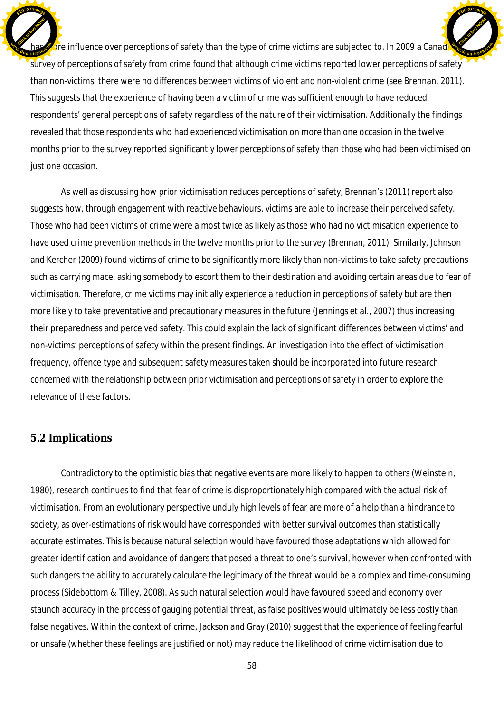$\delta$  influence over perceptions of safety than the type of crime victims are subjected to. In 2009 a Canadian survey of perceptions of safety from crime found that although crime victims reported lower perceptions of safety than non-victims, there were no differences between victims of violent and non-violent crime (see Brennan, 2011). This suggests that the experience of having been a victim of crime was sufficient enough to have reduced respondents' general perceptions of safety regardless of the nature of their victimisation. Additionally the findings revealed that those respondents who had experienced victimisation on more than one occasion in the twelve months prior to the survey reported significantly lower perceptions of safety than those who had been victimised on just one occasion. Click to buy Now! **dcu***-***<b>tra**<br> **dcu** [Click to buy NOW!](http://www.docu-track.com/buy/) **<sup>w</sup>ww.docu-track.co<sup>m</sup>**

**<sup>P</sup>DF-XChang<sup>e</sup>**

As well as discussing how prior victimisation *reduces* perceptions of safety, Brennan's (2011) report also suggests how, through engagement with reactive behaviours, victims are able to *increase* their perceived safety. Those who had been victims of crime were almost twice as likely as those who had no victimisation experience to have used crime prevention methods in the twelve months prior to the survey (Brennan, 2011). Similarly, Johnson and Kercher (2009) found victims of crime to be significantly more likely than non-victims to take safety precautions such as carrying mace, asking somebody to escort them to their destination and avoiding certain areas due to fear of victimisation. Therefore, crime victims may initially experience a reduction in perceptions of safety but are then more likely to take preventative and precautionary measures in the future (Jennings et al., 2007) thus increasing their preparedness and perceived safety. This could explain the lack of significant differences between victims' and non-victims' perceptions of safety within the present findings. An investigation into the effect of victimisation frequency, offence type and subsequent safety measures taken should be incorporated into future research concerned with the relationship between prior victimisation and perceptions of safety in order to explore the relevance of these factors.

### **5.2 Implications**

**<sup>P</sup>DF-XChang<sup>e</sup>**

Contradictory to the optimistic bias that negative events are more likely to happen to others (Weinstein, 1980), research continues to find that fear of crime is disproportionately high compared with the actual risk of victimisation. From an evolutionary perspective unduly high levels of fear are more of a help than a hindrance to society, as over-estimations of risk would have corresponded with better survival outcomes than statistically accurate estimates. This is because natural selection would have favoured those adaptations which allowed for greater identification and avoidance of dangers that posed a threat to one's survival, however when confronted with such dangers the ability to accurately calculate the legitimacy of the threat would be a complex and time-consuming process (Sidebottom & Tilley, 2008). As such natural selection would have favoured speed and economy over staunch accuracy in the process of gauging potential threat, as false positives would ultimately be less costly than false negatives. Within the context of crime, Jackson and Gray (2010) suggest that the experience of feeling fearful or unsafe (whether these feelings are justified or not) may reduce the likelihood of crime victimisation due to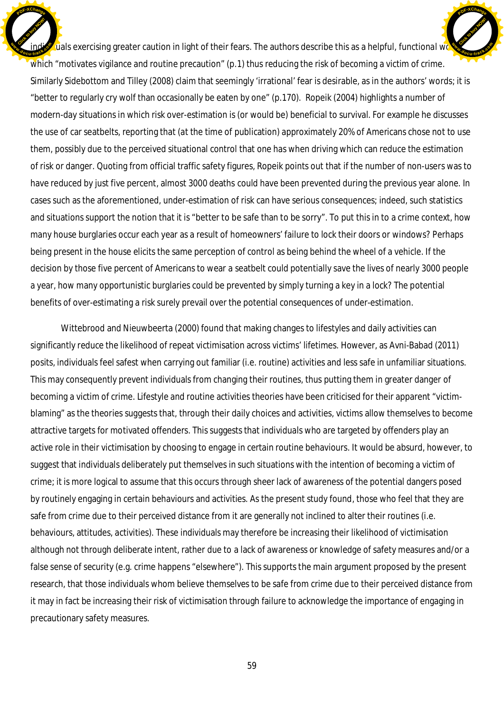$\bar{z}$ uals exercising greater caution in light of their fears. The authors describe this as a helpful, *functional wo* which "motivates vigilance and routine precaution" (p.1) thus reducing the risk of becoming a victim of crime. Similarly Sidebottom and Tilley (2008) claim that seemingly 'irrational' fear is desirable, as in the authors' words; it is "better to regularly cry wolf than occasionally be eaten by one" (p.170). Ropeik (2004) highlights a number of modern-day situations in which risk over-estimation is (or would be) beneficial to survival. For example he discusses the use of car seatbelts, reporting that (at the time of publication) approximately 20% of Americans chose not to use them, possibly due to the perceived situational control that one has when driving which can reduce the estimation of risk or danger. Quoting from official traffic safety figures, Ropeik points out that if the number of non-users was to have reduced by just five percent, almost 3000 deaths could have been prevented during the previous year alone. In cases such as the aforementioned, under-estimation of risk can have serious consequences; indeed, such statistics and situations support the notion that it is "better to be safe than to be sorry". To put this in to a crime context, how many house burglaries occur each year as a result of homeowners' failure to lock their doors or windows? Perhaps being present in the house elicits the same perception of control as being behind the wheel of a vehicle. If the decision by those five percent of Americans to wear a seatbelt could potentially save the lives of nearly 3000 people a year, how many opportunistic burglaries could be prevented by simply turning a key in a lock? The potential benefits of over-estimating a risk surely prevail over the potential consequences of under-estimation. Click to buy Now! **E** [Click to buy NOW!](http://www.docu-track.com/buy/) **<sup>w</sup>ww.docu-track.co<sup>m</sup>**

**<sup>P</sup>DF-XChang<sup>e</sup>**

**<sup>P</sup>DF-XChang<sup>e</sup>**

Wittebrood and Nieuwbeerta (2000) found that making changes to lifestyles and daily activities can significantly reduce the likelihood of repeat victimisation across victims' lifetimes. However, as Avni-Babad (2011) posits, individuals feel safest when carrying out familiar (i.e. routine) activities and less safe in unfamiliar situations. This may consequently prevent individuals from changing their routines, thus putting them in greater danger of becoming a victim of crime. Lifestyle and routine activities theories have been criticised for their apparent "victimblaming" as the theories suggests that, through their daily choices and activities, victims allow themselves to become attractive targets for motivated offenders. This suggests that individuals who are targeted by offenders play an active role in their victimisation by choosing to engage in certain routine behaviours. It would be absurd, however, to suggest that individuals deliberately put themselves in such situations with the intention of becoming a victim of crime; it is more logical to assume that this occurs through sheer lack of awareness of the potential dangers posed by routinely engaging in certain behaviours and activities. As the present study found, those who feel that they are safe from crime due to their perceived distance from it are generally not inclined to alter their routines (i.e. behaviours, attitudes, activities). These individuals may therefore be increasing their likelihood of victimisation although not through deliberate intent, rather due to a lack of awareness or knowledge of safety measures and/or a false sense of security (e.g. crime happens "elsewhere"). This supports the main argument proposed by the present research, that those individuals whom believe themselves to be safe from crime due to their perceived distance from it may in fact be increasing their risk of victimisation through failure to acknowledge the importance of engaging in precautionary safety measures.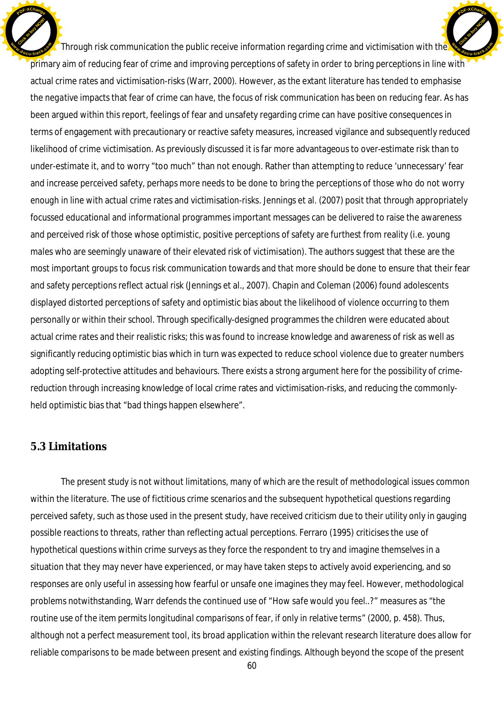Through risk communication the public receive information regarding crime and victimisation with the primary aim of reducing fear of crime and improving perceptions of safety in order to bring perceptions in line with actual crime rates and victimisation-risks (Warr, 2000). However, as the extant literature has tended to emphasise the *negative* impacts that fear of crime can have, the focus of risk communication has been on *reducing* fear. As has been argued within this report, feelings of fear and unsafety regarding crime can have *positive* consequences in terms of engagement with precautionary or reactive safety measures, increased vigilance and subsequently reduced likelihood of crime victimisation. As previously discussed it is far more advantageous to over-estimate risk than to under-estimate it, and to worry "too much" than not enough. Rather than attempting to reduce 'unnecessary' fear and increase perceived safety, perhaps more needs to be done to bring the perceptions of those who do not worry *enough* in line with actual crime rates and victimisation-risks. Jennings et al. (2007) posit that through appropriately focussed educational and informational programmes important messages can be delivered to raise the awareness and perceived risk of those whose optimistic, positive perceptions of safety are furthest from reality (i.e. young males who are seemingly unaware of their elevated risk of victimisation). The authors suggest that these are the most important groups to focus risk communication towards and that more should be done to ensure that their fear and safety perceptions reflect actual risk (Jennings et al., 2007). Chapin and Coleman (2006) found adolescents displayed distorted perceptions of safety and optimistic bias about the likelihood of violence occurring to them personally or within their school. Through specifically-designed programmes the children were educated about actual crime rates and their realistic risks; this was found to increase knowledge and awareness of risk as well as significantly reducing optimistic bias which in turn was expected to reduce school violence due to greater numbers adopting self-protective attitudes and behaviours. There exists a strong argument here for the possibility of crimereduction through increasing knowledge of local crime rates and victimisation-risks, and reducing the commonlyheld optimistic bias that "bad things happen elsewhere". Click to buy Now! **<sup>w</sup>ww.docu-track.co<sup>m</sup>** [Click to buy NOW!](http://www.docu-track.com/buy/) **<sup>w</sup>ww.docu-track.co<sup>m</sup>**

**<sup>P</sup>DF-XChang<sup>e</sup>**

### **5.3 Limitations**

**<sup>P</sup>DF-XChang<sup>e</sup>**

The present study is not without limitations, many of which are the result of methodological issues common within the literature. The use of fictitious crime scenarios and the subsequent hypothetical questions regarding perceived safety, such as those used in the present study, have received criticism due to their utility only in gauging possible reactions to threats, rather than reflecting actual perceptions. Ferraro (1995) criticises the use of hypothetical questions within crime surveys as they force the respondent to try and imagine themselves in a situation that they may never have experienced, or may have taken steps to actively avoid experiencing, and so responses are only useful in assessing how fearful or unsafe one imagines they may feel. However, methodological problems notwithstanding, Warr defends the continued use of "*How safe would you feel..?*" measures as "*the routine use of the item permits longitudinal comparisons of fear, if only in relative terms*" (2000, p. 458). Thus, although not a perfect measurement tool, its broad application within the relevant research literature does allow for reliable comparisons to be made between present and existing findings. Although beyond the scope of the present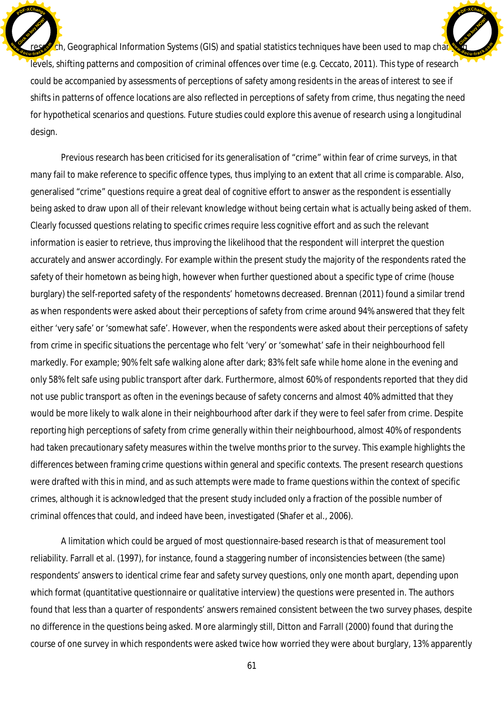ch, Geographical Information Systems (GIS) and spatial statistics techniques have been used to map changing levels, shifting patterns and composition of criminal offences over time (e.g. Ceccato, 2011). This type of research could be accompanied by assessments of perceptions of safety among residents in the areas of interest to see if shifts in patterns of offence locations are also reflected in perceptions of safety from crime, thus negating the need for hypothetical scenarios and questions. Future studies could explore this avenue of research using a longitudinal design. Click to buy Now! **<sup>w</sup>ww.docu-track.co<sup>m</sup> [Click to buy NOW!](http://www.docu-track.com/buy/) <sup>w</sup>ww.docu-track.co<sup>m</sup>**

**<sup>P</sup>DF-XChang<sup>e</sup>**

**<sup>P</sup>DF-XChang<sup>e</sup>**

Previous research has been criticised for its generalisation of "crime" within fear of crime surveys, in that many fail to make reference to specific offence types, thus implying to an extent that all crime is comparable. Also, generalised "crime" questions require a great deal of cognitive effort to answer as the respondent is essentially being asked to draw upon all of their relevant knowledge without being certain what is actually being asked of them. Clearly focussed questions relating to specific crimes require less cognitive effort and as such the relevant information is easier to retrieve, thus improving the likelihood that the respondent will interpret the question accurately and answer accordingly. For example within the present study the majority of the respondents rated the safety of their hometown as being high, however when further questioned about a specific type of crime (house burglary) the self-reported safety of the respondents' hometowns decreased. Brennan (2011) found a similar trend as when respondents were asked about their perceptions of safety from crime around 94% answered that they felt either 'very safe' or 'somewhat safe'. However, when the respondents were asked about their perceptions of safety from crime in specific situations the percentage who felt 'very' or 'somewhat' safe in their neighbourhood fell markedly. For example; 90% felt safe walking alone after dark; 83% felt safe while home alone in the evening and only 58% felt safe using public transport after dark. Furthermore, almost 60% of respondents reported that they did not use public transport as often in the evenings because of safety concerns and almost 40% admitted that they would be more likely to walk alone in their neighbourhood after dark if they were to feel safer from crime. Despite reporting high perceptions of safety from crime generally within their neighbourhood, almost 40% of respondents had taken precautionary safety measures within the twelve months prior to the survey. This example highlights the differences between framing crime questions within general and specific contexts. The present research questions were drafted with this in mind, and as such attempts were made to frame questions within the context of specific crimes, although it is acknowledged that the present study included only a fraction of the possible number of criminal offences that could, and indeed have been, investigated (Shafer et al., 2006).

A limitation which could be argued of most questionnaire-based research is that of measurement tool reliability. Farrall et al. (1997), for instance, found a staggering number of inconsistencies between (the same) respondents' answers to identical crime fear and safety survey questions, only one month apart, depending upon which format (quantitative questionnaire or qualitative interview) the questions were presented in. The authors found that less than a quarter of respondents' answers remained consistent between the two survey phases, despite no difference in the questions being asked. More alarmingly still, Ditton and Farrall (2000) found that during the course of one survey in which respondents were asked twice how worried they were about burglary, 13% apparently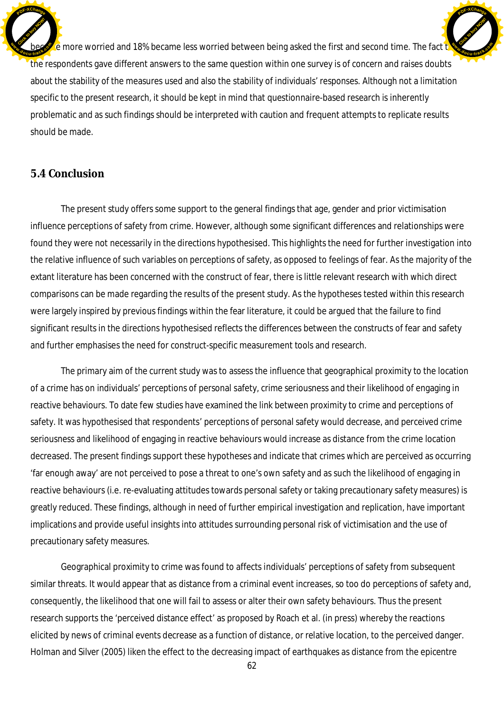

 $\epsilon$  more worried and 18% became less worried between being asked the first and second time. The fact that the respondents gave different answers to the same question within one survey is of concern and raises doubts about the stability of the measures used and also the stability of individuals' responses. Although not a limitation specific to the present research, it should be kept in mind that questionnaire-based research is inherently problematic and as such findings should be interpreted with caution and frequent attempts to replicate results should be made. [Click to buy NOW!](http://www.docu-track.com/buy/) **<sup>w</sup>ww.docu-track.co<sup>m</sup>**

**<sup>P</sup>DF-XChang<sup>e</sup>**

## **5.4 Conclusion**

The present study offers some support to the general findings that age, gender and prior victimisation influence perceptions of safety from crime. However, although some significant differences and relationships were found they were not necessarily in the directions hypothesised. This highlights the need for further investigation into the relative influence of such variables on perceptions of safety, as opposed to feelings of fear. As the majority of the extant literature has been concerned with the construct of fear, there is little relevant research with which direct comparisons can be made regarding the results of the present study. As the hypotheses tested within this research were largely inspired by previous findings within the fear literature, it could be argued that the failure to find significant results in the directions hypothesised reflects the differences between the constructs of fear and safety and further emphasises the need for construct-specific measurement tools and research.

The primary aim of the current study was to assess the influence that geographical proximity to the location of a crime has on individuals' perceptions of personal safety, crime seriousness and their likelihood of engaging in reactive behaviours. To date few studies have examined the link between proximity to crime and perceptions of safety. It was hypothesised that respondents' perceptions of personal safety would decrease, and perceived crime seriousness and likelihood of engaging in reactive behaviours would increase as distance from the crime location decreased. The present findings support these hypotheses and indicate that crimes which are perceived as occurring 'far enough away' are not perceived to pose a threat to one's own safety and as such the likelihood of engaging in reactive behaviours (i.e. re-evaluating attitudes towards personal safety or taking precautionary safety measures) is greatly reduced. These findings, although in need of further empirical investigation and replication, have important implications and provide useful insights into attitudes surrounding personal risk of victimisation and the use of precautionary safety measures.

Geographical proximity to crime was found to affects individuals' perceptions of safety from subsequent similar threats. It would appear that as distance from a criminal event increases, so too do perceptions of safety and, consequently, the likelihood that one will fail to assess or alter their own safety behaviours. Thus the present research supports the 'perceived distance effect' as proposed by Roach et al. (in press) whereby the reactions elicited by news of criminal events decrease as a function of distance, or relative location, to the perceived danger. Holman and Silver (2005) liken the effect to the decreasing impact of earthquakes as distance from the epicentre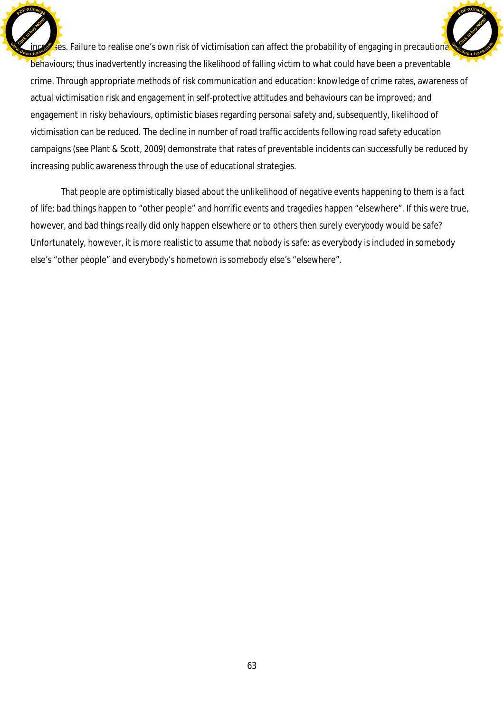ses. Failure to realise one's own risk of victimisation can affect the probability of engaging in precautiona behaviours; thus inadvertently increasing the likelihood of falling victim to what could have been a preventable crime. Through appropriate methods of risk communication and education: knowledge of crime rates, awareness of actual victimisation risk and engagement in self-protective attitudes and behaviours can be improved; and engagement in risky behaviours, optimistic biases regarding personal safety and, subsequently, likelihood of victimisation can be reduced. The decline in number of road traffic accidents following road safety education campaigns (see Plant & Scott, 2009) demonstrate that rates of preventable incidents can successfully be reduced by increasing public awareness through the use of educational strategies. Click to buy Now! **<sup>w</sup>ww.docu-track.co<sup>m</sup>** [Click to buy NOW!](http://www.docu-track.com/buy/) **<sup>w</sup>ww.docu-track.co<sup>m</sup>**

**<sup>P</sup>DF-XChang<sup>e</sup>**

**<sup>P</sup>DF-XChang<sup>e</sup>**

That people are optimistically biased about the unlikelihood of negative events happening to them is a fact of life; bad things happen to "other people" and horrific events and tragedies happen "elsewhere". If this were true, however, and bad things really did only happen elsewhere or to others then surely *everybody* would be safe? Unfortunately, however, it is more realistic to assume that *nobody* is safe: as everybody is included in somebody else's "other people" and everybody's hometown is somebody else's "elsewhere".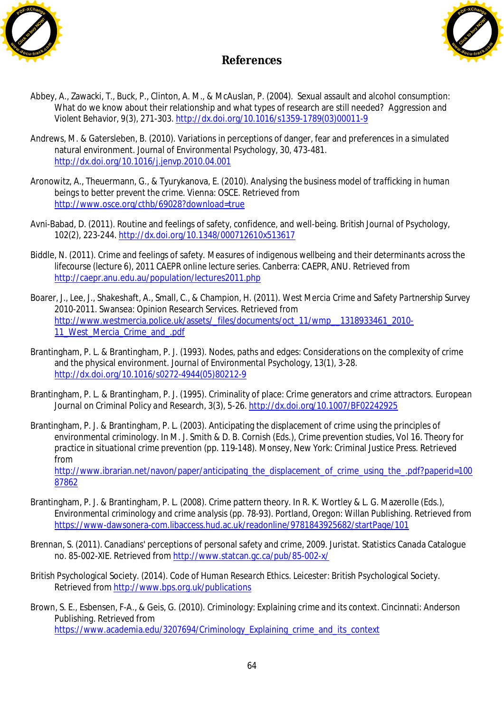



## **References**

- Abbey, A., Zawacki, T., Buck, P., Clinton, A. M., & McAuslan, P. (2004). Sexual assault and alcohol consumption: What do we know about their relationship and what types of research are still needed? *Aggression and Violent Behavior, 9*(3), 271-303. [http://dx.doi.org/10.1016/s1359-1789\(03\)00011-9](http://dx.doi.org/10.1016/s1359-1789(03)00011-9)
- Andrews, M. & Gatersleben, B. (2010). Variations in perceptions of danger, fear and preferences in a simulated natural environment. *Journal of Environmental Psychology, 30,* 473-481. <http://dx.doi.org/10.1016/j.jenvp.2010.04.001>
- Aronowitz, A., Theuermann, G., & Tyurykanova, E. (2010). *Analysing the business model of trafficking in human beings to better prevent the crime*. Vienna: OSCE. Retrieved from <http://www.osce.org/cthb/69028?download=true>
- Avni-Babad, D. (2011). Routine and feelings of safety, confidence, and well-being. *British Journal of Psychology, 102*(2), 223-244. <http://dx.doi.org/10.1348/000712610x513617>
- Biddle, N. (2011). Crime and feelings of safety. *Measures of indigenous wellbeing and their determinants across the lifecourse (lecture 6), 2011 CAEPR online lecture series*. Canberra: CAEPR, ANU. Retrieved from <http://caepr.anu.edu.au/population/lectures2011.php>
- Boarer, J., Lee, J., Shakeshaft, A., Small, C., & Champion, H. (2011). *West Mercia Crime and Safety Partnership Survey 2010-2011*. Swansea: Opinion Research Services. Retrieved from [http://www.westmercia.police.uk/assets/\\_files/documents/oct\\_11/wmp\\_\\_1318933461\\_2010-](http://www.westmercia.police.uk/assets/_files/documents/oct_11/wmp__1318933461_2010-) 11<sup>'</sup> West Mercia Crime<sup>'</sup> and .pdf
- Brantingham, P. L. & Brantingham, P. J. (1993). Nodes, paths and edges: Considerations on the complexity of crime and the physical environment. *Journal of Environmental Psychology, 13*(1), 3-28. [http://dx.doi.org/10.1016/s0272-4944\(05\)80212-9](http://dx.doi.org/10.1016/s0272-4944(05)80212-9)
- Brantingham, P. L. & Brantingham, P. J. (1995). Criminality of place: Crime generators and crime attractors. *European Journal on Criminal Policy and Research*, *3*(3), 5-26. <http://dx.doi.org/10.1007/BF02242925>
- Brantingham, P. J. & Brantingham, P. L. (2003). Anticipating the displacement of crime using the principles of environmental criminology. In M. J. Smith & D. B. Cornish (Eds.), *Crime prevention studies*, *Vol 16*. *Theory for practice in situational crime prevention* (pp. 119-148). Monsey, New York: Criminal Justice Press. Retrieved from [http://www.ibrarian.net/navon/paper/anticipating\\_the\\_displacement\\_of\\_crime\\_using\\_the\\_.pdf?paperid=100](http://www.ibrarian.net/navon/paper/anticipating_the_displacement_of_crime_using_the_.pdf?paperid=100)

- Brantingham, P. J. & Brantingham, P. L. (2008). Crime pattern theory. In R. K. Wortley & L. G. Mazerolle (Eds.), *Environmental criminology and crime analysis* (pp. 78-93). Portland, Oregon: Willan Publishing. Retrieved from <https://www-dawsonera-com.libaccess.hud.ac.uk/readonline/9781843925682/startPage/101>
- Brennan, S. (2011). Canadians' perceptions of personal safety and crime, 2009. *Juristat*. Statistics Canada Catalogue no. 85-002-XIE. Retrieved from <http://www.statcan.gc.ca/pub/85-002-x/>
- British Psychological Society. (2014). *Code of Human Research Ethics*. Leicester: British Psychological Society. Retrieved from <http://www.bps.org.uk/publications>
- Brown, S. E., Esbensen, F-A., & Geis, G. (2010). *Criminology: Explaining crime and its context*. Cincinnati: Anderson Publishing. Retrieved from [https://www.academia.edu/3207694/Criminology\\_Explaining\\_crime\\_and\\_its\\_context](https://www.academia.edu/3207694/Criminology_Explaining_crime_and_its_context)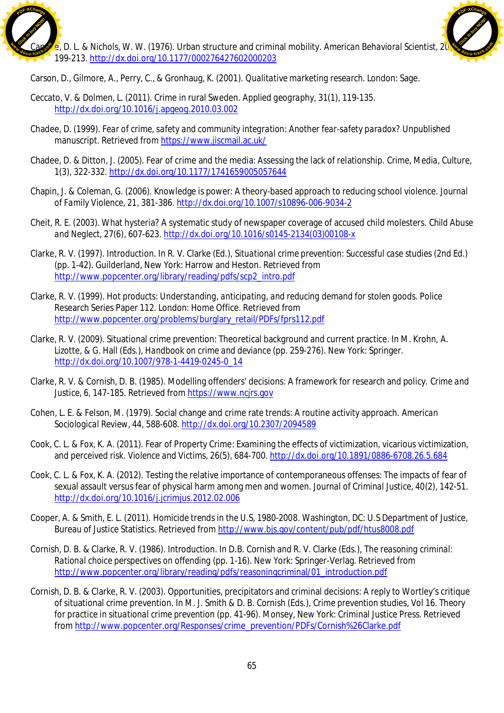



Carson, D., Gilmore, A., Perry, C., & Gronhaug, K. (2001). *Qualitative marketing research*. London: Sage.

- Ceccato, V. & Dolmen, L. (2011). Crime in rural Sweden. *Applied geography, 31*(1), 119-135. <http://dx.doi.org/10.1016/j.apgeog.2010.03.002>
- Chadee, D. (1999). *Fear of crime, safety and community integration: Another fear-safety paradox?* Unpublished manuscript. Retrieved from <https://www.jiscmail.ac.uk/>
- Chadee, D. & Ditton, J. (2005). Fear of crime and the media: Assessing the lack of relationship. *Crime, Media, Culture, 1*(3), 322-332. <http://dx.doi.org/10.1177/1741659005057644>
- Chapin, J. & Coleman, G. (2006). Knowledge is power: A theory-based approach to reducing school violence. *Journal of Family Violence, 21,* 381-386. <http://dx.doi.org/10.1007/s10896-006-9034-2>
- Cheit, R. E. (2003). What hysteria? A systematic study of newspaper coverage of accused child molesters. *Child Abuse and Neglect, 27*(6), 607-623. [http://dx.doi.org/10.1016/s0145-2134\(03\)00108-x](http://dx.doi.org/10.1016/s0145-2134(03)00108-x)
- Clarke, R. V. (1997). Introduction. In R. V. Clarke (Ed.), *Situational crime prevention: Successful case studies (2nd Ed.)* (pp. 1-42). Guilderland, New York: Harrow and Heston. Retrieved from [http://www.popcenter.org/library/reading/pdfs/scp2\\_intro.pdf](http://www.popcenter.org/library/reading/pdfs/scp2_intro.pdf)
- Clarke, R. V. (1999). *Hot products: Understanding, anticipating, and reducing demand for stolen goods*. Police Research Series Paper 112. London: Home Office. Retrieved from [http://www.popcenter.org/problems/burglary\\_retail/PDFs/fprs112.pdf](http://www.popcenter.org/problems/burglary_retail/PDFs/fprs112.pdf)
- Clarke, R. V. (2009). Situational crime prevention: Theoretical background and current practice. In M. Krohn, A. Lizotte, & G. Hall (Eds.), *Handbook on crime and deviance* (pp. 259-276). New York: Springer. [http://dx.doi.org/10.1007/978-1-4419-0245-0\\_14](http://dx.doi.org/10.1007/978-1-4419-0245-0_14)
- Clarke, R. V. & Cornish, D. B. (1985). Modelling offenders' decisions: A framework for research and policy. *Crime and Justice, 6,* 147-185. Retrieved from [https://www.ncjrs.gov](https://www.ncjrs.gov/)
- Cohen, L. E. & Felson, M. (1979). Social change and crime rate trends: A routine activity approach. *American Sociological Review, 44,* 588-608. <http://dx.doi.org/10.2307/2094589>
- Cook, C. L. & Fox, K. A. (2011). Fear of Property Crime: Examining the effects of victimization, vicarious victimization, and perceived risk. *Violence and Victims, 26*(5), 684-700. <http://dx.doi.org/10.1891/0886-6708.26.5.684>
- Cook, C. L. & Fox, K. A. (2012). Testing the relative importance of contemporaneous offenses: The impacts of fear of sexual assault versus fear of physical harm among men and women. *Journal of Criminal Justice, 40*(2), 142-51. <http://dx.doi.org/10.1016/j.jcrimjus.2012.02.006>
- Cooper, A. & Smith, E. L. (2011). *Homicide trends in the U.S, 1980-2008*. Washington, DC: U.S Department of Justice, Bureau of Justice Statistics. Retrieved from <http://www.bjs.gov/content/pub/pdf/htus8008.pdf>
- Cornish, D. B. & Clarke, R. V. (1986). Introduction. In D.B. Cornish and R. V. Clarke (Eds.), *The reasoning criminal: Rational choice perspectives on offending* (pp. 1-16). New York: Springer-Verlag. Retrieved from [http://www.popcenter.org/library/reading/pdfs/reasoningcriminal/01\\_introduction.pdf](http://www.popcenter.org/library/reading/pdfs/reasoningcriminal/01_introduction.pdf)
- Cornish, D. B. & Clarke, R. V. (2003). Opportunities, precipitators and criminal decisions: A reply to Wortley's critique of situational crime prevention. In M. J. Smith & D. B. Cornish (Eds.), *Crime prevention studies*, *Vol 16*. *Theory for practice in situational crime prevention* (pp. 41-96). Monsey, New York: Criminal Justice Press. Retrieved from [http://www.popcenter.org/Responses/crime\\_prevention/PDFs/Cornish%26Clarke.pdf](http://www.popcenter.org/Responses/crime_prevention/PDFs/Cornish%26Clarke.pdf)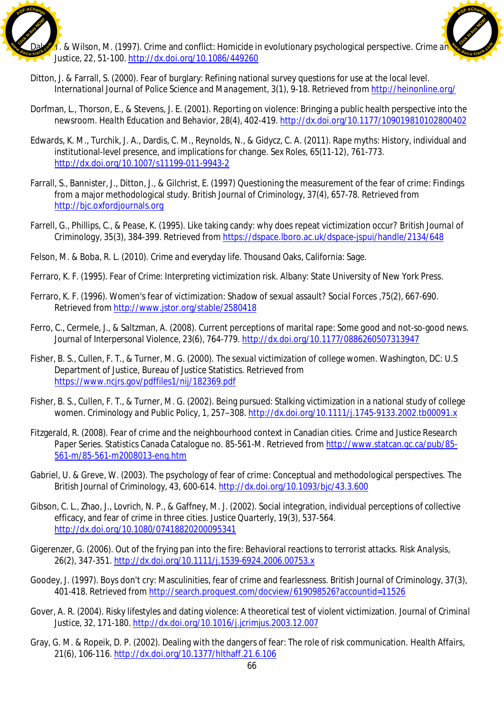

1. & Wilson, M. (1997). Crime and conflict: Homicide in evolutionary psychological perspective. *Crime and Justice, 22*, 51-100. <http://dx.doi.org/10.1086/449260>



- Ditton, J. & Farrall, S. (2000). Fear of burglary: Refining national survey questions for use at the local level. *International Journal of Police Science and Management, 3*(1), 9-18. Retrieved from <http://heinonline.org/>
- Dorfman, L., Thorson, E., & Stevens, J. E. (2001). Reporting on violence: Bringing a public health perspective into the newsroom. *Health Education and Behavior, 28*(4), 402-419. <http://dx.doi.org/10.1177/109019810102800402>
- Edwards, K. M., Turchik, J. A., Dardis, C. M., Reynolds, N., & Gidycz, C. A. (2011). Rape myths: History, individual and institutional-level presence, and implications for change. *Sex Roles, 65*(11-12), 761-773. <http://dx.doi.org/10.1007/s11199-011-9943-2>
- Farrall, S., Bannister, J., Ditton, J., & Gilchrist, E. (1997) Questioning the measurement of the fear of crime: Findings from a major methodological study. *British Journal of Criminology, 37*(4), 657-78. Retrieved from [http://bjc.oxfordjournals.org](http://bjc.oxfordjournals.org/)
- Farrell, G., Phillips, C., & Pease, K. (1995). Like taking candy: why does repeat victimization occur? *British Journal of Criminology, 35*(3), 384-399. Retrieved from <https://dspace.lboro.ac.uk/dspace-jspui/handle/2134/648>
- Felson, M. & Boba, R. L. (2010). *Crime and everyday life*. Thousand Oaks, California: Sage.
- Ferraro, K. F. (1995). *Fear of Crime: Interpreting victimization risk*. Albany: State University of New York Press.
- Ferraro, K. F. (1996). Women's fear of victimization: Shadow of sexual assault? *Social Forces ,75*(2), 667-690. Retrieved from <http://www.jstor.org/stable/2580418>
- Ferro, C., Cermele, J., & Saltzman, A. (2008). Current perceptions of marital rape: Some good and not-so-good news. *Journal of Interpersonal Violence, 23*(6), 764-779. <http://dx.doi.org/10.1177/0886260507313947>
- Fisher, B. S., Cullen, F. T., & Turner, M. G. (2000). *The sexual victimization of college women*. Washington, DC: U.S Department of Justice, Bureau of Justice Statistics. Retrieved from <https://www.ncjrs.gov/pdffiles1/nij/182369.pdf>
- Fisher, B. S., Cullen, F. T., & Turner, M. G. (2002). Being pursued: Stalking victimization in a national study of college women. *Criminology and Public Policy, 1,* 257–308. <http://dx.doi.org/10.1111/j.1745-9133.2002.tb00091.x>
- Fitzgerald, R. (2008). Fear of crime and the neighbourhood context in Canadian cities. *Crime and Justice Research Paper Series*. Statistics Canada Catalogue no. 85-561-M. Retrieved from <http://www.statcan.gc.ca/pub/85-> 561-m/85-561-m2008013-eng.htm
- Gabriel, U. & Greve, W. (2003). The psychology of fear of crime: Conceptual and methodological perspectives. *The British Journal of Criminology, 43,* 600-614. <http://dx.doi.org/10.1093/bjc/43.3.600>
- Gibson, C. L., Zhao, J., Lovrich, N. P., & Gaffney, M. J. (2002). Social integration, individual perceptions of collective efficacy, and fear of crime in three cities. *Justice Quarterly, 19*(3), 537-564. <http://dx.doi.org/10.1080/07418820200095341>
- Gigerenzer, G. (2006). Out of the frying pan into the fire: Behavioral reactions to terrorist attacks. *Risk Analysis, 26*(2), 347-351. <http://dx.doi.org/10.1111/j.1539-6924.2006.00753.x>
- Goodey, J. (1997). Boys don't cry: Masculinities, fear of crime and fearlessness. *British Journal of Criminology, 37*(3), 401-418. Retrieved from <http://search.proquest.com/docview/619098526?accountid=11526>
- Gover, A. R. (2004). Risky lifestyles and dating violence: A theoretical test of violent victimization. *Journal of Criminal Justice, 32,* 171-180. <http://dx.doi.org/10.1016/j.jcrimjus.2003.12.007>
- Gray, G. M. & Ropeik, D. P. (2002). Dealing with the dangers of fear: The role of risk communication. *Health Affairs, 21*(6), 106-116. <http://dx.doi.org/10.1377/hlthaff.21.6.106>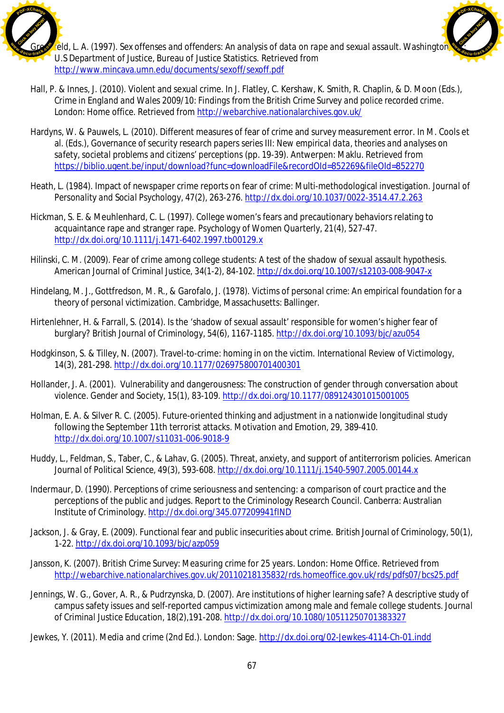

feld, L. A. (1997). *Sex offenses and offenders: An analysis of data on rape and sexual assault*. Washington, U.S Department of Justice, Bureau of Justice Statistics. Retrieved from <http://www.mincava.umn.edu/documents/sexoff/sexoff.pdf> [Click to buy NOW!](http://www.docu-track.com/buy/) **<sup>w</sup>ww.docu-track.co<sup>m</sup>**

**<sup>P</sup>DF-XChang<sup>e</sup>**

- Hall, P. & Innes, J. (2010). Violent and sexual crime. In J. Flatley, C. Kershaw, K. Smith, R. Chaplin, & D. Moon (Eds.), *Crime in England and Wales 2009/10: Findings from the British Crime Survey and police recorded crime*. London: Home office. Retrieved from <http://webarchive.nationalarchives.gov.uk/>
- Hardyns, W. & Pauwels, L. (2010). Different measures of fear of crime and survey measurement error. In M. Cools et al. (Eds.), *Governance of security research papers series III: New empirical data, theories and analyses on safety, societal problems and citizens' perceptions* (pp. 19-39). Antwerpen: Maklu. Retrieved from <https://biblio.ugent.be/input/download?func=downloadFile&recordOId=852269&fileOId=852270>
- Heath, L. (1984). Impact of newspaper crime reports on fear of crime: Multi-methodological investigation. *Journal of Personality and Social Psychology, 47*(2), 263-276. <http://dx.doi.org/10.1037/0022-3514.47.2.263>
- Hickman, S. E. & Meuhlenhard, C. L. (1997). College women's fears and precautionary behaviors relating to acquaintance rape and stranger rape. *Psychology of Women Quarterly, 21*(4), 527-47. <http://dx.doi.org/10.1111/j.1471-6402.1997.tb00129.x>
- Hilinski, C. M. (2009). Fear of crime among college students: A test of the shadow of sexual assault hypothesis. *American Journal of Criminal Justice, 34(1-2),* 84-102. <http://dx.doi.org/10.1007/s12103-008-9047-x>
- Hindelang, M. J., Gottfredson, M. R., & Garofalo, J. (1978). *Victims of personal crime: An empirical foundation for a theory of personal victimization*. Cambridge, Massachusetts: Ballinger.
- Hirtenlehner, H. & Farrall, S. (2014). Is the 'shadow of sexual assault' responsible for women's higher fear of burglary? *British Journal of Criminology, 54*(6), 1167-1185. <http://dx.doi.org/10.1093/bjc/azu054>
- Hodgkinson, S. & Tilley, N. (2007). Travel-to-crime: homing in on the victim. *International Review of Victimology, 14*(3), 281-298. <http://dx.doi.org/10.1177/026975800701400301>
- Hollander, J. A. (2001). Vulnerability and dangerousness: The construction of gender through conversation about violence. *Gender and Society, 15*(1), 83-109. <http://dx.doi.org/10.1177/089124301015001005>
- Holman, E. A. & Silver R. C. (2005). Future-oriented thinking and adjustment in a nationwide longitudinal study following the September 11th terrorist attacks. *Motivation and Emotion, 29,* 389-410. <http://dx.doi.org/10.1007/s11031-006-9018-9>
- Huddy, L., Feldman, S., Taber, C., & Lahav, G. (2005). Threat, anxiety, and support of antiterrorism policies. *American Journal of Political Science, 49*(3), 593-608. <http://dx.doi.org/10.1111/j.1540-5907.2005.00144.x>
- Indermaur, D. (1990). *Perceptions of crime seriousness and sentencing: a comparison of court practice and the perceptions of the public and judges*. Report to the Criminology Research Council. Canberra: Australian Institute of Criminology. <http://dx.doi.org/345.077209941fIND>
- Jackson, J. & Gray, E. (2009). Functional fear and public insecurities about crime. *British Journal of Criminology, 50*(1), 1-22. <http://dx.doi.org/10.1093/bjc/azp059>
- Jansson, K. (2007). *British Crime Survey: Measuring crime for 25 years*. London: Home Office. Retrieved from <http://webarchive.nationalarchives.gov.uk/20110218135832/rds.homeoffice.gov.uk/rds/pdfs07/bcs25.pdf>
- Jennings, W. G., Gover, A. R., & Pudrzynska, D. (2007). Are institutions of higher learning safe? A descriptive study of campus safety issues and self-reported campus victimization among male and female college students. *Journal of Criminal Justice Education, 18*(2),191-208. <http://dx.doi.org/10.1080/10511250701383327>
- Jewkes, Y. (2011). *Media and crime* (2nd Ed.). London: Sage. <http://dx.doi.org/02-Jewkes-4114-Ch-01.indd>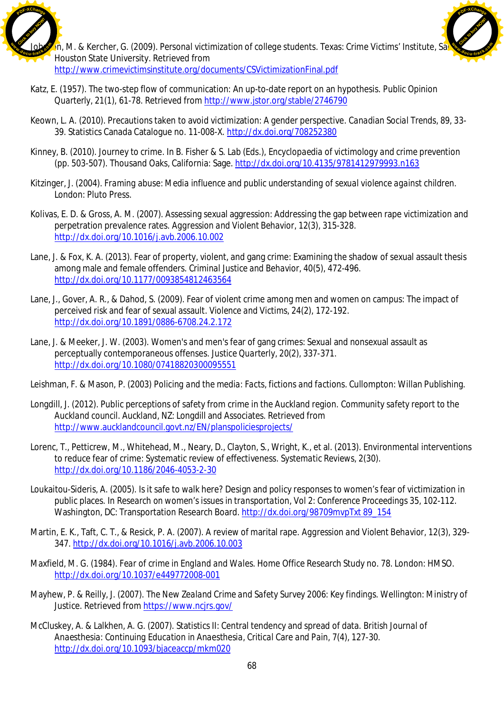



 $\gamma$ n, M. & Kercher, G. (2009). *Personal victimization of college students*. Texas: Crime Victims' Institute, Sa Houston State University. Retrieved from <http://www.crimevictimsinstitute.org/documents/CSVictimizationFinal.pdf>

- Katz, E. (1957). The two-step flow of communication: An up-to-date report on an hypothesis. *Public Opinion Quarterly, 21*(1), 61-78. Retrieved from <http://www.jstor.org/stable/2746790>
- Keown, L. A. (2010). Precautions taken to avoid victimization: A gender perspective. *Canadian Social Trends*, *89,* 33- 39. Statistics Canada Catalogue no. 11-008-X. <http://dx.doi.org/708252380>
- Kinney, B. (2010). Journey to crime. In B. Fisher & S. Lab (Eds.), *Encyclopaedia of victimology and crime prevention* (pp. 503-507). Thousand Oaks, California: Sage. <http://dx.doi.org/10.4135/9781412979993.n163>
- Kitzinger, J. (2004). *Framing abuse: Media influence and public understanding of sexual violence against children*. London: Pluto Press.
- Kolivas, E. D. & Gross, A. M. (2007). Assessing sexual aggression: Addressing the gap between rape victimization and perpetration prevalence rates. *Aggression and Violent Behavior, 12*(3), 315-328. <http://dx.doi.org/10.1016/j.avb.2006.10.002>
- Lane, J. & Fox, K. A. (2013). Fear of property, violent, and gang crime: Examining the shadow of sexual assault thesis among male and female offenders. *Criminal Justice and Behavior, 40*(5), 472-496. <http://dx.doi.org/10.1177/0093854812463564>
- Lane, J., Gover, A. R., & Dahod, S. (2009). Fear of violent crime among men and women on campus: The impact of perceived risk and fear of sexual assault. *Violence and Victims, 24*(2), 172-192. <http://dx.doi.org/10.1891/0886-6708.24.2.172>
- Lane, J. & Meeker, J. W. (2003). Women's and men's fear of gang crimes: Sexual and nonsexual assault as perceptually contemporaneous offenses. *Justice Quarterly, 20*(2), 337-371. <http://dx.doi.org/10.1080/07418820300095551>
- Leishman, F. & Mason, P. (2003) *Policing and the media: Facts, fictions and factions*. Cullompton: Willan Publishing.
- Longdill, J. (2012). Public perceptions of safety from crime in the Auckland region. *Community safety report to the Auckland council*. Auckland, NZ: Longdill and Associates. Retrieved from <http://www.aucklandcouncil.govt.nz/EN/planspoliciesprojects/>
- Lorenc, T., Petticrew, M., Whitehead, M., Neary, D., Clayton, S., Wright, K., et al. (2013). Environmental interventions to reduce fear of crime: Systematic review of effectiveness. *Systematic Reviews, 2*(30). <http://dx.doi.org/10.1186/2046-4053-2-30>
- Loukaitou-Sideris, A. (2005). Is it safe to walk here? Design and policy responses to women's fear of victimization in public places. In *Research on women's issues in transportation*, *Vol 2: Conference Proceedings 35*, 102-112. Washington, DC: Transportation Research Board. <http://dx.doi.org/98709mvpTxt>89\_154
- Martin, E. K., Taft, C. T., & Resick, P. A. (2007). A review of marital rape. *Aggression and Violent Behavior, 12*(3), 329- 347. <http://dx.doi.org/10.1016/j.avb.2006.10.003>
- Maxfield, M. G. (1984). *Fear of crime in England and Wales*. Home Office Research Study no. 78. London: HMSO. <http://dx.doi.org/10.1037/e449772008-001>
- Mayhew, P. & Reilly, J. (2007). *The New Zealand Crime and Safety Survey 2006: Key findings*. Wellington: Ministry of Justice. Retrieved from <https://www.ncjrs.gov/>
- McCluskey, A. & Lalkhen, A. G. (2007). Statistics II: Central tendency and spread of data. *British Journal of Anaesthesia: Continuing Education in Anaesthesia, Critical Care and Pain, 7*(4), 127-30. <http://dx.doi.org/10.1093/bjaceaccp/mkm020>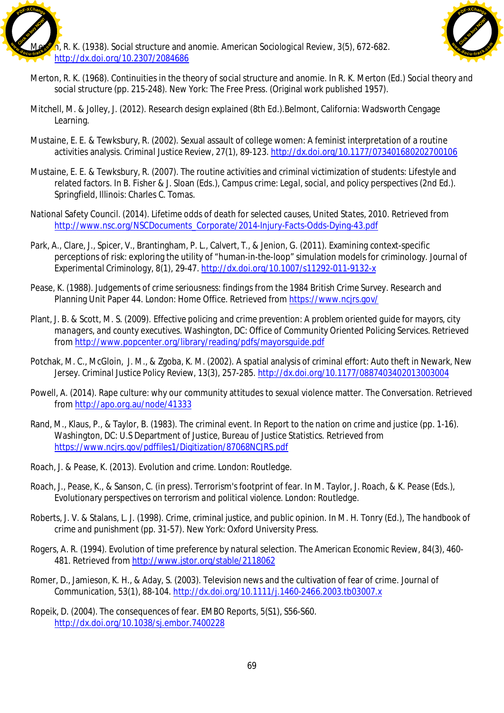



- Merton, R. K. (1968). Continuities in the theory of social structure and anomie. In R. K. Merton (Ed.) *Social theory and social structure* (pp. 215-248). New York: The Free Press. (Original work published 1957).
- Mitchell, M. & Jolley, J. (2012). *Research design explained (8th Ed.).*Belmont, California: Wadsworth Cengage Learning.
- Mustaine, E. E. & Tewksbury, R. (2002). Sexual assault of college women: A feminist interpretation of a routine activities analysis. *Criminal Justice Review, 27*(1), 89-123. <http://dx.doi.org/10.1177/073401680202700106>
- Mustaine, E. E. & Tewksbury, R. (2007). The routine activities and criminal victimization of students: Lifestyle and related factors. In B. Fisher & J. Sloan (Eds.), *Campus crime: Legal, social, and policy perspectives (2nd Ed.).* Springfield, Illinois: Charles C. Tomas.
- National Safety Council. (2014). *Lifetime odds of death for selected causes, United States, 2010*. Retrieved from [http://www.nsc.org/NSCDocuments\\_Corporate/2014-Injury-Facts-Odds-Dying-43.pdf](http://www.nsc.org/NSCDocuments_Corporate/2014-Injury-Facts-Odds-Dying-43.pdf)
- Park, A., Clare, J., Spicer, V., Brantingham, P. L., Calvert, T., & Jenion, G. (2011). Examining context-specific perceptions of risk: exploring the utility of "human-in-the-loop" simulation models for criminology. *Journal of Experimental Criminology, 8*(1), 29-47. <http://dx.doi.org/10.1007/s11292-011-9132-x>
- Pease, K. (1988). *Judgements of crime seriousness: findings from the 1984 British Crime Survey*. Research and Planning Unit Paper 44. London: Home Office. Retrieved from <https://www.ncjrs.gov/>
- Plant, J. B. & Scott, M. S. (2009). *Effective policing and crime prevention: A problem oriented guide for mayors, city managers, and county executives*. Washington, DC: Office of Community Oriented Policing Services. Retrieved from <http://www.popcenter.org/library/reading/pdfs/mayorsguide.pdf>
- Potchak, M. C., McGloin, J. M., & Zgoba, K. M. (2002). A spatial analysis of criminal effort: Auto theft in Newark, New Jersey. *Criminal Justice Policy Review, 13*(3), 257-285. <http://dx.doi.org/10.1177/0887403402013003004>
- Powell, A. (2014). Rape culture: why our community attitudes to sexual violence matter. *The Conversation*. Retrieved from <http://apo.org.au/node/41333>
- Rand, M., Klaus, P., & Taylor, B. (1983). The criminal event. In *Report to the nation on crime and justice* (pp. 1-16). Washington, DC: U.S Department of Justice, Bureau of Justice Statistics. Retrieved from <https://www.ncjrs.gov/pdffiles1/Digitization/87068NCJRS.pdf>
- Roach, J. & Pease, K. (2013). *Evolution and crime*. London: Routledge.
- Roach, J., Pease, K., & Sanson, C. (in press). Terrorism's footprint of fear. In M. Taylor, J. Roach, & K. Pease (Eds.), *Evolutionary perspectives on terrorism and political violence*. London: Routledge.
- Roberts, J. V. & Stalans, L. J. (1998). Crime, criminal justice, and public opinion. In M. H. Tonry (Ed.), *The handbook of crime and punishment* (pp. 31-57). New York: Oxford University Press.
- Rogers, A. R. (1994). Evolution of time preference by natural selection. *The American Economic Review, 84*(3), 460- 481. Retrieved from <http://www.jstor.org/stable/2118062>
- Romer, D., Jamieson, K. H., & Aday, S. (2003). Television news and the cultivation of fear of crime. *Journal of Communication, 53*(1), 88-104. <http://dx.doi.org/10.1111/j.1460-2466.2003.tb03007.x>
- Ropeik, D. (2004). The consequences of fear. *EMBO Reports, 5*(S1), S56-S60. <http://dx.doi.org/10.1038/sj.embor.7400228>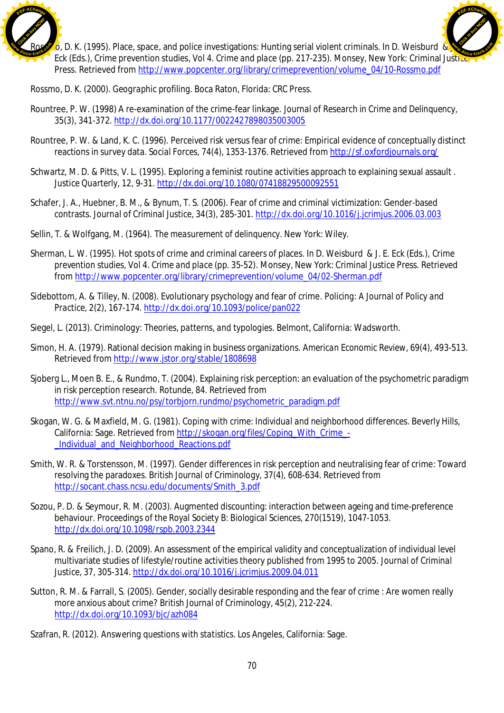

 $\overline{6}$ , D. K. (1995). Place, space, and police investigations: Hunting serial violent criminals. In D. Weisburd  $\overline{\overline{6}}$ Eck (Eds.), *Crime prevention studies*, *Vol 4. Crime and place* (pp. 217-235). Monsey, New York: Criminal Justice Press. Retrieved from [http://www.popcenter.org/library/crimeprevention/volume\\_04/10-Rossmo.pdf](http://www.popcenter.org/library/crimeprevention/volume_04/10-Rossmo.pdf) [Click to buy NOW!](http://www.docu-track.com/buy/) **<sup>w</sup>ww.docu-track.co<sup>m</sup>**

**<sup>P</sup>DF-XChang<sup>e</sup>**

Rossmo, D. K. (2000). *Geographic profiling*. Boca Raton, Florida: CRC Press.

- Rountree, P. W. (1998) A re-examination of the crime-fear linkage. *Journal of Research in Crime and Delinquency, 35*(3), 341-372. <http://dx.doi.org/10.1177/0022427898035003005>
- Rountree, P. W. & Land, K. C. (1996). Perceived risk versus fear of crime: Empirical evidence of conceptually distinct reactions in survey data. *Social Forces, 74*(4), 1353-1376. Retrieved from <http://sf.oxfordjournals.org/>
- Schwartz, M. D. & Pitts, V. L. (1995). Exploring a feminist routine activities approach to explaining sexual assault . *Justice Quarterly, 12,* 9-31. <http://dx.doi.org/10.1080/07418829500092551>
- Schafer, J. A., Huebner, B. M., & Bynum, T. S. (2006). Fear of crime and criminal victimization: Gender-based contrasts. *Journal of Criminal Justice, 34*(3), 285-301. <http://dx.doi.org/10.1016/j.jcrimjus.2006.03.003>
- Sellin, T. & Wolfgang, M. (1964). *The measurement of delinquency*. New York: Wiley.
- Sherman, L. W. (1995). Hot spots of crime and criminal careers of places. In D. Weisburd & J. E. Eck (Eds.), *Crime prevention studies*, *Vol 4. Crime and place* (pp. 35-52). Monsey, New York: Criminal Justice Press. Retrieved from [http://www.popcenter.org/library/crimeprevention/volume\\_04/02-Sherman.pdf](http://www.popcenter.org/library/crimeprevention/volume_04/02-Sherman.pdf)
- Sidebottom, A. & Tilley, N. (2008). Evolutionary psychology and fear of crime. *Policing: A Journal of Policy and Practice, 2*(2), 167-174. <http://dx.doi.org/10.1093/police/pan022>
- Siegel, L. (2013). *Criminology: Theories, patterns, and typologies.* Belmont, California: Wadsworth.
- Simon, H. A. (1979). Rational decision making in business organizations. *American Economic Review, 69*(4), 493-513. Retrieved from <http://www.jstor.org/stable/1808698>
- Sjoberg L., Moen B. E., & Rundmo, T. (2004). Explaining risk perception: an evaluation of the psychometric paradigm in risk perception research. *Rotunde, 84*. Retrieved from [http://www.svt.ntnu.no/psy/torbjorn.rundmo/psychometric\\_paradigm.pdf](http://www.svt.ntnu.no/psy/torbjorn.rundmo/psychometric_paradigm.pdf)
- Skogan, W. G. & Maxfield, M. G. (1981). *Coping with crime: Individual and neighborhood differences*. Beverly Hills, California: Sage. Retrieved from [http://skogan.org/files/Coping\\_With\\_Crime\\_-](http://skogan.org/files/Coping_With_Crime_-) \_Individual\_and\_Neighborhood\_Reactions.pdf
- Smith, W. R. & Torstensson, M. (1997). Gender differences in risk perception and neutralising fear of crime: Toward resolving the paradoxes. *British Journal of Criminology, 37(*4), 608-634. Retrieved from [http://socant.chass.ncsu.edu/documents/Smith\\_3.pdf](http://socant.chass.ncsu.edu/documents/Smith_3.pdf)
- Sozou, P. D. & Seymour, R. M. (2003). Augmented discounting: interaction between ageing and time-preference behaviour. *Proceedings of the Royal Society B: Biological Sciences, 270*(1519), 1047-1053. <http://dx.doi.org/10.1098/rspb.2003.2344>
- Spano, R. & Freilich, J. D. (2009). An assessment of the empirical validity and conceptualization of individual level multivariate studies of lifestyle/routine activities theory published from 1995 to 2005. *Journal of Criminal Justice, 37,* 305-314. <http://dx.doi.org/10.1016/j.jcrimjus.2009.04.011>
- Sutton, R. M. & Farrall, S. (2005). Gender, socially desirable responding and the fear of crime : Are women really more anxious about crime? *British Journal of Criminology, 45*(2), 212-224. <http://dx.doi.org/10.1093/bjc/azh084>
- Szafran, R. (2012). *Answering questions with statistics*. Los Angeles, California: Sage.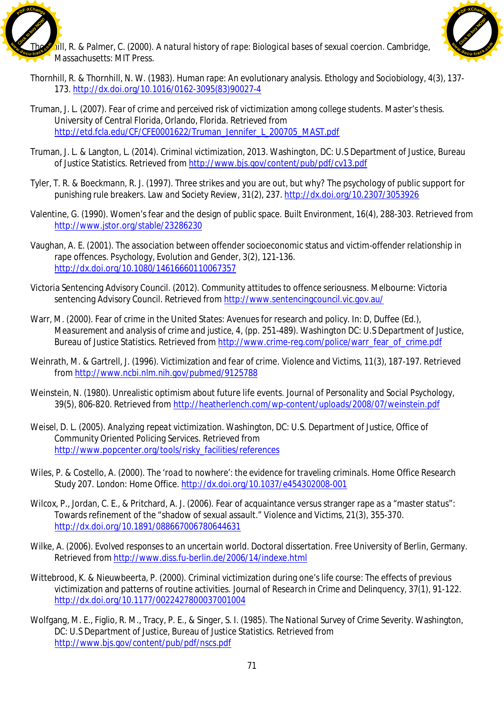



- fill, R. & Palmer, C. (2000). *A natural history of rape: Biological bases of sexual coercion*. Cambridge, Massachusetts: MIT Press.
- Thornhill, R. & Thornhill, N. W. (1983). Human rape: An evolutionary analysis. *Ethology and Sociobiology, 4*(3)*,* 137- 173. [http://dx.doi.org/10.1016/0162-3095\(83\)90027-4](http://dx.doi.org/10.1016/0162-3095(83)90027-4)
- Truman, J. L. (2007). *Fear of crime and perceived risk of victimization among college students*. Master's thesis. University of Central Florida, Orlando, Florida. Retrieved from [http://etd.fcla.edu/CF/CFE0001622/Truman\\_Jennifer\\_L\\_200705\\_MAST.pdf](http://etd.fcla.edu/CF/CFE0001622/Truman_Jennifer_L_200705_MAST.pdf)
- Truman, J. L. & Langton, L. (2014). *Criminal victimization, 2013*. Washington, DC: U.S Department of Justice, Bureau of Justice Statistics. Retrieved from <http://www.bjs.gov/content/pub/pdf/cv13.pdf>
- Tyler, T. R. & Boeckmann, R. J. (1997). Three strikes and you are out, but why? The psychology of public support for punishing rule breakers. *Law and Society Review, 31*(2), 237. <http://dx.doi.org/10.2307/3053926>
- Valentine, G. (1990). Women's fear and the design of public space. *Built Environment, 16*(4), 288-303. Retrieved from <http://www.jstor.org/stable/23286230>
- Vaughan, A. E. (2001). The association between offender socioeconomic status and victim-offender relationship in rape offences. *Psychology, Evolution and Gender, 3*(2), 121-136. <http://dx.doi.org/10.1080/14616660110067357>
- Victoria Sentencing Advisory Council. (2012). *Community attitudes to offence seriousness*. Melbourne: Victoria sentencing Advisory Council. Retrieved from <http://www.sentencingcouncil.vic.gov.au/>
- Warr, M. (2000). Fear of crime in the United States: Avenues for research and policy. In: D, Duffee (Ed.), *Measurement and analysis of crime and justice, 4*, (pp. 251-489). Washington DC: U.S Department of Justice, Bureau of Justice Statistics. Retrieved from [http://www.crime-reg.com/police/warr\\_fear\\_of\\_crime.pdf](http://www.crime-reg.com/police/warr_fear_of_crime.pdf)
- Weinrath, M. & Gartrell, J. (1996). Victimization and fear of crime. *Violence and Victims, 11*(3), 187-197. Retrieved from <http://www.ncbi.nlm.nih.gov/pubmed/9125788>
- Weinstein, N. (1980). Unrealistic optimism about future life events. *Journal of Personality and Social Psychology, 39*(5), 806-820. Retrieved from <http://heatherlench.com/wp-content/uploads/2008/07/weinstein.pdf>
- Weisel, D. L. (2005). *Analyzing repeat victimization*. Washington, DC: U.S. Department of Justice, Office of Community Oriented Policing Services. Retrieved from [http://www.popcenter.org/tools/risky\\_facilities/references](http://www.popcenter.org/tools/risky_facilities/references)
- Wiles, P. & Costello, A. (2000). *The 'road to nowhere': the evidence for traveling criminals*. Home Office Research Study 207. London: Home Office. <http://dx.doi.org/10.1037/e454302008-001>
- Wilcox, P., Jordan, C. E., & Pritchard, A. J. (2006). Fear of acquaintance versus stranger rape as a "master status": Towards refinement of the "shadow of sexual assault." *Violence and Victims, 21*(3), 355-370. <http://dx.doi.org/10.1891/088667006780644631>
- Wilke, A. (2006). *Evolved responses to an uncertain world*. Doctoral dissertation. Free University of Berlin, Germany. Retrieved from <http://www.diss.fu-berlin.de/2006/14/indexe.html>
- Wittebrood, K. & Nieuwbeerta, P. (2000). Criminal victimization during one's life course: The effects of previous victimization and patterns of routine activities. *Journal of Research in Crime and Delinquency, 37*(1), 91-122. <http://dx.doi.org/10.1177/0022427800037001004>
- Wolfgang, M. E., Figlio, R. M., Tracy, P. E., & Singer, S. I. (1985). *The National Survey of Crime Severity*. Washington, DC: U.S Department of Justice, Bureau of Justice Statistics. Retrieved from <http://www.bjs.gov/content/pub/pdf/nscs.pdf>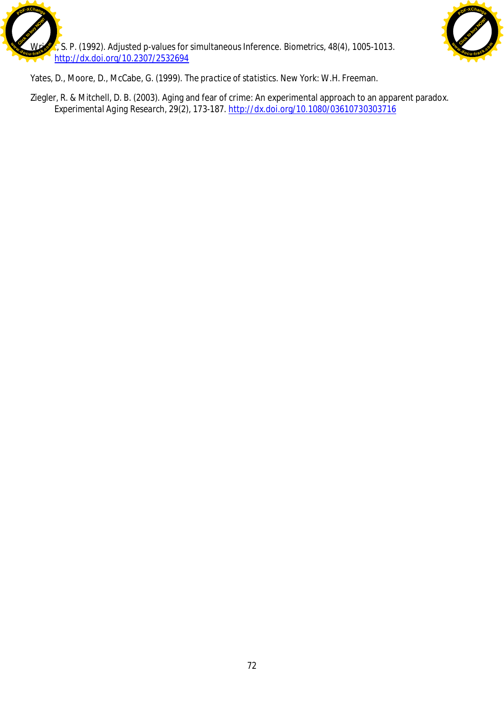



Yates, D., Moore, D., McCabe, G. (1999). *The practice of statistics*. New York: W.H. Freeman.

Ziegler, R. & Mitchell, D. B. (2003). Aging and fear of crime: An experimental approach to an apparent paradox. *Experimental Aging Research, 29*(2), 173-187. <http://dx.doi.org/10.1080/03610730303716>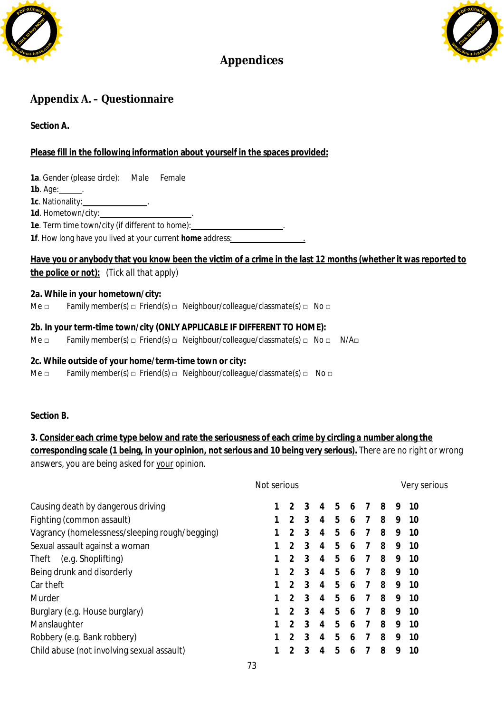



# **Appendices**

# Appendix A. - Questionnaire

**Section A.**

## **Please fill in the following information about yourself in the spaces provided:**

| 1a. Gender (please circle): Male Female                                                                                                                            |
|--------------------------------------------------------------------------------------------------------------------------------------------------------------------|
| 1b. Age: $\_\_\_\$ .                                                                                                                                               |
|                                                                                                                                                                    |
| 1d. Hometown/city:______________________.                                                                                                                          |
| 1e. Term time town/city (if different to home): 1. The manuscription of the Termine of Termine and Termine and                                                     |
| 1f. How long have you lived at your current home address:                                                                                                          |
| Have you or anybody that you know been the victim of a crime in the last 12 months (whether it was reported to<br><u>the police or not):</u> (Tick all that apply) |
| 2a. While in your hometown/city:                                                                                                                                   |
| Family member(s) $\Box$ Friend(s) $\Box$ Neighbour/colleague/classmate(s) $\Box$ No $\Box$<br>Me □                                                                 |
| 2b. In your term-time town/city (ONLY APPLICABLE IF DIFFERENT TO HOME):                                                                                            |
| Family member(s) $\Box$ Friend(s) $\Box$ Neighbour/colleague/classmate(s) $\Box$ No $\Box$ N/A $\Box$<br>Me <sub>□</sub>                                           |

- **2c. While outside of your home/term-time town or city:**
- Me  $\square$  Family member(s)  $\square$  Friend(s)  $\square$  Neighbour/colleague/classmate(s)  $\square$  No  $\square$

**Section B.**

**3. Consider each crime type below and rate the seriousness of each crime by circling a number along the corresponding scale (1 being, in your opinion, not serious and 10 being very serious).** *There are no right or wrong answers, you are being asked for your opinion.*

|                                                | Not serious |                |   |   |   |   |   |   | Very serious |
|------------------------------------------------|-------------|----------------|---|---|---|---|---|---|--------------|
| Causing death by dangerous driving             |             | $\mathcal{P}$  | 3 | 4 | 5 | 6 | 8 | 9 | 10           |
| Fighting (common assault)                      |             | 2              | 3 | 4 | 5 | 6 | 8 | 9 | 10           |
| Vagrancy (homelessness/sleeping rough/begging) |             | $\mathfrak{D}$ | 3 | 4 | 5 | 6 | 8 | 9 | 10           |
| Sexual assault against a woman                 |             | 2              | 3 | 4 | 5 | 6 | 8 | 9 | 10           |
| (e.g. Shoplifting)<br>Theft                    |             | $\mathcal{P}$  | 3 | 4 | 5 | 6 | 8 | 9 | 10           |
| Being drunk and disorderly                     |             | $\mathcal{P}$  | 3 | 4 | 5 | 6 | 8 | 9 | 10           |
| Car theft                                      |             | 2              | 3 | 4 | 5 | 6 | 8 | 9 | 10           |
| Murder                                         |             | $\mathcal{P}$  | 3 | 4 | 5 | 6 | 8 | 9 | 10           |
| Burglary (e.g. House burglary)                 |             | $\mathcal{P}$  | 3 | 4 | 5 | 6 | 8 | 9 | 10           |
| Manslaughter                                   |             | $\mathfrak{D}$ | 3 | 4 | 5 | 6 | 8 | 9 | 10           |
| Robbery (e.g. Bank robbery)                    |             | $\mathcal{P}$  | 3 | 4 | 5 | 6 | 8 | 9 | 10           |
| Child abuse (not involving sexual assault)     |             | 2              | 3 | 4 | 5 | 6 | 8 | 9 | 10           |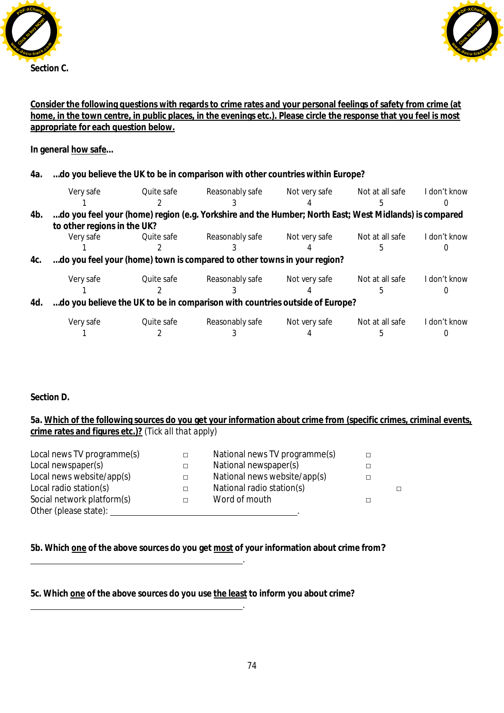



### **Consider the following questions with regards to crime rates and your personal feelings of safety from crime (at home, in the town centre, in public places, in the evenings etc.). Please circle the response that you feel is most appropriate for each question below.**

**In general how safe…**

| 4a. |  | do you believe the UK to be in comparison with other countries within Europe? |  |
|-----|--|-------------------------------------------------------------------------------|--|
|-----|--|-------------------------------------------------------------------------------|--|

|     | Very safe                   | Quite safe | Reasonably safe                                                                                       | Not very safe | Not at all safe | I don't know |
|-----|-----------------------------|------------|-------------------------------------------------------------------------------------------------------|---------------|-----------------|--------------|
|     |                             |            |                                                                                                       |               |                 |              |
| 4b. |                             |            | do you feel your (home) region (e.g. Yorkshire and the Humber; North East; West Midlands) is compared |               |                 |              |
|     | to other regions in the UK? |            |                                                                                                       |               |                 |              |
|     | Very safe                   | Ouite safe | Reasonably safe                                                                                       | Not very safe | Not at all safe | I don't know |
|     |                             |            |                                                                                                       |               |                 |              |
| 4c. |                             |            | do you feel your (home) town is compared to other towns in your region?                               |               |                 |              |
|     | Very safe                   | Quite safe | Reasonably safe                                                                                       | Not very safe | Not at all safe | I don't know |
|     |                             |            |                                                                                                       |               |                 |              |
| 4d. |                             |            | do you believe the UK to be in comparison with countries outside of Europe?                           |               |                 |              |
|     | Very safe                   | Quite safe | Reasonably safe                                                                                       | Not very safe | Not at all safe | I don't know |
|     |                             |            |                                                                                                       |               |                 |              |

**Section D.**

**5a. Which of the following sources do you get your information about crime from (specific crimes, criminal events, crime rates and figures etc.)?** *(Tick all that apply)*

| Local news TV programme(s) | $\Box$ | National news TV programme(s) |   |   |
|----------------------------|--------|-------------------------------|---|---|
| Local newspaper(s)         | $\Box$ | National newspaper(s)         |   |   |
| Local news website/app(s)  | $\Box$ | National news website/app(s)  | П |   |
| Local radio station(s)     | П.     | National radio station(s)     |   | П |
| Social network platform(s) | П      | Word of mouth                 |   |   |
| Other (please state):      |        |                               |   |   |

**5b. Which one of the above sources do you get most of your information about crime from***?*

**5c. Which one of the above sources do you use the least to inform you about crime?**

.

.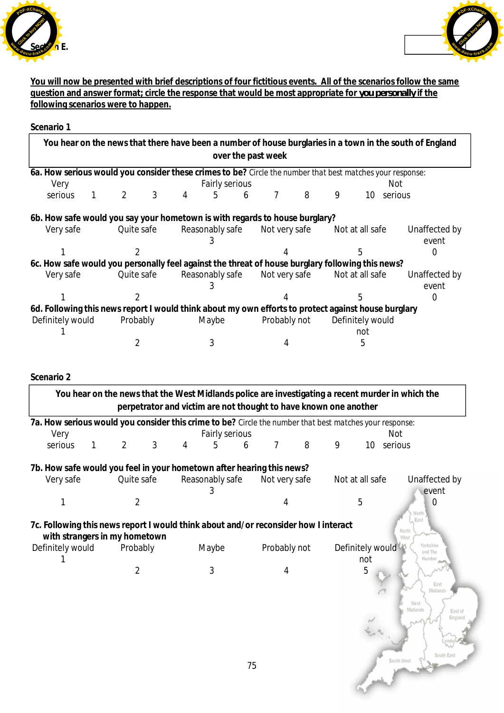



**You will now be presented with brief descriptions of four fictitious events. All of the scenarios follow the same question and answer format; circle the response that would be most appropriate for** *you personally* **if the following scenarios were to happen.**

#### **Scenario 1**

|                  |                                                                             |                 | over the past week | You hear on the news that there have been a number of house burglaries in a town in the south of England  |               |
|------------------|-----------------------------------------------------------------------------|-----------------|--------------------|-----------------------------------------------------------------------------------------------------------|---------------|
|                  |                                                                             |                 |                    | 6a. How serious would you consider these crimes to be? Circle the number that best matches your response: |               |
| Very             |                                                                             | Fairly serious  |                    | Not                                                                                                       |               |
| serious          | 3<br>2                                                                      | 5<br>4<br>6     | 8<br>7             | 9<br>10<br>serious                                                                                        |               |
|                  | 6b. How safe would you say your hometown is with regards to house burglary? |                 |                    |                                                                                                           |               |
| Very safe        | Quite safe                                                                  | Reasonably safe | Not very safe      | Not at all safe                                                                                           | Unaffected by |
|                  |                                                                             |                 |                    |                                                                                                           | event         |
|                  |                                                                             |                 |                    | 5                                                                                                         |               |
|                  |                                                                             |                 |                    | 6c. How safe would you personally feel against the threat of house burglary following this news?          |               |
| Very safe        | Quite safe                                                                  | Reasonably safe | Not very safe      | Not at all safe                                                                                           | Unaffected by |
|                  |                                                                             |                 |                    |                                                                                                           | event         |
|                  |                                                                             |                 |                    | 5                                                                                                         |               |
|                  |                                                                             |                 |                    | 6d. Following this news report I would think about my own efforts to protect against house burglary       |               |
| Definitely would | Probably                                                                    | Maybe           | Definitely would   |                                                                                                           |               |
|                  |                                                                             |                 |                    | not                                                                                                       |               |
|                  |                                                                             |                 |                    | 5                                                                                                         |               |

## **Scenario 2**

|                                                                                                                      |   |                |   |   |                      |    |                                                                  |   |   |                         | You hear on the news that the West Midlands police are investigating a recent murder in which the |
|----------------------------------------------------------------------------------------------------------------------|---|----------------|---|---|----------------------|----|------------------------------------------------------------------|---|---|-------------------------|---------------------------------------------------------------------------------------------------|
|                                                                                                                      |   |                |   |   |                      |    | perpetrator and victim are not thought to have known one another |   |   |                         |                                                                                                   |
| 7a. How serious would you consider this crime to be? Circle the number that best matches your response:              |   |                |   |   |                      |    |                                                                  |   |   |                         |                                                                                                   |
| Very                                                                                                                 |   |                |   |   | Fairly serious       |    |                                                                  |   |   |                         | Not                                                                                               |
| serious                                                                                                              | 1 | $\overline{2}$ | 3 | 4 | 5                    | 6  | $\overline{7}$                                                   | 8 | 9 | 10                      | serious                                                                                           |
| 7b. How safe would you feel in your hometown after hearing this news?                                                |   |                |   |   |                      |    |                                                                  |   |   |                         |                                                                                                   |
| Very safe                                                                                                            |   | Quite safe     |   |   | Reasonably safe<br>3 |    | Not very safe                                                    |   |   | Not at all safe         | Unaffected by<br>event                                                                            |
|                                                                                                                      |   | 2              |   |   |                      |    | 4                                                                |   |   | 5                       | 0                                                                                                 |
| 7c. Following this news report I would think about and/or reconsider how I interact<br>with strangers in my hometown |   |                |   |   |                      |    |                                                                  |   |   |                         | North<br>East<br>North<br>West                                                                    |
| Definitely would                                                                                                     |   | Probably       |   |   | Maybe                |    | Probably not                                                     |   |   | Definitely would<br>not | Yorkshire<br>Humbe                                                                                |
|                                                                                                                      |   | 2              |   |   | 3                    |    | 4                                                                |   |   | b.                      | East<br>Midlands<br>West<br>Midlands                                                              |
|                                                                                                                      |   |                |   |   |                      |    |                                                                  |   |   |                         | East of<br>South East<br>South West                                                               |
|                                                                                                                      |   |                |   |   |                      | 75 |                                                                  |   |   |                         |                                                                                                   |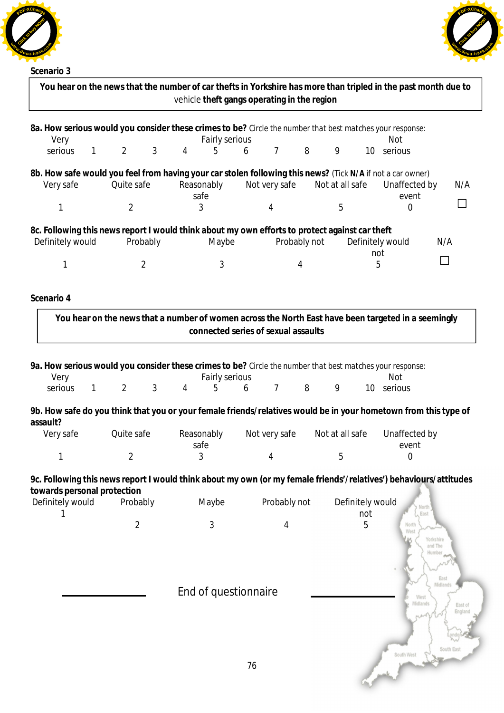





| Scenario 3                      |                     | You hear on the news that the number of car thefts in Yorkshire has more than tripled in the past month due to<br>vehicle theft gangs operating in the region |                                     |                |                      |                       |                                                             |
|---------------------------------|---------------------|---------------------------------------------------------------------------------------------------------------------------------------------------------------|-------------------------------------|----------------|----------------------|-----------------------|-------------------------------------------------------------|
|                                 |                     |                                                                                                                                                               |                                     |                |                      |                       |                                                             |
| Very                            |                     | 8a. How serious would you consider these crimes to be? Circle the number that best matches your response:<br>Fairly serious                                   |                                     |                |                      | <b>Not</b>            |                                                             |
| serious<br>$\mathbf{1}$         | 3<br>$\overline{2}$ | 5<br>$\overline{4}$                                                                                                                                           | $\overline{7}$<br>6                 | 8              | 9                    | 10 serious            |                                                             |
|                                 |                     |                                                                                                                                                               |                                     |                |                      |                       |                                                             |
| Very safe                       | Quite safe          | 8b. How safe would you feel from having your car stolen following this news? (Tick N/A if not a car owner)<br>Reasonably                                      | Not very safe                       |                | Not at all safe      | Unaffected by         | N/A                                                         |
|                                 |                     | safe                                                                                                                                                          |                                     |                |                      | event                 |                                                             |
| 1                               | $\overline{2}$      | 3                                                                                                                                                             | 4                                   |                | 5                    | 0                     |                                                             |
| Definitely would                | Probably            | 8c. Following this news report I would think about my own efforts to protect against car theft<br>Maybe                                                       |                                     | Probably not   |                      | Definitely would      | N/A                                                         |
|                                 |                     |                                                                                                                                                               |                                     |                |                      | not                   |                                                             |
| 1                               | $\overline{2}$      | 3                                                                                                                                                             |                                     | $\overline{4}$ |                      | 5                     |                                                             |
| Scenario 4                      |                     | You hear on the news that a number of women across the North East have been targeted in a seemingly                                                           | connected series of sexual assaults |                |                      |                       |                                                             |
| Very<br>serious<br>$\mathbf{1}$ | 3<br>$\overline{2}$ | 9a. How serious would you consider these crimes to be? Circle the number that best matches your response:<br>Fairly serious<br>4<br>5                         | $7\overline{ }$<br>6                | 8              | 9<br>10 <sup>°</sup> | Not<br>serious        |                                                             |
| assault?<br>Very safe           | Quite safe          | 9b. How safe do you think that you or your female friends/relatives would be in your hometown from this type of<br>Reasonably                                 | Not very safe                       |                | Not at all safe      | Unaffected by         |                                                             |
|                                 |                     | safe                                                                                                                                                          |                                     |                |                      | event                 |                                                             |
| 1                               | $\overline{2}$      | 3                                                                                                                                                             | 4                                   |                | 5                    | 0                     |                                                             |
| towards personal protection     |                     | 9c. Following this news report I would think about my own (or my female friends'/relatives') behaviours/attitudes                                             |                                     |                |                      |                       |                                                             |
| Definitely would                | Probably            | Maybe                                                                                                                                                         | Probably not                        |                | Definitely would     | North                 |                                                             |
|                                 | $\overline{2}$      | 3                                                                                                                                                             | 4                                   |                | not<br>5             | East<br>North<br>West |                                                             |
|                                 |                     | End of questionnaire                                                                                                                                          |                                     |                |                      | West<br>Midlands      | Yorkshire<br>and The<br>Humbe<br>East<br>Midlands<br>East o |
|                                 |                     |                                                                                                                                                               | 76                                  |                |                      | South West            | Engl:<br>South East                                         |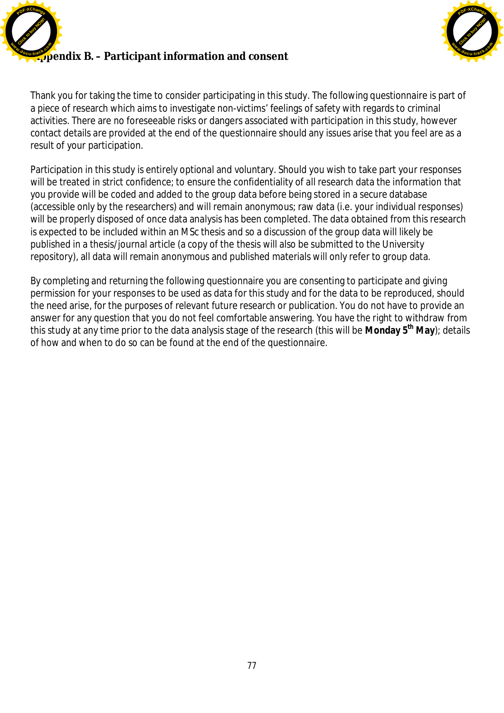



Thank you for taking the time to consider participating in this study. The following questionnaire is part of a piece of research which aims to investigate non-victims' feelings of safety with regards to criminal activities. There are no foreseeable risks or dangers associated with participation in this study, however contact details are provided at the end of the questionnaire should any issues arise that you feel are as a result of your participation.

Participation in this study is entirely optional and voluntary. Should you wish to take part your responses will be treated in strict confidence; to ensure the confidentiality of all research data the information that you provide will be coded and added to the group data before being stored in a secure database (accessible only by the researchers) and will remain anonymous; raw data (i.e. your individual responses) will be properly disposed of once data analysis has been completed. The data obtained from this research is expected to be included within an MSc thesis and so a discussion of the group data will likely be published in a thesis/journal article (a copy of the thesis will also be submitted to the University repository), all data will remain anonymous and published materials will only refer to group data.

By completing and returning the following questionnaire you are consenting to participate and giving permission for your responses to be used as data for this study and for the data to be reproduced, should the need arise, for the purposes of relevant future research or publication. You do not have to provide an answer for any question that you do not feel comfortable answering. You have the right to withdraw from this study at any time prior to the data analysis stage of the research (this will be **Monday 5th May**); details of how and when to do so can be found at the end of the questionnaire.